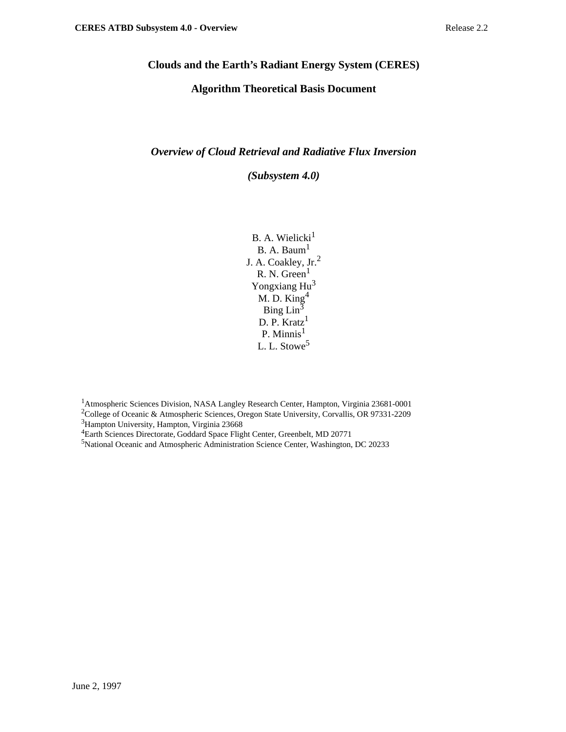## **Clouds and the Earth's Radiant Energy System (CERES)**

## **Algorithm Theoretical Basis Document**

### *Overview of Cloud Retrieval and Radiative Flux Inversion*

*(Subsystem 4.0)*

 $B. A. Welicki<sup>1</sup>$  $B. A. Baum<sup>1</sup>$ J. A. Coakley, Jr.<sup>2</sup> R. N. Green $<sup>1</sup>$ </sup> Yongxiang Hu<sup>3</sup> M. D. King4 Bing  $\text{Lin}^3$ D. P. Kratz<sup>1</sup> P. Minnis $<sup>1</sup>$ </sup> L. L. Stowe<sup>5</sup>

<sup>1</sup>Atmospheric Sciences Division, NASA Langley Research Center, Hampton, Virginia 23681-0001 <sup>2</sup>College of Oceanic & Atmospheric Sciences, Oregon State University, Corvallis, OR 97331-2209

<sup>3</sup>Hampton University, Hampton, Virginia 23668

4Earth Sciences Directorate, Goddard Space Flight Center, Greenbelt, MD 20771

5 National Oceanic and Atmospheric Administration Science Center, Washington, DC 20233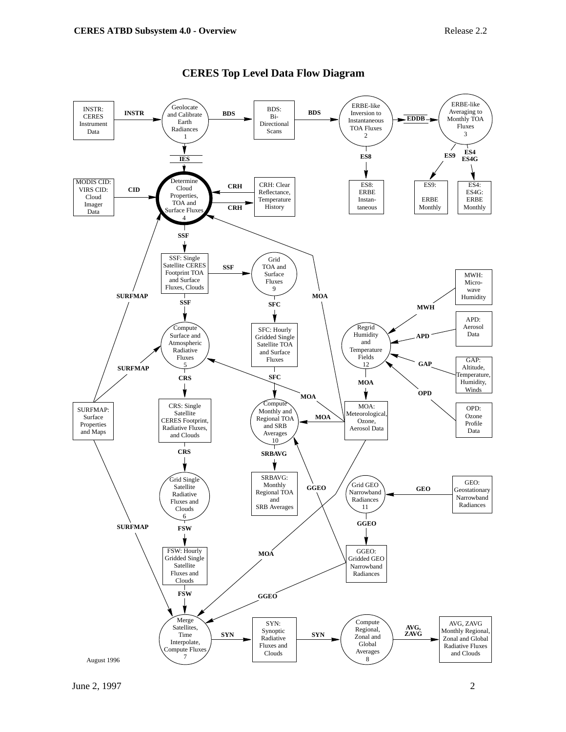

#### **CERES Top Level Data Flow Diagram**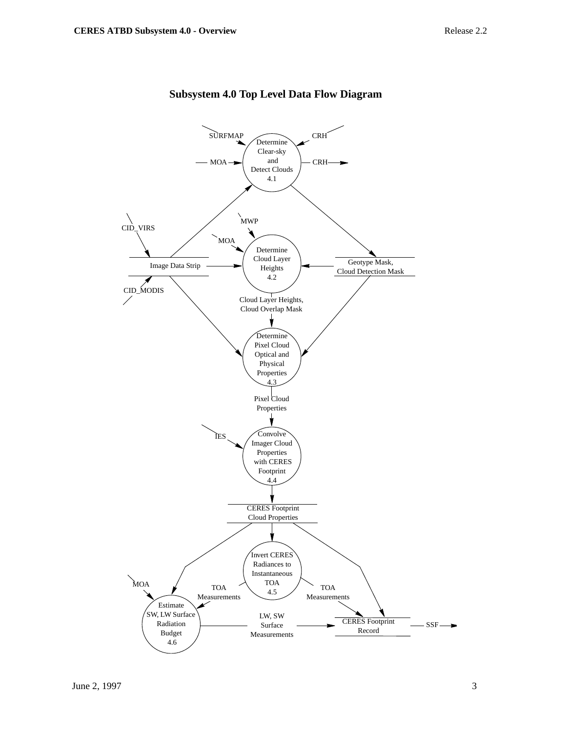

## **Subsystem 4.0 Top Level Data Flow Diagram**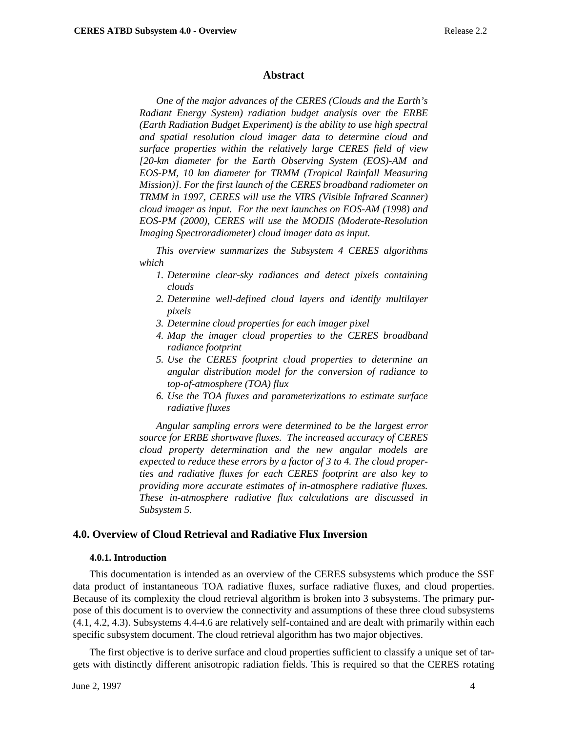#### **Abstract**

*One of the major advances of the CERES (Clouds and the Earth's Radiant Energy System) radiation budget analysis over the ERBE (Earth Radiation Budget Experiment) is the ability to use high spectral and spatial resolution cloud imager data to determine cloud and surface properties within the relatively large CERES field of view [20-km diameter for the Earth Observing System (EOS)-AM and EOS-PM, 10 km diameter for TRMM (Tropical Rainfall Measuring Mission)]. For the first launch of the CERES broadband radiometer on TRMM in 1997, CERES will use the VIRS (Visible Infrared Scanner) cloud imager as input. For the next launches on EOS-AM (1998) and EOS-PM (2000), CERES will use the MODIS (Moderate-Resolution Imaging Spectroradiometer) cloud imager data as input.*

*This overview summarizes the Subsystem 4 CERES algorithms which*

- *1. Determine clear-sky radiances and detect pixels containing clouds*
- *2. Determine well-defined cloud layers and identify multilayer pixels*
- *3. Determine cloud properties for each imager pixel*
- *4. Map the imager cloud properties to the CERES broadband radiance footprint*
- *5. Use the CERES footprint cloud properties to determine an angular distribution model for the conversion of radiance to top-of-atmosphere (TOA) flux*
- *6. Use the TOA fluxes and parameterizations to estimate surface radiative fluxes*

*Angular sampling errors were determined to be the largest error source for ERBE shortwave fluxes. The increased accuracy of CERES cloud property determination and the new angular models are expected to reduce these errors by a factor of 3 to 4. The cloud properties and radiative fluxes for each CERES footprint are also key to providing more accurate estimates of in-atmosphere radiative fluxes. These in-atmosphere radiative flux calculations are discussed in Subsystem 5.*

#### **4.0. Overview of Cloud Retrieval and Radiative Flux Inversion**

#### **4.0.1. Introduction**

This documentation is intended as an overview of the CERES subsystems which produce the SSF data product of instantaneous TOA radiative fluxes, surface radiative fluxes, and cloud properties. Because of its complexity the cloud retrieval algorithm is broken into 3 subsystems. The primary purpose of this document is to overview the connectivity and assumptions of these three cloud subsystems (4.1, 4.2, 4.3). Subsystems 4.4-4.6 are relatively self-contained and are dealt with primarily within each specific subsystem document. The cloud retrieval algorithm has two major objectives.

The first objective is to derive surface and cloud properties sufficient to classify a unique set of targets with distinctly different anisotropic radiation fields. This is required so that the CERES rotating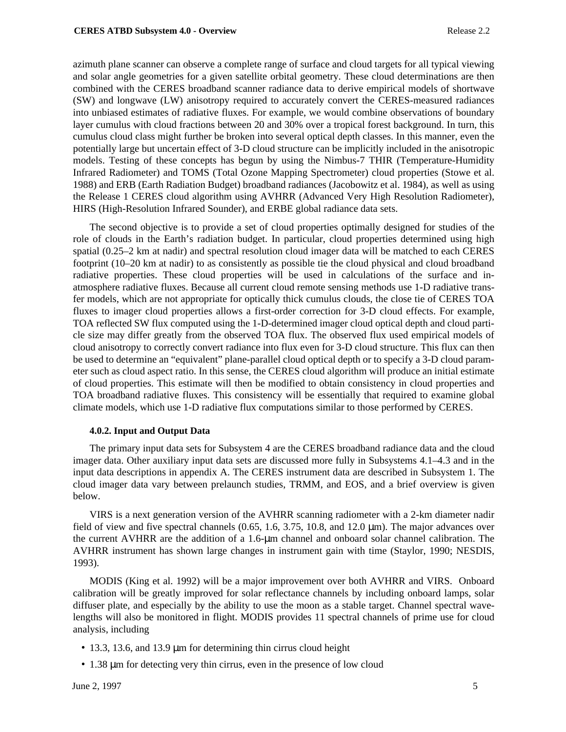azimuth plane scanner can observe a complete range of surface and cloud targets for all typical viewing and solar angle geometries for a given satellite orbital geometry. These cloud determinations are then combined with the CERES broadband scanner radiance data to derive empirical models of shortwave (SW) and longwave (LW) anisotropy required to accurately convert the CERES-measured radiances into unbiased estimates of radiative fluxes. For example, we would combine observations of boundary layer cumulus with cloud fractions between 20 and 30% over a tropical forest background. In turn, this cumulus cloud class might further be broken into several optical depth classes. In this manner, even the potentially large but uncertain effect of 3-D cloud structure can be implicitly included in the anisotropic models. Testing of these concepts has begun by using the Nimbus-7 THIR (Temperature-Humidity Infrared Radiometer) and TOMS (Total Ozone Mapping Spectrometer) cloud properties (Stowe et al. 1988) and ERB (Earth Radiation Budget) broadband radiances (Jacobowitz et al. 1984), as well as using the Release 1 CERES cloud algorithm using AVHRR (Advanced Very High Resolution Radiometer), HIRS (High-Resolution Infrared Sounder), and ERBE global radiance data sets.

The second objective is to provide a set of cloud properties optimally designed for studies of the role of clouds in the Earth's radiation budget. In particular, cloud properties determined using high spatial (0.25–2 km at nadir) and spectral resolution cloud imager data will be matched to each CERES footprint (10–20 km at nadir) to as consistently as possible tie the cloud physical and cloud broadband radiative properties. These cloud properties will be used in calculations of the surface and inatmosphere radiative fluxes. Because all current cloud remote sensing methods use 1-D radiative transfer models, which are not appropriate for optically thick cumulus clouds, the close tie of CERES TOA fluxes to imager cloud properties allows a first-order correction for 3-D cloud effects. For example, TOA reflected SW flux computed using the 1-D-determined imager cloud optical depth and cloud particle size may differ greatly from the observed TOA flux. The observed flux used empirical models of cloud anisotropy to correctly convert radiance into flux even for 3-D cloud structure. This flux can then be used to determine an "equivalent" plane-parallel cloud optical depth or to specify a 3-D cloud parameter such as cloud aspect ratio. In this sense, the CERES cloud algorithm will produce an initial estimate of cloud properties. This estimate will then be modified to obtain consistency in cloud properties and TOA broadband radiative fluxes. This consistency will be essentially that required to examine global climate models, which use 1-D radiative flux computations similar to those performed by CERES.

#### **4.0.2. Input and Output Data**

The primary input data sets for Subsystem 4 are the CERES broadband radiance data and the cloud imager data. Other auxiliary input data sets are discussed more fully in Subsystems 4.1–4.3 and in the input data descriptions in appendix A. The CERES instrument data are described in Subsystem 1. The cloud imager data vary between prelaunch studies, TRMM, and EOS, and a brief overview is given below.

VIRS is a next generation version of the AVHRR scanning radiometer with a 2-km diameter nadir field of view and five spectral channels (0.65, 1.6, 3.75, 10.8, and 12.0 µm). The major advances over the current AVHRR are the addition of a 1.6-µm channel and onboard solar channel calibration. The AVHRR instrument has shown large changes in instrument gain with time (Staylor, 1990; NESDIS, 1993).

MODIS (King et al. 1992) will be a major improvement over both AVHRR and VIRS. Onboard calibration will be greatly improved for solar reflectance channels by including onboard lamps, solar diffuser plate, and especially by the ability to use the moon as a stable target. Channel spectral wavelengths will also be monitored in flight. MODIS provides 11 spectral channels of prime use for cloud analysis, including

- 13.3, 13.6, and 13.9 µm for determining thin cirrus cloud height
- 1.38 µm for detecting very thin cirrus, even in the presence of low cloud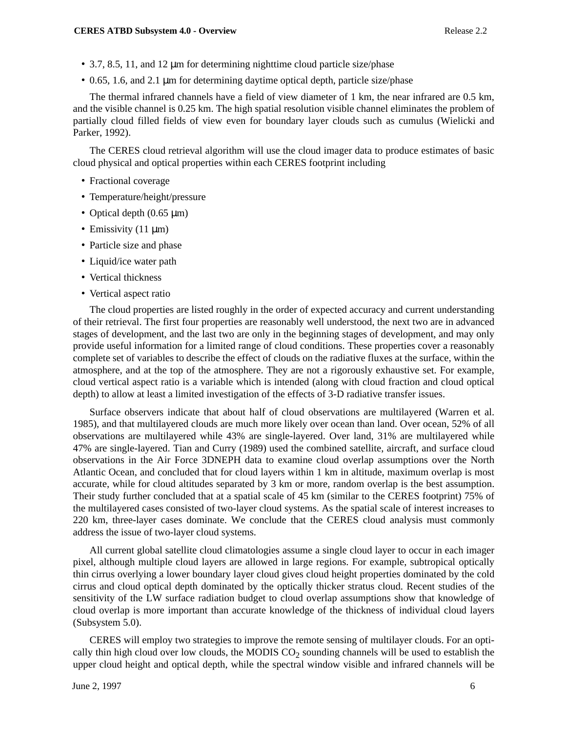- 3.7, 8.5, 11, and 12 µm for determining nighttime cloud particle size/phase
- 0.65, 1.6, and 2.1 µm for determining daytime optical depth, particle size/phase

The thermal infrared channels have a field of view diameter of 1 km, the near infrared are 0.5 km, and the visible channel is 0.25 km. The high spatial resolution visible channel eliminates the problem of partially cloud filled fields of view even for boundary layer clouds such as cumulus (Wielicki and Parker, 1992).

The CERES cloud retrieval algorithm will use the cloud imager data to produce estimates of basic cloud physical and optical properties within each CERES footprint including

- Fractional coverage
- Temperature/height/pressure
- Optical depth (0.65 µm)
- Emissivity  $(11 \mu m)$
- Particle size and phase
- Liquid/ice water path
- Vertical thickness
- Vertical aspect ratio

The cloud properties are listed roughly in the order of expected accuracy and current understanding of their retrieval. The first four properties are reasonably well understood, the next two are in advanced stages of development, and the last two are only in the beginning stages of development, and may only provide useful information for a limited range of cloud conditions. These properties cover a reasonably complete set of variables to describe the effect of clouds on the radiative fluxes at the surface, within the atmosphere, and at the top of the atmosphere. They are not a rigorously exhaustive set. For example, cloud vertical aspect ratio is a variable which is intended (along with cloud fraction and cloud optical depth) to allow at least a limited investigation of the effects of 3-D radiative transfer issues.

Surface observers indicate that about half of cloud observations are multilayered (Warren et al. 1985), and that multilayered clouds are much more likely over ocean than land. Over ocean, 52% of all observations are multilayered while 43% are single-layered. Over land, 31% are multilayered while 47% are single-layered. Tian and Curry (1989) used the combined satellite, aircraft, and surface cloud observations in the Air Force 3DNEPH data to examine cloud overlap assumptions over the North Atlantic Ocean, and concluded that for cloud layers within 1 km in altitude, maximum overlap is most accurate, while for cloud altitudes separated by 3 km or more, random overlap is the best assumption. Their study further concluded that at a spatial scale of 45 km (similar to the CERES footprint) 75% of the multilayered cases consisted of two-layer cloud systems. As the spatial scale of interest increases to 220 km, three-layer cases dominate. We conclude that the CERES cloud analysis must commonly address the issue of two-layer cloud systems.

All current global satellite cloud climatologies assume a single cloud layer to occur in each imager pixel, although multiple cloud layers are allowed in large regions. For example, subtropical optically thin cirrus overlying a lower boundary layer cloud gives cloud height properties dominated by the cold cirrus and cloud optical depth dominated by the optically thicker stratus cloud. Recent studies of the sensitivity of the LW surface radiation budget to cloud overlap assumptions show that knowledge of cloud overlap is more important than accurate knowledge of the thickness of individual cloud layers (Subsystem 5.0).

CERES will employ two strategies to improve the remote sensing of multilayer clouds. For an optically thin high cloud over low clouds, the MODIS  $CO<sub>2</sub>$  sounding channels will be used to establish the upper cloud height and optical depth, while the spectral window visible and infrared channels will be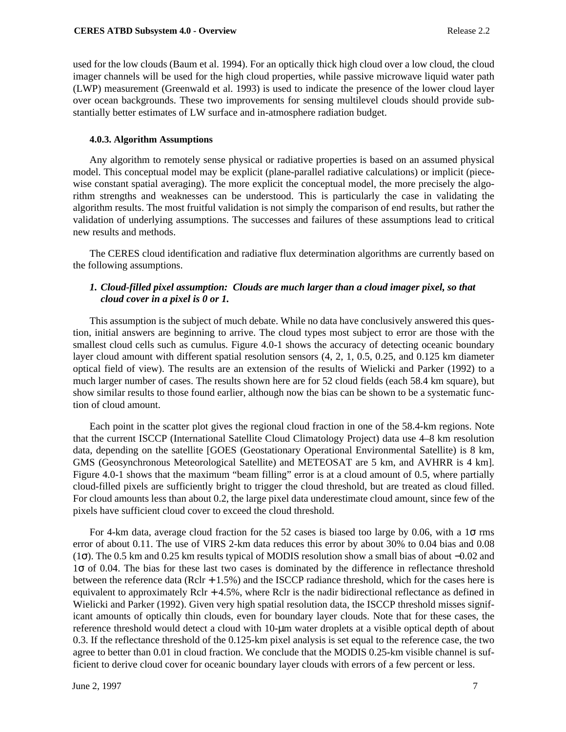used for the low clouds (Baum et al. 1994). For an optically thick high cloud over a low cloud, the cloud imager channels will be used for the high cloud properties, while passive microwave liquid water path (LWP) measurement (Greenwald et al. 1993) is used to indicate the presence of the lower cloud layer over ocean backgrounds. These two improvements for sensing multilevel clouds should provide substantially better estimates of LW surface and in-atmosphere radiation budget.

#### **4.0.3. Algorithm Assumptions**

Any algorithm to remotely sense physical or radiative properties is based on an assumed physical model. This conceptual model may be explicit (plane-parallel radiative calculations) or implicit (piecewise constant spatial averaging). The more explicit the conceptual model, the more precisely the algorithm strengths and weaknesses can be understood. This is particularly the case in validating the algorithm results. The most fruitful validation is not simply the comparison of end results, but rather the validation of underlying assumptions. The successes and failures of these assumptions lead to critical new results and methods.

The CERES cloud identification and radiative flux determination algorithms are currently based on the following assumptions.

### *1. Cloud-filled pixel assumption: Clouds are much larger than a cloud imager pixel, so that cloud cover in a pixel is 0 or 1.*

This assumption is the subject of much debate. While no data have conclusively answered this question, initial answers are beginning to arrive. The cloud types most subject to error are those with the smallest cloud cells such as cumulus. Figure 4.0-1 shows the accuracy of detecting oceanic boundary layer cloud amount with different spatial resolution sensors (4, 2, 1, 0.5, 0.25, and 0.125 km diameter optical field of view). The results are an extension of the results of Wielicki and Parker (1992) to a much larger number of cases. The results shown here are for 52 cloud fields (each 58.4 km square), but show similar results to those found earlier, although now the bias can be shown to be a systematic function of cloud amount.

Each point in the scatter plot gives the regional cloud fraction in one of the 58.4-km regions. Note that the current ISCCP (International Satellite Cloud Climatology Project) data use 4–8 km resolution data, depending on the satellite [GOES (Geostationary Operational Environmental Satellite) is 8 km, GMS (Geosynchronous Meteorological Satellite) and METEOSAT are 5 km, and AVHRR is 4 km]. Figure 4.0-1 shows that the maximum "beam filling" error is at a cloud amount of 0.5, where partially cloud-filled pixels are sufficiently bright to trigger the cloud threshold, but are treated as cloud filled. For cloud amounts less than about 0.2, the large pixel data underestimate cloud amount, since few of the pixels have sufficient cloud cover to exceed the cloud threshold.

For 4-km data, average cloud fraction for the 52 cases is biased too large by 0.06, with a  $1\sigma$  rms error of about 0.11. The use of VIRS 2-km data reduces this error by about 30% to 0.04 bias and 0.08 (1σ). The 0.5 km and 0.25 km results typical of MODIS resolution show a small bias of about −0.02 and 1σ of 0.04. The bias for these last two cases is dominated by the difference in reflectance threshold between the reference data (Rclr + 1.5%) and the ISCCP radiance threshold, which for the cases here is equivalent to approximately Rclr + 4.5%, where Rclr is the nadir bidirectional reflectance as defined in Wielicki and Parker (1992). Given very high spatial resolution data, the ISCCP threshold misses significant amounts of optically thin clouds, even for boundary layer clouds. Note that for these cases, the reference threshold would detect a cloud with 10-µm water droplets at a visible optical depth of about 0.3. If the reflectance threshold of the 0.125-km pixel analysis is set equal to the reference case, the two agree to better than 0.01 in cloud fraction. We conclude that the MODIS 0.25-km visible channel is sufficient to derive cloud cover for oceanic boundary layer clouds with errors of a few percent or less.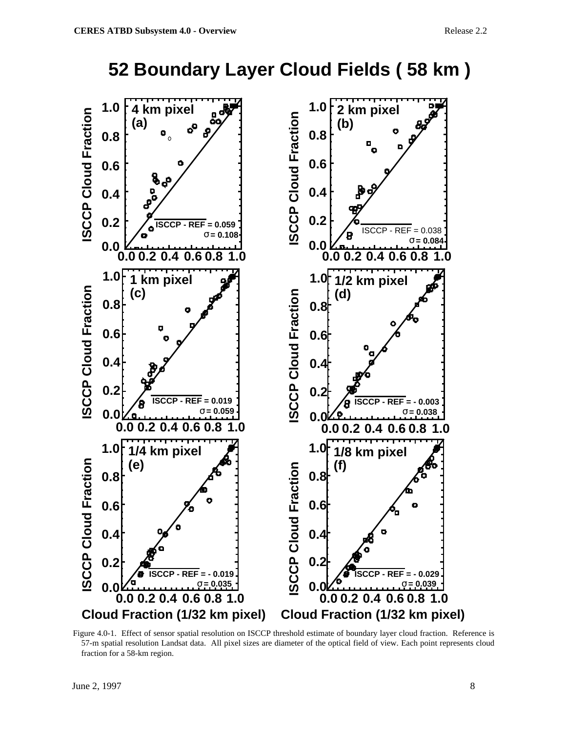

**52 Boundary Layer Cloud Fields ( 58 km )**

Figure 4.0-1. Effect of sensor spatial resolution on ISCCP threshold estimate of boundary layer cloud fraction. Reference is 57-m spatial resolution Landsat data. All pixel sizes are diameter of the optical field of view. Each point represents cloud fraction for a 58-km region.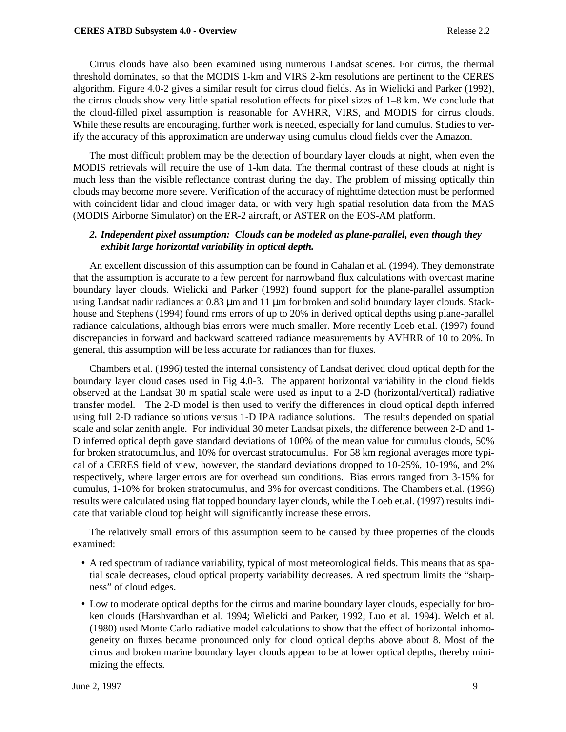Cirrus clouds have also been examined using numerous Landsat scenes. For cirrus, the thermal threshold dominates, so that the MODIS 1-km and VIRS 2-km resolutions are pertinent to the CERES algorithm. Figure 4.0-2 gives a similar result for cirrus cloud fields. As in Wielicki and Parker (1992), the cirrus clouds show very little spatial resolution effects for pixel sizes of 1–8 km. We conclude that the cloud-filled pixel assumption is reasonable for AVHRR, VIRS, and MODIS for cirrus clouds. While these results are encouraging, further work is needed, especially for land cumulus. Studies to verify the accuracy of this approximation are underway using cumulus cloud fields over the Amazon.

The most difficult problem may be the detection of boundary layer clouds at night, when even the MODIS retrievals will require the use of 1-km data. The thermal contrast of these clouds at night is much less than the visible reflectance contrast during the day. The problem of missing optically thin clouds may become more severe. Verification of the accuracy of nighttime detection must be performed with coincident lidar and cloud imager data, or with very high spatial resolution data from the MAS (MODIS Airborne Simulator) on the ER-2 aircraft, or ASTER on the EOS-AM platform.

## *2. Independent pixel assumption: Clouds can be modeled as plane-parallel, even though they exhibit large horizontal variability in optical depth.*

An excellent discussion of this assumption can be found in Cahalan et al. (1994). They demonstrate that the assumption is accurate to a few percent for narrowband flux calculations with overcast marine boundary layer clouds. Wielicki and Parker (1992) found support for the plane-parallel assumption using Landsat nadir radiances at 0.83  $\mu$ m and 11  $\mu$ m for broken and solid boundary layer clouds. Stackhouse and Stephens (1994) found rms errors of up to 20% in derived optical depths using plane-parallel radiance calculations, although bias errors were much smaller. More recently Loeb et.al. (1997) found discrepancies in forward and backward scattered radiance measurements by AVHRR of 10 to 20%. In general, this assumption will be less accurate for radiances than for fluxes.

Chambers et al. (1996) tested the internal consistency of Landsat derived cloud optical depth for the boundary layer cloud cases used in Fig 4.0-3. The apparent horizontal variability in the cloud fields observed at the Landsat 30 m spatial scale were used as input to a 2-D (horizontal/vertical) radiative transfer model. The 2-D model is then used to verify the differences in cloud optical depth inferred using full 2-D radiance solutions versus 1-D IPA radiance solutions. The results depended on spatial scale and solar zenith angle. For individual 30 meter Landsat pixels, the difference between 2-D and 1- D inferred optical depth gave standard deviations of 100% of the mean value for cumulus clouds, 50% for broken stratocumulus, and 10% for overcast stratocumulus. For 58 km regional averages more typical of a CERES field of view, however, the standard deviations dropped to 10-25%, 10-19%, and 2% respectively, where larger errors are for overhead sun conditions. Bias errors ranged from 3-15% for cumulus, 1-10% for broken stratocumulus, and 3% for overcast conditions. The Chambers et.al. (1996) results were calculated using flat topped boundary layer clouds, while the Loeb et.al. (1997) results indicate that variable cloud top height will significantly increase these errors.

The relatively small errors of this assumption seem to be caused by three properties of the clouds examined:

- A red spectrum of radiance variability, typical of most meteorological fields. This means that as spatial scale decreases, cloud optical property variability decreases. A red spectrum limits the "sharpness" of cloud edges.
- Low to moderate optical depths for the cirrus and marine boundary layer clouds, especially for broken clouds (Harshvardhan et al. 1994; Wielicki and Parker, 1992; Luo et al. 1994). Welch et al. (1980) used Monte Carlo radiative model calculations to show that the effect of horizontal inhomogeneity on fluxes became pronounced only for cloud optical depths above about 8. Most of the cirrus and broken marine boundary layer clouds appear to be at lower optical depths, thereby minimizing the effects.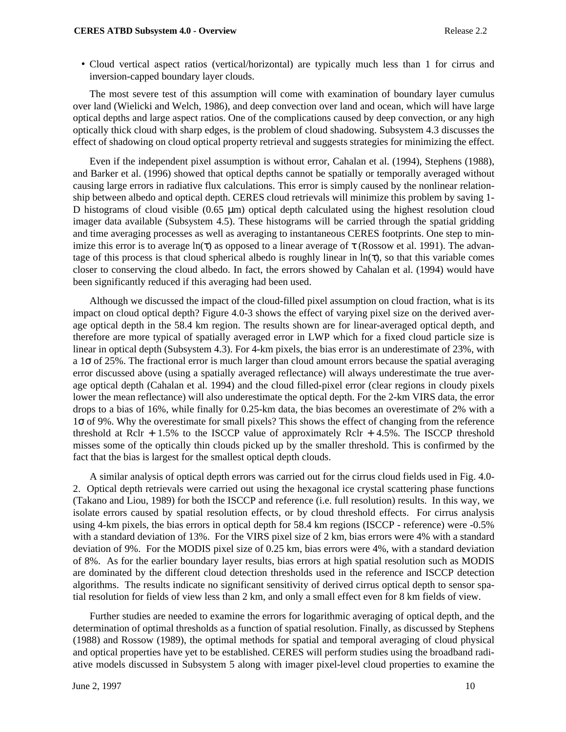• Cloud vertical aspect ratios (vertical/horizontal) are typically much less than 1 for cirrus and inversion-capped boundary layer clouds.

The most severe test of this assumption will come with examination of boundary layer cumulus over land (Wielicki and Welch, 1986), and deep convection over land and ocean, which will have large optical depths and large aspect ratios. One of the complications caused by deep convection, or any high optically thick cloud with sharp edges, is the problem of cloud shadowing. Subsystem 4.3 discusses the effect of shadowing on cloud optical property retrieval and suggests strategies for minimizing the effect.

Even if the independent pixel assumption is without error, Cahalan et al. (1994), Stephens (1988), and Barker et al. (1996) showed that optical depths cannot be spatially or temporally averaged without causing large errors in radiative flux calculations. This error is simply caused by the nonlinear relationship between albedo and optical depth. CERES cloud retrievals will minimize this problem by saving 1- D histograms of cloud visible  $(0.65 \mu m)$  optical depth calculated using the highest resolution cloud imager data available (Subsystem 4.5). These histograms will be carried through the spatial gridding and time averaging processes as well as averaging to instantaneous CERES footprints. One step to minimize this error is to average  $ln(\tau)$  as opposed to a linear average of  $\tau$  (Rossow et al. 1991). The advantage of this process is that cloud spherical albedo is roughly linear in  $\ln(\tau)$ , so that this variable comes closer to conserving the cloud albedo. In fact, the errors showed by Cahalan et al. (1994) would have been significantly reduced if this averaging had been used.

Although we discussed the impact of the cloud-filled pixel assumption on cloud fraction, what is its impact on cloud optical depth? Figure 4.0-3 shows the effect of varying pixel size on the derived average optical depth in the 58.4 km region. The results shown are for linear-averaged optical depth, and therefore are more typical of spatially averaged error in LWP which for a fixed cloud particle size is linear in optical depth (Subsystem 4.3). For 4-km pixels, the bias error is an underestimate of 23%, with a 1σ of 25%. The fractional error is much larger than cloud amount errors because the spatial averaging error discussed above (using a spatially averaged reflectance) will always underestimate the true average optical depth (Cahalan et al. 1994) and the cloud filled-pixel error (clear regions in cloudy pixels lower the mean reflectance) will also underestimate the optical depth. For the 2-km VIRS data, the error drops to a bias of 16%, while finally for 0.25-km data, the bias becomes an overestimate of 2% with a 1σ of 9%. Why the overestimate for small pixels? This shows the effect of changing from the reference threshold at Rclr  $+ 1.5\%$  to the ISCCP value of approximately Rclr  $+ 4.5\%$ . The ISCCP threshold misses some of the optically thin clouds picked up by the smaller threshold. This is confirmed by the fact that the bias is largest for the smallest optical depth clouds.

A similar analysis of optical depth errors was carried out for the cirrus cloud fields used in Fig. 4.0- 2. Optical depth retrievals were carried out using the hexagonal ice crystal scattering phase functions (Takano and Liou, 1989) for both the ISCCP and reference (i.e. full resolution) results. In this way, we isolate errors caused by spatial resolution effects, or by cloud threshold effects. For cirrus analysis using 4-km pixels, the bias errors in optical depth for 58.4 km regions (ISCCP - reference) were -0.5% with a standard deviation of 13%. For the VIRS pixel size of 2 km, bias errors were 4% with a standard deviation of 9%. For the MODIS pixel size of 0.25 km, bias errors were 4%, with a standard deviation of 8%. As for the earlier boundary layer results, bias errors at high spatial resolution such as MODIS are dominated by the different cloud detection thresholds used in the reference and ISCCP detection algorithms. The results indicate no significant sensitivity of derived cirrus optical depth to sensor spatial resolution for fields of view less than 2 km, and only a small effect even for 8 km fields of view.

Further studies are needed to examine the errors for logarithmic averaging of optical depth, and the determination of optimal thresholds as a function of spatial resolution. Finally, as discussed by Stephens (1988) and Rossow (1989), the optimal methods for spatial and temporal averaging of cloud physical and optical properties have yet to be established. CERES will perform studies using the broadband radiative models discussed in Subsystem 5 along with imager pixel-level cloud properties to examine the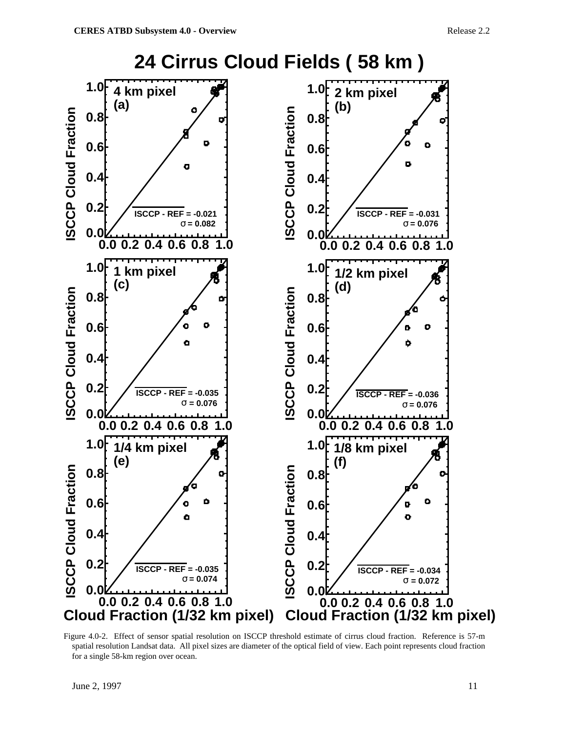

Figure 4.0-2. Effect of sensor spatial resolution on ISCCP threshold estimate of cirrus cloud fraction. Reference is 57-m spatial resolution Landsat data. All pixel sizes are diameter of the optical field of view. Each point represents cloud fraction for a single 58-km region over ocean.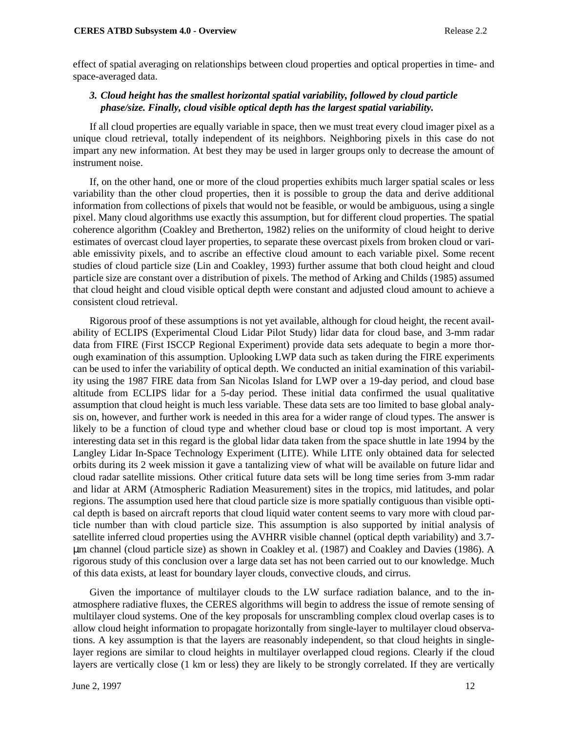effect of spatial averaging on relationships between cloud properties and optical properties in time- and space-averaged data.

## *3. Cloud height has the smallest horizontal spatial variability, followed by cloud particle phase/size. Finally, cloud visible optical depth has the largest spatial variability.*

If all cloud properties are equally variable in space, then we must treat every cloud imager pixel as a unique cloud retrieval, totally independent of its neighbors. Neighboring pixels in this case do not impart any new information. At best they may be used in larger groups only to decrease the amount of instrument noise.

If, on the other hand, one or more of the cloud properties exhibits much larger spatial scales or less variability than the other cloud properties, then it is possible to group the data and derive additional information from collections of pixels that would not be feasible, or would be ambiguous, using a single pixel. Many cloud algorithms use exactly this assumption, but for different cloud properties. The spatial coherence algorithm (Coakley and Bretherton, 1982) relies on the uniformity of cloud height to derive estimates of overcast cloud layer properties, to separate these overcast pixels from broken cloud or variable emissivity pixels, and to ascribe an effective cloud amount to each variable pixel. Some recent studies of cloud particle size (Lin and Coakley, 1993) further assume that both cloud height and cloud particle size are constant over a distribution of pixels. The method of Arking and Childs (1985) assumed that cloud height and cloud visible optical depth were constant and adjusted cloud amount to achieve a consistent cloud retrieval.

Rigorous proof of these assumptions is not yet available, although for cloud height, the recent availability of ECLIPS (Experimental Cloud Lidar Pilot Study) lidar data for cloud base, and 3-mm radar data from FIRE (First ISCCP Regional Experiment) provide data sets adequate to begin a more thorough examination of this assumption. Uplooking LWP data such as taken during the FIRE experiments can be used to infer the variability of optical depth. We conducted an initial examination of this variability using the 1987 FIRE data from San Nicolas Island for LWP over a 19-day period, and cloud base altitude from ECLIPS lidar for a 5-day period. These initial data confirmed the usual qualitative assumption that cloud height is much less variable. These data sets are too limited to base global analysis on, however, and further work is needed in this area for a wider range of cloud types. The answer is likely to be a function of cloud type and whether cloud base or cloud top is most important. A very interesting data set in this regard is the global lidar data taken from the space shuttle in late 1994 by the Langley Lidar In-Space Technology Experiment (LITE). While LITE only obtained data for selected orbits during its 2 week mission it gave a tantalizing view of what will be available on future lidar and cloud radar satellite missions. Other critical future data sets will be long time series from 3-mm radar and lidar at ARM (Atmospheric Radiation Measurement) sites in the tropics, mid latitudes, and polar regions. The assumption used here that cloud particle size is more spatially contiguous than visible optical depth is based on aircraft reports that cloud liquid water content seems to vary more with cloud particle number than with cloud particle size. This assumption is also supported by initial analysis of satellite inferred cloud properties using the AVHRR visible channel (optical depth variability) and 3.7 µm channel (cloud particle size) as shown in Coakley et al. (1987) and Coakley and Davies (1986). A rigorous study of this conclusion over a large data set has not been carried out to our knowledge. Much of this data exists, at least for boundary layer clouds, convective clouds, and cirrus.

Given the importance of multilayer clouds to the LW surface radiation balance, and to the inatmosphere radiative fluxes, the CERES algorithms will begin to address the issue of remote sensing of multilayer cloud systems. One of the key proposals for unscrambling complex cloud overlap cases is to allow cloud height information to propagate horizontally from single-layer to multilayer cloud observations. A key assumption is that the layers are reasonably independent, so that cloud heights in singlelayer regions are similar to cloud heights in multilayer overlapped cloud regions. Clearly if the cloud layers are vertically close (1 km or less) they are likely to be strongly correlated. If they are vertically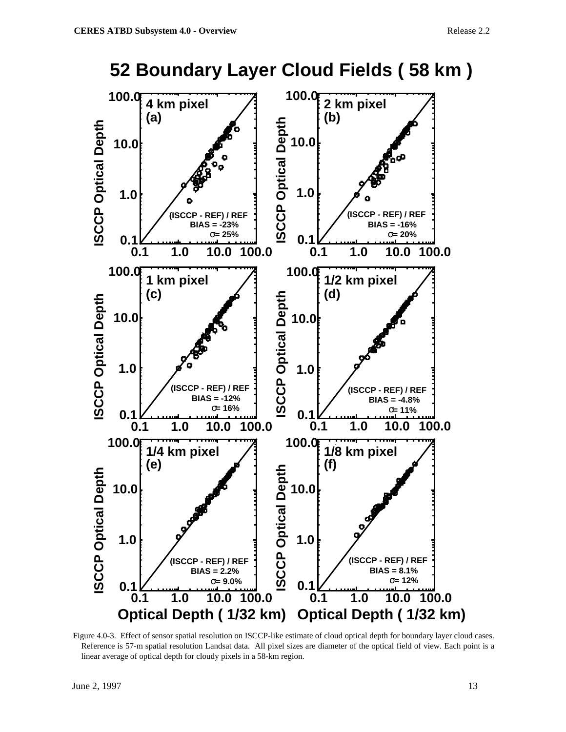

Figure 4.0-3. Effect of sensor spatial resolution on ISCCP-like estimate of cloud optical depth for boundary layer cloud cases. Reference is 57-m spatial resolution Landsat data. All pixel sizes are diameter of the optical field of view. Each point is a linear average of optical depth for cloudy pixels in a 58-km region.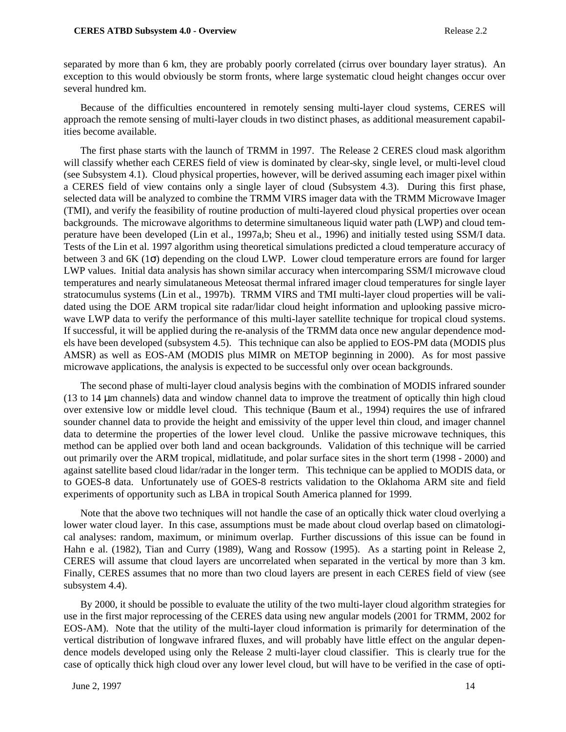separated by more than 6 km, they are probably poorly correlated (cirrus over boundary layer stratus). An exception to this would obviously be storm fronts, where large systematic cloud height changes occur over several hundred km.

Because of the difficulties encountered in remotely sensing multi-layer cloud systems, CERES will approach the remote sensing of multi-layer clouds in two distinct phases, as additional measurement capabilities become available.

The first phase starts with the launch of TRMM in 1997. The Release 2 CERES cloud mask algorithm will classify whether each CERES field of view is dominated by clear-sky, single level, or multi-level cloud (see Subsystem 4.1). Cloud physical properties, however, will be derived assuming each imager pixel within a CERES field of view contains only a single layer of cloud (Subsystem 4.3). During this first phase, selected data will be analyzed to combine the TRMM VIRS imager data with the TRMM Microwave Imager (TMI), and verify the feasibility of routine production of multi-layered cloud physical properties over ocean backgrounds. The microwave algorithms to determine simultaneous liquid water path (LWP) and cloud temperature have been developed (Lin et al., 1997a,b; Sheu et al., 1996) and initially tested using SSM/I data. Tests of the Lin et al. 1997 algorithm using theoretical simulations predicted a cloud temperature accuracy of between 3 and 6K (1σ) depending on the cloud LWP. Lower cloud temperature errors are found for larger LWP values. Initial data analysis has shown similar accuracy when intercomparing SSM/I microwave cloud temperatures and nearly simulataneous Meteosat thermal infrared imager cloud temperatures for single layer stratocumulus systems (Lin et al., 1997b). TRMM VIRS and TMI multi-layer cloud properties will be validated using the DOE ARM tropical site radar/lidar cloud height information and uplooking passive microwave LWP data to verify the performance of this multi-layer satellite technique for tropical cloud systems. If successful, it will be applied during the re-analysis of the TRMM data once new angular dependence models have been developed (subsystem 4.5). This technique can also be applied to EOS-PM data (MODIS plus AMSR) as well as EOS-AM (MODIS plus MIMR on METOP beginning in 2000). As for most passive microwave applications, the analysis is expected to be successful only over ocean backgrounds.

The second phase of multi-layer cloud analysis begins with the combination of MODIS infrared sounder (13 to 14 µm channels) data and window channel data to improve the treatment of optically thin high cloud over extensive low or middle level cloud. This technique (Baum et al., 1994) requires the use of infrared sounder channel data to provide the height and emissivity of the upper level thin cloud, and imager channel data to determine the properties of the lower level cloud. Unlike the passive microwave techniques, this method can be applied over both land and ocean backgrounds. Validation of this technique will be carried out primarily over the ARM tropical, midlatitude, and polar surface sites in the short term (1998 - 2000) and against satellite based cloud lidar/radar in the longer term. This technique can be applied to MODIS data, or to GOES-8 data. Unfortunately use of GOES-8 restricts validation to the Oklahoma ARM site and field experiments of opportunity such as LBA in tropical South America planned for 1999.

Note that the above two techniques will not handle the case of an optically thick water cloud overlying a lower water cloud layer. In this case, assumptions must be made about cloud overlap based on climatological analyses: random, maximum, or minimum overlap. Further discussions of this issue can be found in Hahn e al. (1982), Tian and Curry (1989), Wang and Rossow (1995). As a starting point in Release 2, CERES will assume that cloud layers are uncorrelated when separated in the vertical by more than 3 km. Finally, CERES assumes that no more than two cloud layers are present in each CERES field of view (see subsystem 4.4).

By 2000, it should be possible to evaluate the utility of the two multi-layer cloud algorithm strategies for use in the first major reprocessing of the CERES data using new angular models (2001 for TRMM, 2002 for EOS-AM). Note that the utility of the multi-layer cloud information is primarily for determination of the vertical distribution of longwave infrared fluxes, and will probably have little effect on the angular dependence models developed using only the Release 2 multi-layer cloud classifier. This is clearly true for the case of optically thick high cloud over any lower level cloud, but will have to be verified in the case of opti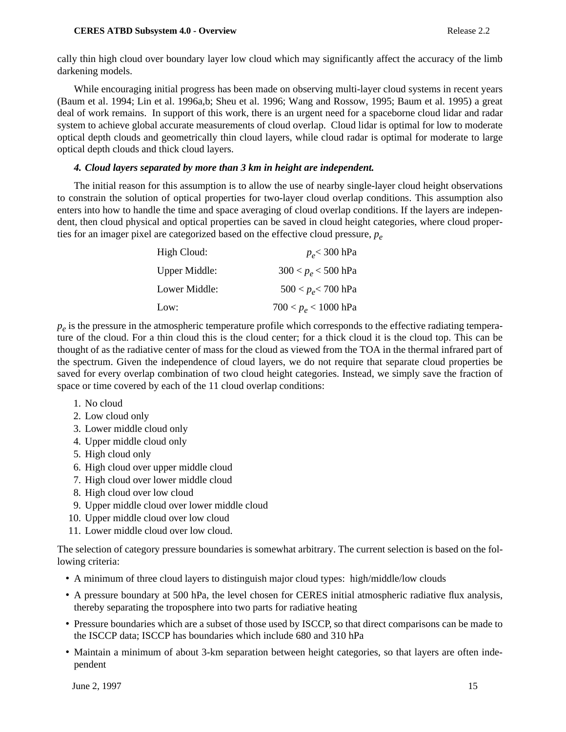cally thin high cloud over boundary layer low cloud which may significantly affect the accuracy of the limb darkening models.

While encouraging initial progress has been made on observing multi-layer cloud systems in recent years (Baum et al. 1994; Lin et al. 1996a,b; Sheu et al. 1996; Wang and Rossow, 1995; Baum et al. 1995) a great deal of work remains. In support of this work, there is an urgent need for a spaceborne cloud lidar and radar system to achieve global accurate measurements of cloud overlap. Cloud lidar is optimal for low to moderate optical depth clouds and geometrically thin cloud layers, while cloud radar is optimal for moderate to large optical depth clouds and thick cloud layers.

### *4. Cloud layers separated by more than 3 km in height are independent.*

The initial reason for this assumption is to allow the use of nearby single-layer cloud height observations to constrain the solution of optical properties for two-layer cloud overlap conditions. This assumption also enters into how to handle the time and space averaging of cloud overlap conditions. If the layers are independent, then cloud physical and optical properties can be saved in cloud height categories, where cloud properties for an imager pixel are categorized based on the effective cloud pressure,  $p_e$ 

| High Cloud:   | $p_e$ < 300 hPa        |
|---------------|------------------------|
| Upper Middle: | $300 < p_e < 500$ hPa  |
| Lower Middle: | $500 < p_e < 700$ hPa  |
| Low:          | $700 < p_e < 1000$ hPa |

 $p_e$  is the pressure in the atmospheric temperature profile which corresponds to the effective radiating temperature of the cloud. For a thin cloud this is the cloud center; for a thick cloud it is the cloud top. This can be thought of as the radiative center of mass for the cloud as viewed from the TOA in the thermal infrared part of the spectrum. Given the independence of cloud layers, we do not require that separate cloud properties be saved for every overlap combination of two cloud height categories. Instead, we simply save the fraction of space or time covered by each of the 11 cloud overlap conditions:

- 1. No cloud
- 2. Low cloud only
- 3. Lower middle cloud only
- 4. Upper middle cloud only
- 5. High cloud only
- 6. High cloud over upper middle cloud
- 7. High cloud over lower middle cloud
- 8. High cloud over low cloud
- 9. Upper middle cloud over lower middle cloud
- 10. Upper middle cloud over low cloud
- 11. Lower middle cloud over low cloud.

The selection of category pressure boundaries is somewhat arbitrary. The current selection is based on the following criteria:

- A minimum of three cloud layers to distinguish major cloud types: high/middle/low clouds
- A pressure boundary at 500 hPa, the level chosen for CERES initial atmospheric radiative flux analysis, thereby separating the troposphere into two parts for radiative heating
- Pressure boundaries which are a subset of those used by ISCCP, so that direct comparisons can be made to the ISCCP data; ISCCP has boundaries which include 680 and 310 hPa
- Maintain a minimum of about 3-km separation between height categories, so that layers are often independent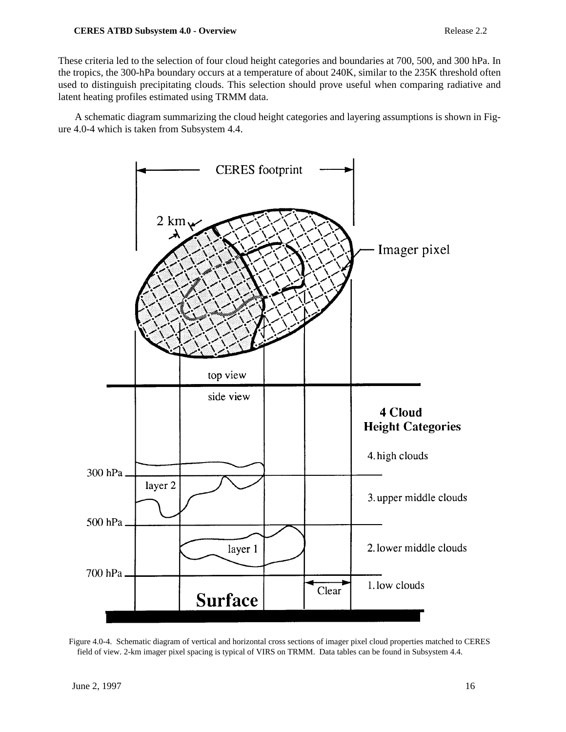#### **CERES ATBD Subsystem 4.0 - Overview Release 2.2**

These criteria led to the selection of four cloud height categories and boundaries at 700, 500, and 300 hPa. In the tropics, the 300-hPa boundary occurs at a temperature of about 240K, similar to the 235K threshold often used to distinguish precipitating clouds. This selection should prove useful when comparing radiative and latent heating profiles estimated using TRMM data.

A schematic diagram summarizing the cloud height categories and layering assumptions is shown in Figure 4.0-4 which is taken from Subsystem 4.4.



Figure 4.0-4. Schematic diagram of vertical and horizontal cross sections of imager pixel cloud properties matched to CERES field of view. 2-km imager pixel spacing is typical of VIRS on TRMM. Data tables can be found in Subsystem 4.4.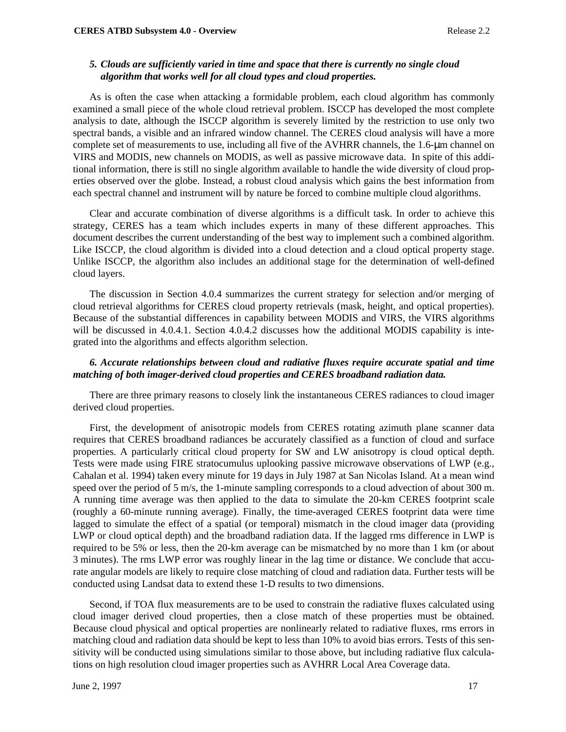#### *5. Clouds are sufficiently varied in time and space that there is currently no single cloud algorithm that works well for all cloud types and cloud properties.*

As is often the case when attacking a formidable problem, each cloud algorithm has commonly examined a small piece of the whole cloud retrieval problem. ISCCP has developed the most complete analysis to date, although the ISCCP algorithm is severely limited by the restriction to use only two spectral bands, a visible and an infrared window channel. The CERES cloud analysis will have a more complete set of measurements to use, including all five of the AVHRR channels, the 1.6-µm channel on VIRS and MODIS, new channels on MODIS, as well as passive microwave data. In spite of this additional information, there is still no single algorithm available to handle the wide diversity of cloud properties observed over the globe. Instead, a robust cloud analysis which gains the best information from each spectral channel and instrument will by nature be forced to combine multiple cloud algorithms.

Clear and accurate combination of diverse algorithms is a difficult task. In order to achieve this strategy, CERES has a team which includes experts in many of these different approaches. This document describes the current understanding of the best way to implement such a combined algorithm. Like ISCCP, the cloud algorithm is divided into a cloud detection and a cloud optical property stage. Unlike ISCCP, the algorithm also includes an additional stage for the determination of well-defined cloud layers.

The discussion in Section 4.0.4 summarizes the current strategy for selection and/or merging of cloud retrieval algorithms for CERES cloud property retrievals (mask, height, and optical properties). Because of the substantial differences in capability between MODIS and VIRS, the VIRS algorithms will be discussed in 4.0.4.1. Section 4.0.4.2 discusses how the additional MODIS capability is integrated into the algorithms and effects algorithm selection.

#### *6. Accurate relationships between cloud and radiative fluxes require accurate spatial and time matching of both imager-derived cloud properties and CERES broadband radiation data.*

There are three primary reasons to closely link the instantaneous CERES radiances to cloud imager derived cloud properties.

First, the development of anisotropic models from CERES rotating azimuth plane scanner data requires that CERES broadband radiances be accurately classified as a function of cloud and surface properties. A particularly critical cloud property for SW and LW anisotropy is cloud optical depth. Tests were made using FIRE stratocumulus uplooking passive microwave observations of LWP (e.g., Cahalan et al. 1994) taken every minute for 19 days in July 1987 at San Nicolas Island. At a mean wind speed over the period of 5 m/s, the 1-minute sampling corresponds to a cloud advection of about 300 m. A running time average was then applied to the data to simulate the 20-km CERES footprint scale (roughly a 60-minute running average). Finally, the time-averaged CERES footprint data were time lagged to simulate the effect of a spatial (or temporal) mismatch in the cloud imager data (providing LWP or cloud optical depth) and the broadband radiation data. If the lagged rms difference in LWP is required to be 5% or less, then the 20-km average can be mismatched by no more than 1 km (or about 3 minutes). The rms LWP error was roughly linear in the lag time or distance. We conclude that accurate angular models are likely to require close matching of cloud and radiation data. Further tests will be conducted using Landsat data to extend these 1-D results to two dimensions.

Second, if TOA flux measurements are to be used to constrain the radiative fluxes calculated using cloud imager derived cloud properties, then a close match of these properties must be obtained. Because cloud physical and optical properties are nonlinearly related to radiative fluxes, rms errors in matching cloud and radiation data should be kept to less than 10% to avoid bias errors. Tests of this sensitivity will be conducted using simulations similar to those above, but including radiative flux calculations on high resolution cloud imager properties such as AVHRR Local Area Coverage data.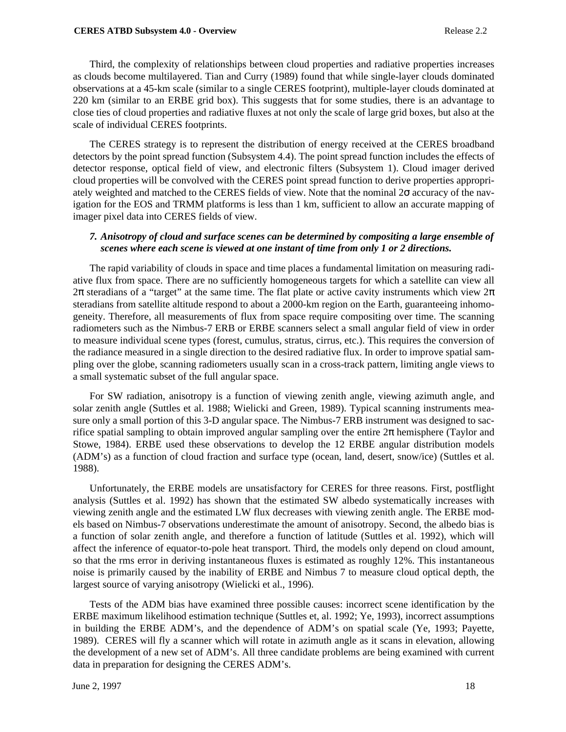#### **CERES ATBD Subsystem 4.0 - Overview Release 2.2**

Third, the complexity of relationships between cloud properties and radiative properties increases as clouds become multilayered. Tian and Curry (1989) found that while single-layer clouds dominated observations at a 45-km scale (similar to a single CERES footprint), multiple-layer clouds dominated at 220 km (similar to an ERBE grid box). This suggests that for some studies, there is an advantage to close ties of cloud properties and radiative fluxes at not only the scale of large grid boxes, but also at the scale of individual CERES footprints.

The CERES strategy is to represent the distribution of energy received at the CERES broadband detectors by the point spread function (Subsystem 4.4). The point spread function includes the effects of detector response, optical field of view, and electronic filters (Subsystem 1). Cloud imager derived cloud properties will be convolved with the CERES point spread function to derive properties appropriately weighted and matched to the CERES fields of view. Note that the nominal  $2\sigma$  accuracy of the navigation for the EOS and TRMM platforms is less than 1 km, sufficient to allow an accurate mapping of imager pixel data into CERES fields of view.

#### *7. Anisotropy of cloud and surface scenes can be determined by compositing a large ensemble of scenes where each scene is viewed at one instant of time from only 1 or 2 directions.*

The rapid variability of clouds in space and time places a fundamental limitation on measuring radiative flux from space. There are no sufficiently homogeneous targets for which a satellite can view all  $2\pi$  steradians of a "target" at the same time. The flat plate or active cavity instruments which view  $2\pi$ steradians from satellite altitude respond to about a 2000-km region on the Earth, guaranteeing inhomogeneity. Therefore, all measurements of flux from space require compositing over time. The scanning radiometers such as the Nimbus-7 ERB or ERBE scanners select a small angular field of view in order to measure individual scene types (forest, cumulus, stratus, cirrus, etc.). This requires the conversion of the radiance measured in a single direction to the desired radiative flux. In order to improve spatial sampling over the globe, scanning radiometers usually scan in a cross-track pattern, limiting angle views to a small systematic subset of the full angular space.

For SW radiation, anisotropy is a function of viewing zenith angle, viewing azimuth angle, and solar zenith angle (Suttles et al. 1988; Wielicki and Green, 1989). Typical scanning instruments measure only a small portion of this 3-D angular space. The Nimbus-7 ERB instrument was designed to sacrifice spatial sampling to obtain improved angular sampling over the entire  $2\pi$  hemisphere (Taylor and Stowe, 1984). ERBE used these observations to develop the 12 ERBE angular distribution models (ADM's) as a function of cloud fraction and surface type (ocean, land, desert, snow/ice) (Suttles et al. 1988).

Unfortunately, the ERBE models are unsatisfactory for CERES for three reasons. First, postflight analysis (Suttles et al. 1992) has shown that the estimated SW albedo systematically increases with viewing zenith angle and the estimated LW flux decreases with viewing zenith angle. The ERBE models based on Nimbus-7 observations underestimate the amount of anisotropy. Second, the albedo bias is a function of solar zenith angle, and therefore a function of latitude (Suttles et al. 1992), which will affect the inference of equator-to-pole heat transport. Third, the models only depend on cloud amount, so that the rms error in deriving instantaneous fluxes is estimated as roughly 12%. This instantaneous noise is primarily caused by the inability of ERBE and Nimbus 7 to measure cloud optical depth, the largest source of varying anisotropy (Wielicki et al., 1996).

Tests of the ADM bias have examined three possible causes: incorrect scene identification by the ERBE maximum likelihood estimation technique (Suttles et, al. 1992; Ye, 1993), incorrect assumptions in building the ERBE ADM's, and the dependence of ADM's on spatial scale (Ye, 1993; Payette, 1989). CERES will fly a scanner which will rotate in azimuth angle as it scans in elevation, allowing the development of a new set of ADM's. All three candidate problems are being examined with current data in preparation for designing the CERES ADM's.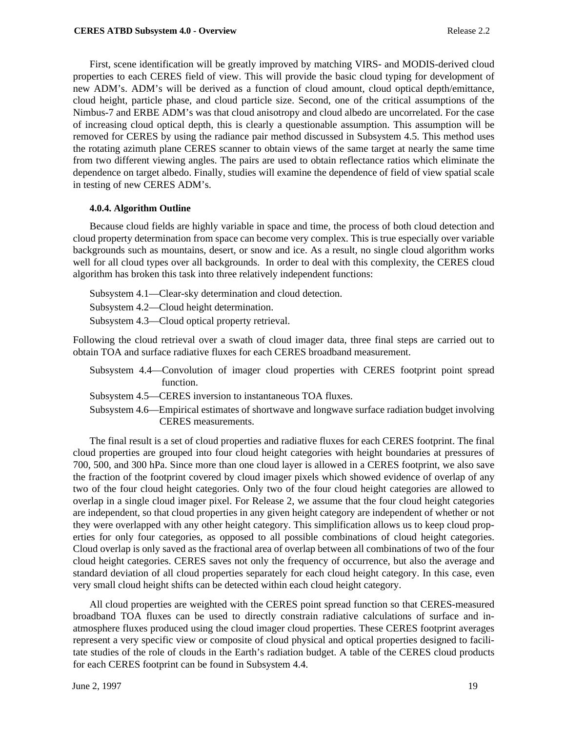First, scene identification will be greatly improved by matching VIRS- and MODIS-derived cloud properties to each CERES field of view. This will provide the basic cloud typing for development of new ADM's. ADM's will be derived as a function of cloud amount, cloud optical depth/emittance, cloud height, particle phase, and cloud particle size. Second, one of the critical assumptions of the Nimbus-7 and ERBE ADM's was that cloud anisotropy and cloud albedo are uncorrelated. For the case of increasing cloud optical depth, this is clearly a questionable assumption. This assumption will be removed for CERES by using the radiance pair method discussed in Subsystem 4.5. This method uses the rotating azimuth plane CERES scanner to obtain views of the same target at nearly the same time from two different viewing angles. The pairs are used to obtain reflectance ratios which eliminate the dependence on target albedo. Finally, studies will examine the dependence of field of view spatial scale in testing of new CERES ADM's.

#### **4.0.4. Algorithm Outline**

Because cloud fields are highly variable in space and time, the process of both cloud detection and cloud property determination from space can become very complex. This is true especially over variable backgrounds such as mountains, desert, or snow and ice. As a result, no single cloud algorithm works well for all cloud types over all backgrounds. In order to deal with this complexity, the CERES cloud algorithm has broken this task into three relatively independent functions:

Subsystem 4.1—Clear-sky determination and cloud detection.

Subsystem 4.2—Cloud height determination.

Subsystem 4.3—Cloud optical property retrieval.

Following the cloud retrieval over a swath of cloud imager data, three final steps are carried out to obtain TOA and surface radiative fluxes for each CERES broadband measurement.

- Subsystem 4.4—Convolution of imager cloud properties with CERES footprint point spread function.
- Subsystem 4.5—CERES inversion to instantaneous TOA fluxes.
- Subsystem 4.6—Empirical estimates of shortwave and longwave surface radiation budget involving CERES measurements.

The final result is a set of cloud properties and radiative fluxes for each CERES footprint. The final cloud properties are grouped into four cloud height categories with height boundaries at pressures of 700, 500, and 300 hPa. Since more than one cloud layer is allowed in a CERES footprint, we also save the fraction of the footprint covered by cloud imager pixels which showed evidence of overlap of any two of the four cloud height categories. Only two of the four cloud height categories are allowed to overlap in a single cloud imager pixel. For Release 2, we assume that the four cloud height categories are independent, so that cloud properties in any given height category are independent of whether or not they were overlapped with any other height category. This simplification allows us to keep cloud properties for only four categories, as opposed to all possible combinations of cloud height categories. Cloud overlap is only saved as the fractional area of overlap between all combinations of two of the four cloud height categories. CERES saves not only the frequency of occurrence, but also the average and standard deviation of all cloud properties separately for each cloud height category. In this case, even very small cloud height shifts can be detected within each cloud height category.

All cloud properties are weighted with the CERES point spread function so that CERES-measured broadband TOA fluxes can be used to directly constrain radiative calculations of surface and inatmosphere fluxes produced using the cloud imager cloud properties. These CERES footprint averages represent a very specific view or composite of cloud physical and optical properties designed to facilitate studies of the role of clouds in the Earth's radiation budget. A table of the CERES cloud products for each CERES footprint can be found in Subsystem 4.4.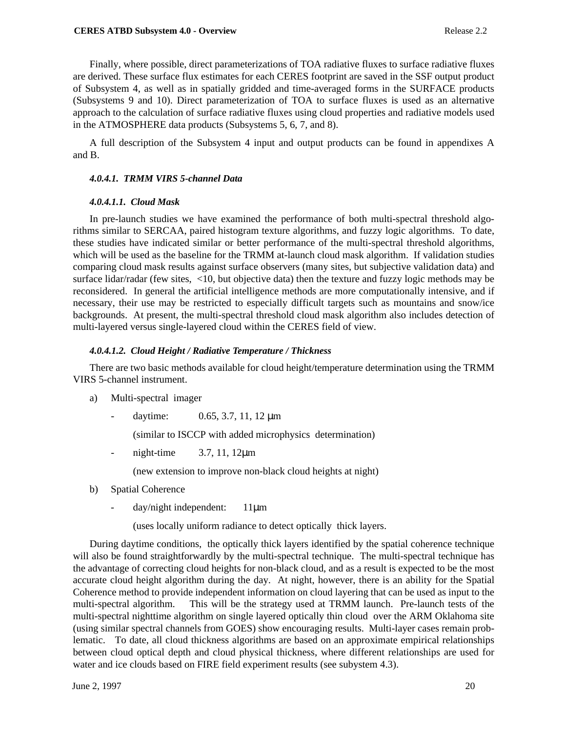#### **CERES ATBD Subsystem 4.0 - Overview Release 2.2**

Finally, where possible, direct parameterizations of TOA radiative fluxes to surface radiative fluxes are derived. These surface flux estimates for each CERES footprint are saved in the SSF output product of Subsystem 4, as well as in spatially gridded and time-averaged forms in the SURFACE products (Subsystems 9 and 10). Direct parameterization of TOA to surface fluxes is used as an alternative approach to the calculation of surface radiative fluxes using cloud properties and radiative models used in the ATMOSPHERE data products (Subsystems 5, 6, 7, and 8).

A full description of the Subsystem 4 input and output products can be found in appendixes A and B.

#### *4.0.4.1. TRMM VIRS 5-channel Data*

#### *4.0.4.1.1. Cloud Mask*

In pre-launch studies we have examined the performance of both multi-spectral threshold algorithms similar to SERCAA, paired histogram texture algorithms, and fuzzy logic algorithms. To date, these studies have indicated similar or better performance of the multi-spectral threshold algorithms, which will be used as the baseline for the TRMM at-launch cloud mask algorithm. If validation studies comparing cloud mask results against surface observers (many sites, but subjective validation data) and surface lidar/radar (few sites, <10, but objective data) then the texture and fuzzy logic methods may be reconsidered. In general the artificial intelligence methods are more computationally intensive, and if necessary, their use may be restricted to especially difficult targets such as mountains and snow/ice backgrounds. At present, the multi-spectral threshold cloud mask algorithm also includes detection of multi-layered versus single-layered cloud within the CERES field of view.

#### *4.0.4.1.2. Cloud Height / Radiative Temperature / Thickness*

There are two basic methods available for cloud height/temperature determination using the TRMM VIRS 5-channel instrument.

- a) Multi-spectral imager
	- daytime:  $0.65, 3.7, 11, 12 \,\mu m$

(similar to ISCCP with added microphysics determination)

- night-time 3.7, 11, 12µm

(new extension to improve non-black cloud heights at night)

- b) Spatial Coherence
	- day/night independent: 11µm

(uses locally uniform radiance to detect optically thick layers.

During daytime conditions, the optically thick layers identified by the spatial coherence technique will also be found straightforwardly by the multi-spectral technique. The multi-spectral technique has the advantage of correcting cloud heights for non-black cloud, and as a result is expected to be the most accurate cloud height algorithm during the day. At night, however, there is an ability for the Spatial Coherence method to provide independent information on cloud layering that can be used as input to the multi-spectral algorithm. This will be the strategy used at TRMM launch. Pre-launch tests of the multi-spectral nighttime algorithm on single layered optically thin cloud over the ARM Oklahoma site (using similar spectral channels from GOES) show encouraging results. Multi-layer cases remain problematic. To date, all cloud thickness algorithms are based on an approximate empirical relationships between cloud optical depth and cloud physical thickness, where different relationships are used for water and ice clouds based on FIRE field experiment results (see subystem 4.3).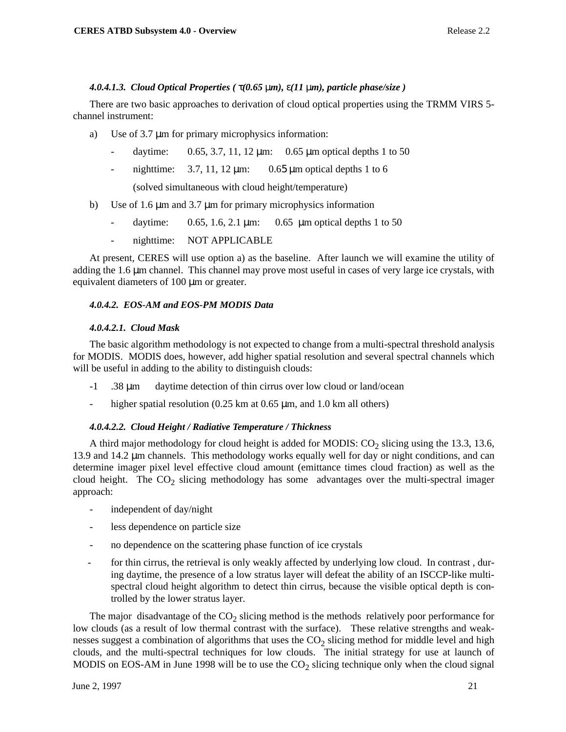### *4.0.4.1.3. Cloud Optical Properties (* τ*(0.65* µ*m),* ε*(11* µ*m), particle phase/size )*

There are two basic approaches to derivation of cloud optical properties using the TRMM VIRS 5 channel instrument:

- a) Use of 3.7  $\mu$ m for primary microphysics information:
	- daytime:  $0.65, 3.7, 11, 12 \,\mu m$ :  $0.65 \,\mu m$  optical depths 1 to 50
	- nighttime:  $3.7$ , 11, 12  $\mu$ m: 0.65  $\mu$ m optical depths 1 to 6

(solved simultaneous with cloud height/temperature)

- b) Use of 1.6 µm and 3.7 µm for primary microphysics information
	- daytime:  $0.65$ , 1.6, 2.1  $\mu$ m:  $0.65 \mu$ m optical depths 1 to 50
	- nighttime: NOT APPLICABLE

At present, CERES will use option a) as the baseline. After launch we will examine the utility of adding the 1.6 µm channel. This channel may prove most useful in cases of very large ice crystals, with equivalent diameters of 100 µm or greater.

#### *4.0.4.2. EOS-AM and EOS-PM MODIS Data*

#### *4.0.4.2.1. Cloud Mask*

The basic algorithm methodology is not expected to change from a multi-spectral threshold analysis for MODIS. MODIS does, however, add higher spatial resolution and several spectral channels which will be useful in adding to the ability to distinguish clouds:

- -1 .38 µm daytime detection of thin cirrus over low cloud or land/ocean
- higher spatial resolution  $(0.25 \text{ km at } 0.65 \text{ }\mu\text{m}$ , and 1.0 km all others)

#### *4.0.4.2.2. Cloud Height / Radiative Temperature / Thickness*

A third major methodology for cloud height is added for MODIS:  $CO<sub>2</sub>$  slicing using the 13.3, 13.6, 13.9 and 14.2 µm channels. This methodology works equally well for day or night conditions, and can determine imager pixel level effective cloud amount (emittance times cloud fraction) as well as the cloud height. The  $CO_2$  slicing methodology has some advantages over the multi-spectral imager approach:

- independent of day/night
- less dependence on particle size
- no dependence on the scattering phase function of ice crystals
- for thin cirrus, the retrieval is only weakly affected by underlying low cloud. In contrast , during daytime, the presence of a low stratus layer will defeat the ability of an ISCCP-like multispectral cloud height algorithm to detect thin cirrus, because the visible optical depth is controlled by the lower stratus layer.

The major disadvantage of the  $CO<sub>2</sub>$  slicing method is the methods relatively poor performance for low clouds (as a result of low thermal contrast with the surface). These relative strengths and weaknesses suggest a combination of algorithms that uses the  $CO<sub>2</sub>$  slicing method for middle level and high clouds, and the multi-spectral techniques for low clouds. The initial strategy for use at launch of MODIS on EOS-AM in June 1998 will be to use the  $CO<sub>2</sub>$  slicing technique only when the cloud signal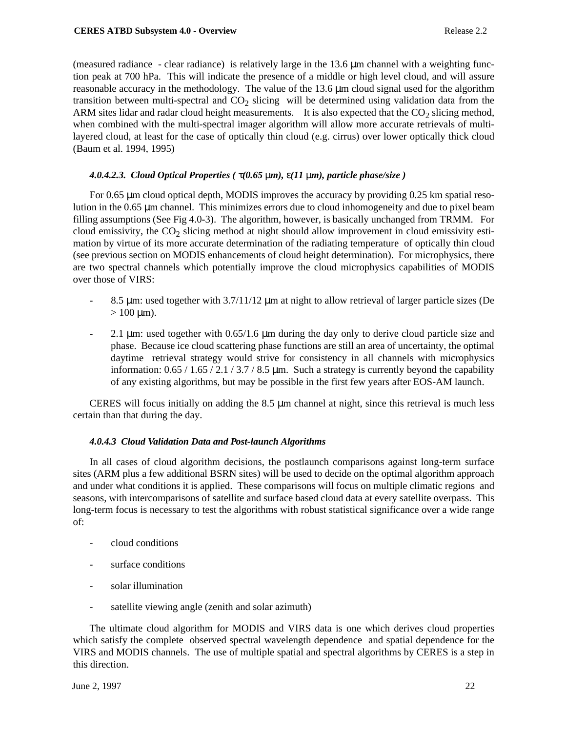(measured radiance - clear radiance) is relatively large in the  $13.6 \mu m$  channel with a weighting function peak at 700 hPa. This will indicate the presence of a middle or high level cloud, and will assure reasonable accuracy in the methodology. The value of the 13.6 µm cloud signal used for the algorithm transition between multi-spectral and  $CO<sub>2</sub>$  slicing will be determined using validation data from the ARM sites lidar and radar cloud height measurements. It is also expected that the  $CO<sub>2</sub>$  slicing method, when combined with the multi-spectral imager algorithm will allow more accurate retrievals of multilayered cloud, at least for the case of optically thin cloud (e.g. cirrus) over lower optically thick cloud (Baum et al. 1994, 1995)

## *4.0.4.2.3. Cloud Optical Properties (* τ*(0.65* µ*m),* ε*(11* µ*m), particle phase/size )*

For 0.65 µm cloud optical depth, MODIS improves the accuracy by providing 0.25 km spatial resolution in the 0.65 µm channel. This minimizes errors due to cloud inhomogeneity and due to pixel beam filling assumptions (See Fig 4.0-3). The algorithm, however, is basically unchanged from TRMM. For cloud emissivity, the  $CO_2$  slicing method at night should allow improvement in cloud emissivity estimation by virtue of its more accurate determination of the radiating temperature of optically thin cloud (see previous section on MODIS enhancements of cloud height determination). For microphysics, there are two spectral channels which potentially improve the cloud microphysics capabilities of MODIS over those of VIRS:

- 8.5  $\mu$ m: used together with 3.7/11/12  $\mu$ m at night to allow retrieval of larger particle sizes (De  $> 100 \mu m$ ).
- 2.1 µm: used together with 0.65/1.6 µm during the day only to derive cloud particle size and phase. Because ice cloud scattering phase functions are still an area of uncertainty, the optimal daytime retrieval strategy would strive for consistency in all channels with microphysics information:  $0.65 / 1.65 / 2.1 / 3.7 / 8.5 \,\mu m$ . Such a strategy is currently beyond the capability of any existing algorithms, but may be possible in the first few years after EOS-AM launch.

CERES will focus initially on adding the  $8.5 \mu m$  channel at night, since this retrieval is much less certain than that during the day.

#### *4.0.4.3 Cloud Validation Data and Post-launch Algorithms*

In all cases of cloud algorithm decisions, the postlaunch comparisons against long-term surface sites (ARM plus a few additional BSRN sites) will be used to decide on the optimal algorithm approach and under what conditions it is applied. These comparisons will focus on multiple climatic regions and seasons, with intercomparisons of satellite and surface based cloud data at every satellite overpass. This long-term focus is necessary to test the algorithms with robust statistical significance over a wide range of:

- cloud conditions
- surface conditions
- solar illumination
- satellite viewing angle (zenith and solar azimuth)

The ultimate cloud algorithm for MODIS and VIRS data is one which derives cloud properties which satisfy the complete observed spectral wavelength dependence and spatial dependence for the VIRS and MODIS channels. The use of multiple spatial and spectral algorithms by CERES is a step in this direction.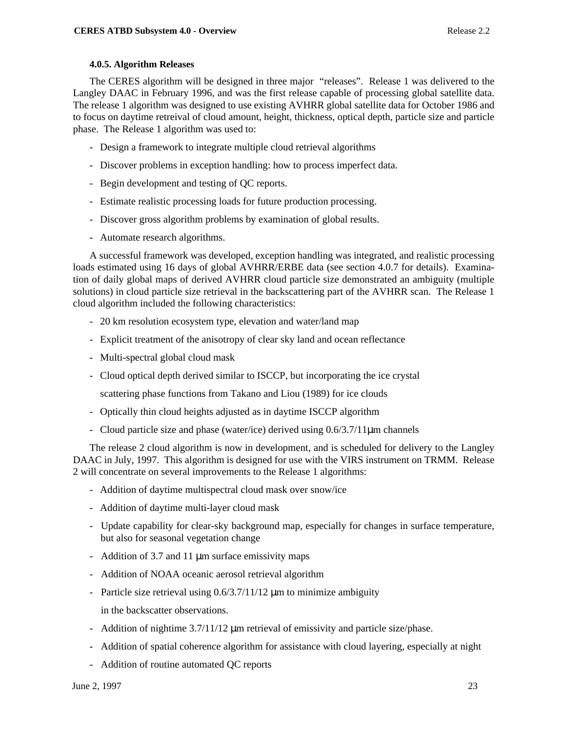### **4.0.5. Algorithm Releases**

The CERES algorithm will be designed in three major "releases". Release 1 was delivered to the Langley DAAC in February 1996, and was the first release capable of processing global satellite data. The release 1 algorithm was designed to use existing AVHRR global satellite data for October 1986 and to focus on daytime retreival of cloud amount, height, thickness, optical depth, particle size and particle phase. The Release 1 algorithm was used to:

- Design a framework to integrate multiple cloud retrieval algorithms
- Discover problems in exception handling: how to process imperfect data.
- Begin development and testing of QC reports.
- Estimate realistic processing loads for future production processing.
- Discover gross algorithm problems by examination of global results.
- Automate research algorithms.

A successful framework was developed, exception handling was integrated, and realistic processing loads estimated using 16 days of global AVHRR/ERBE data (see section 4.0.7 for details). Examination of daily global maps of derived AVHRR cloud particle size demonstrated an ambiguity (multiple solutions) in cloud particle size retrieval in the backscattering part of the AVHRR scan. The Release 1 cloud algorithm included the following characteristics:

- 20 km resolution ecosystem type, elevation and water/land map
- Explicit treatment of the anisotropy of clear sky land and ocean reflectance
- Multi-spectral global cloud mask
- Cloud optical depth derived similar to ISCCP, but incorporating the ice crystal

scattering phase functions from Takano and Liou (1989) for ice clouds

- Optically thin cloud heights adjusted as in daytime ISCCP algorithm
- Cloud particle size and phase (water/ice) derived using 0.6/3.7/11µm channels

The release 2 cloud algorithm is now in development, and is scheduled for delivery to the Langley DAAC in July, 1997. This algorithm is designed for use with the VIRS instrument on TRMM. Release 2 will concentrate on several improvements to the Release 1 algorithms:

- Addition of daytime multispectral cloud mask over snow/ice
- Addition of daytime multi-layer cloud mask
- Update capability for clear-sky background map, especially for changes in surface temperature, but also for seasonal vegetation change
- Addition of 3.7 and 11  $\mu$ m surface emissivity maps
- Addition of NOAA oceanic aerosol retrieval algorithm
- Particle size retrieval using  $0.6/3.7/11/12 \mu m$  to minimize ambiguity
- in the backscatter observations.
- Addition of nightime 3.7/11/12  $\mu$ m retrieval of emissivity and particle size/phase.
- Addition of spatial coherence algorithm for assistance with cloud layering, especially at night
- Addition of routine automated QC reports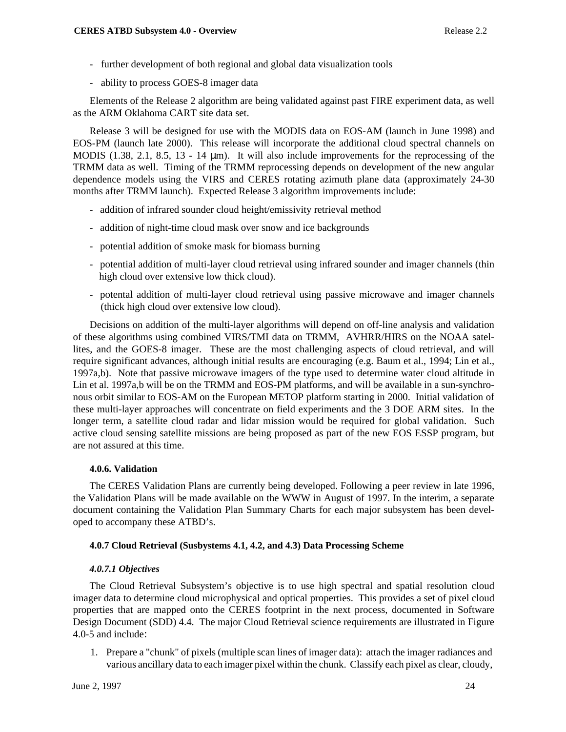- further development of both regional and global data visualization tools
- ability to process GOES-8 imager data

Elements of the Release 2 algorithm are being validated against past FIRE experiment data, as well as the ARM Oklahoma CART site data set.

Release 3 will be designed for use with the MODIS data on EOS-AM (launch in June 1998) and EOS-PM (launch late 2000). This release will incorporate the additional cloud spectral channels on MODIS (1.38, 2.1, 8.5, 13 - 14  $\mu$ m). It will also include improvements for the reprocessing of the TRMM data as well. Timing of the TRMM reprocessing depends on development of the new angular dependence models using the VIRS and CERES rotating azimuth plane data (approximately 24-30 months after TRMM launch). Expected Release 3 algorithm improvements include:

- addition of infrared sounder cloud height/emissivity retrieval method
- addition of night-time cloud mask over snow and ice backgrounds
- potential addition of smoke mask for biomass burning
- potential addition of multi-layer cloud retrieval using infrared sounder and imager channels (thin high cloud over extensive low thick cloud).
- potental addition of multi-layer cloud retrieval using passive microwave and imager channels (thick high cloud over extensive low cloud).

Decisions on addition of the multi-layer algorithms will depend on off-line analysis and validation of these algorithms using combined VIRS/TMI data on TRMM, AVHRR/HIRS on the NOAA satellites, and the GOES-8 imager. These are the most challenging aspects of cloud retrieval, and will require significant advances, although initial results are encouraging (e.g. Baum et al., 1994; Lin et al., 1997a,b). Note that passive microwave imagers of the type used to determine water cloud altitude in Lin et al. 1997a,b will be on the TRMM and EOS-PM platforms, and will be available in a sun-synchronous orbit similar to EOS-AM on the European METOP platform starting in 2000. Initial validation of these multi-layer approaches will concentrate on field experiments and the 3 DOE ARM sites. In the longer term, a satellite cloud radar and lidar mission would be required for global validation. Such active cloud sensing satellite missions are being proposed as part of the new EOS ESSP program, but are not assured at this time.

## **4.0.6. Validation**

The CERES Validation Plans are currently being developed. Following a peer review in late 1996, the Validation Plans will be made available on the WWW in August of 1997. In the interim, a separate document containing the Validation Plan Summary Charts for each major subsystem has been developed to accompany these ATBD's.

## **4.0.7 Cloud Retrieval (Susbystems 4.1, 4.2, and 4.3) Data Processing Scheme**

## *4.0.7.1 Objectives*

The Cloud Retrieval Subsystem's objective is to use high spectral and spatial resolution cloud imager data to determine cloud microphysical and optical properties. This provides a set of pixel cloud properties that are mapped onto the CERES footprint in the next process, documented in Software Design Document (SDD) 4.4. The major Cloud Retrieval science requirements are illustrated in Figure 4.0-5 and include:

1. Prepare a "chunk" of pixels (multiple scan lines of imager data): attach the imager radiances and various ancillary data to each imager pixel within the chunk. Classify each pixel as clear, cloudy,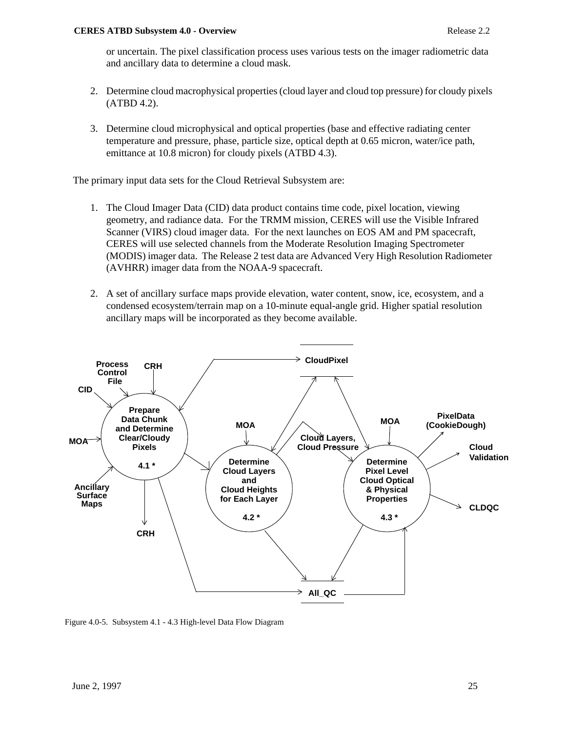or uncertain. The pixel classification process uses various tests on the imager radiometric data and ancillary data to determine a cloud mask.

- 2. Determine cloud macrophysical properties (cloud layer and cloud top pressure) for cloudy pixels (ATBD 4.2).
- 3. Determine cloud microphysical and optical properties (base and effective radiating center temperature and pressure, phase, particle size, optical depth at 0.65 micron, water/ice path, emittance at 10.8 micron) for cloudy pixels (ATBD 4.3).

The primary input data sets for the Cloud Retrieval Subsystem are:

- 1. The Cloud Imager Data (CID) data product contains time code, pixel location, viewing geometry, and radiance data. For the TRMM mission, CERES will use the Visible Infrared Scanner (VIRS) cloud imager data. For the next launches on EOS AM and PM spacecraft, CERES will use selected channels from the Moderate Resolution Imaging Spectrometer (MODIS) imager data. The Release 2 test data are Advanced Very High Resolution Radiometer (AVHRR) imager data from the NOAA-9 spacecraft.
- 2. A set of ancillary surface maps provide elevation, water content, snow, ice, ecosystem, and a condensed ecosystem/terrain map on a 10-minute equal-angle grid. Higher spatial resolution ancillary maps will be incorporated as they become available.



Figure 4.0-5. Subsystem 4.1 - 4.3 High-level Data Flow Diagram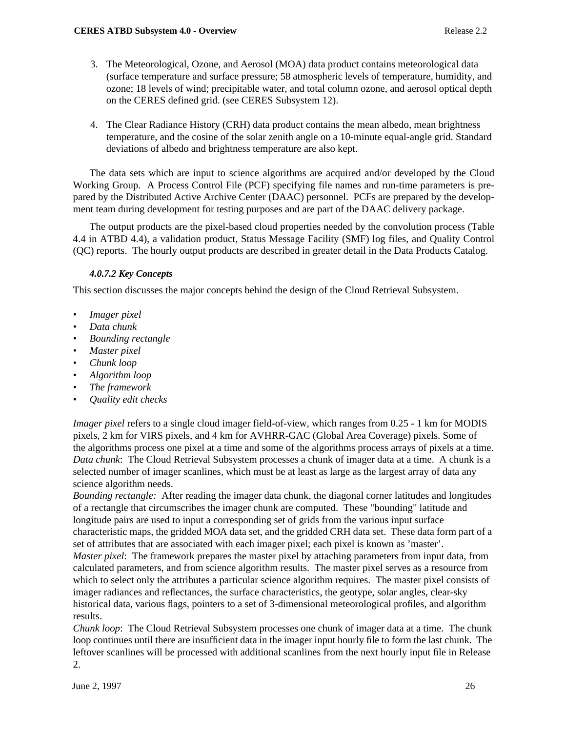- 3. The Meteorological, Ozone, and Aerosol (MOA) data product contains meteorological data (surface temperature and surface pressure; 58 atmospheric levels of temperature, humidity, and ozone; 18 levels of wind; precipitable water, and total column ozone, and aerosol optical depth on the CERES defined grid. (see CERES Subsystem 12).
- 4. The Clear Radiance History (CRH) data product contains the mean albedo, mean brightness temperature, and the cosine of the solar zenith angle on a 10-minute equal-angle grid. Standard deviations of albedo and brightness temperature are also kept.

The data sets which are input to science algorithms are acquired and/or developed by the Cloud Working Group. A Process Control File (PCF) specifying file names and run-time parameters is prepared by the Distributed Active Archive Center (DAAC) personnel. PCFs are prepared by the development team during development for testing purposes and are part of the DAAC delivery package.

The output products are the pixel-based cloud properties needed by the convolution process (Table 4.4 in ATBD 4.4), a validation product, Status Message Facility (SMF) log files, and Quality Control (QC) reports. The hourly output products are described in greater detail in the Data Products Catalog.

## *4.0.7.2 Key Concepts*

This section discusses the major concepts behind the design of the Cloud Retrieval Subsystem.

- *Imager pixel*
- *Data chunk*
- *Bounding rectangle*
- *Master pixel*
- *Chunk loop*
- *Algorithm loop*
- *The framework*
- *Quality edit checks*

*Imager pixel* refers to a single cloud imager field-of-view, which ranges from 0.25 - 1 km for MODIS pixels, 2 km for VIRS pixels, and 4 km for AVHRR-GAC (Global Area Coverage) pixels. Some of the algorithms process one pixel at a time and some of the algorithms process arrays of pixels at a time. *Data chunk*: The Cloud Retrieval Subsystem processes a chunk of imager data at a time. A chunk is a selected number of imager scanlines, which must be at least as large as the largest array of data any science algorithm needs.

*Bounding rectangle:* After reading the imager data chunk, the diagonal corner latitudes and longitudes of a rectangle that circumscribes the imager chunk are computed. These "bounding" latitude and longitude pairs are used to input a corresponding set of grids from the various input surface characteristic maps, the gridded MOA data set, and the gridded CRH data set. These data form part of a set of attributes that are associated with each imager pixel; each pixel is known as 'master'. *Master pixel*: The framework prepares the master pixel by attaching parameters from input data, from calculated parameters, and from science algorithm results. The master pixel serves as a resource from which to select only the attributes a particular science algorithm requires. The master pixel consists of imager radiances and reflectances, the surface characteristics, the geotype, solar angles, clear-sky historical data, various flags, pointers to a set of 3-dimensional meteorological profiles, and algorithm results.

*Chunk loop*: The Cloud Retrieval Subsystem processes one chunk of imager data at a time. The chunk loop continues until there are insufficient data in the imager input hourly file to form the last chunk. The leftover scanlines will be processed with additional scanlines from the next hourly input file in Release 2.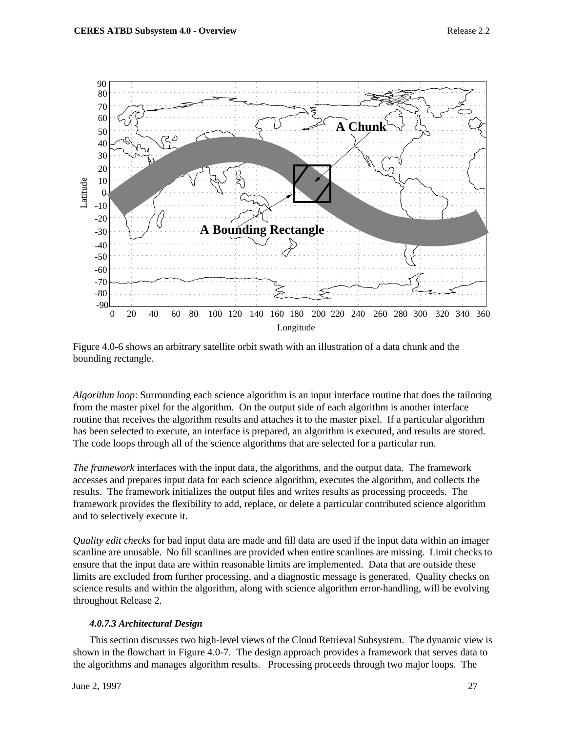



*Algorithm loop*: Surrounding each science algorithm is an input interface routine that does the tailoring from the master pixel for the algorithm. On the output side of each algorithm is another interface routine that receives the algorithm results and attaches it to the master pixel. If a particular algorithm has been selected to execute, an interface is prepared, an algorithm is executed, and results are stored. The code loops through all of the science algorithms that are selected for a particular run.

*The framework* interfaces with the input data, the algorithms, and the output data. The framework accesses and prepares input data for each science algorithm, executes the algorithm, and collects the results. The framework initializes the output files and writes results as processing proceeds. The framework provides the flexibility to add, replace, or delete a particular contributed science algorithm and to selectively execute it.

*Quality edit checks* for bad input data are made and fill data are used if the input data within an imager scanline are unusable. No fill scanlines are provided when entire scanlines are missing. Limit checks to ensure that the input data are within reasonable limits are implemented. Data that are outside these limits are excluded from further processing, and a diagnostic message is generated. Quality checks on science results and within the algorithm, along with science algorithm error-handling, will be evolving throughout Release 2.

## *4.0.7.3 Architectural Design*

This section discusses two high-level views of the Cloud Retrieval Subsystem. The dynamic view is shown in the flowchart in Figure 4.0-7. The design approach provides a framework that serves data to the algorithms and manages algorithm results. Processing proceeds through two major loops. The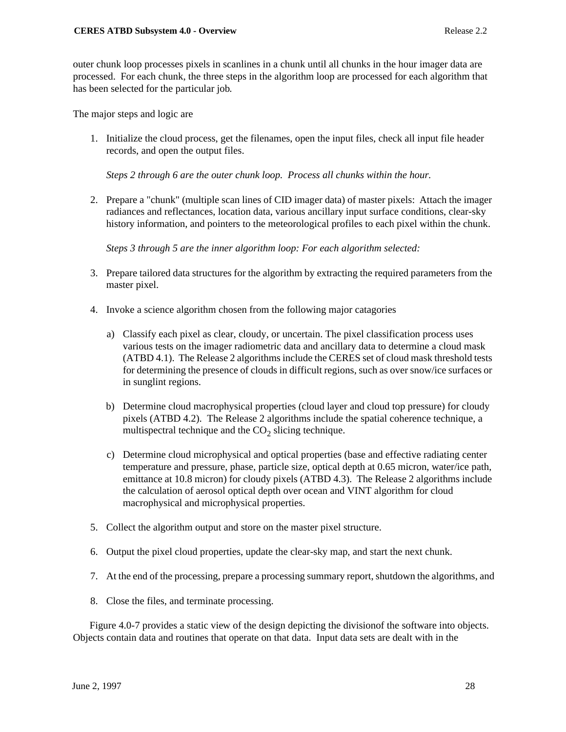outer chunk loop processes pixels in scanlines in a chunk until all chunks in the hour imager data are processed. For each chunk, the three steps in the algorithm loop are processed for each algorithm that has been selected for the particular job.

The major steps and logic are

1. Initialize the cloud process, get the filenames, open the input files, check all input file header records, and open the output files.

*Steps 2 through 6 are the outer chunk loop. Process all chunks within the hour.*

2. Prepare a "chunk" (multiple scan lines of CID imager data) of master pixels: Attach the imager radiances and reflectances, location data, various ancillary input surface conditions, clear-sky history information, and pointers to the meteorological profiles to each pixel within the chunk.

*Steps 3 through 5 are the inner algorithm loop: For each algorithm selected:*

- 3. Prepare tailored data structures for the algorithm by extracting the required parameters from the master pixel.
- 4. Invoke a science algorithm chosen from the following major catagories
	- a) Classify each pixel as clear, cloudy, or uncertain. The pixel classification process uses various tests on the imager radiometric data and ancillary data to determine a cloud mask (ATBD 4.1). The Release 2 algorithms include the CERES set of cloud mask threshold tests for determining the presence of clouds in difficult regions, such as over snow/ice surfaces or in sunglint regions.
	- b) Determine cloud macrophysical properties (cloud layer and cloud top pressure) for cloudy pixels (ATBD 4.2). The Release 2 algorithms include the spatial coherence technique, a multispectral technique and the  $CO<sub>2</sub>$  slicing technique.
	- c) Determine cloud microphysical and optical properties (base and effective radiating center temperature and pressure, phase, particle size, optical depth at 0.65 micron, water/ice path, emittance at 10.8 micron) for cloudy pixels (ATBD 4.3). The Release 2 algorithms include the calculation of aerosol optical depth over ocean and VINT algorithm for cloud macrophysical and microphysical properties.
- 5. Collect the algorithm output and store on the master pixel structure.
- 6. Output the pixel cloud properties, update the clear-sky map, and start the next chunk.
- 7. At the end of the processing, prepare a processing summary report, shutdown the algorithms, and
- 8. Close the files, and terminate processing.

Figure 4.0-7 provides a static view of the design depicting the divisionof the software into objects. Objects contain data and routines that operate on that data. Input data sets are dealt with in the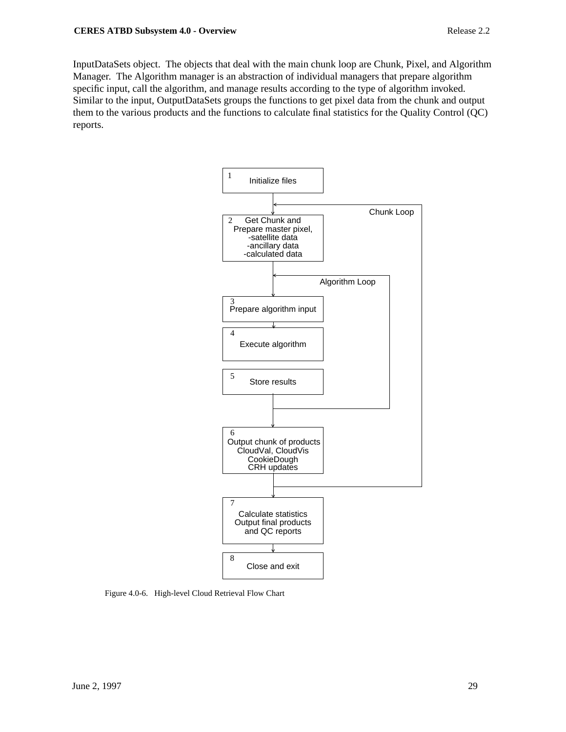InputDataSets object. The objects that deal with the main chunk loop are Chunk, Pixel, and Algorithm Manager. The Algorithm manager is an abstraction of individual managers that prepare algorithm specific input, call the algorithm, and manage results according to the type of algorithm invoked. Similar to the input, OutputDataSets groups the functions to get pixel data from the chunk and output them to the various products and the functions to calculate final statistics for the Quality Control (QC) reports.



Figure 4.0-6. High-level Cloud Retrieval Flow Chart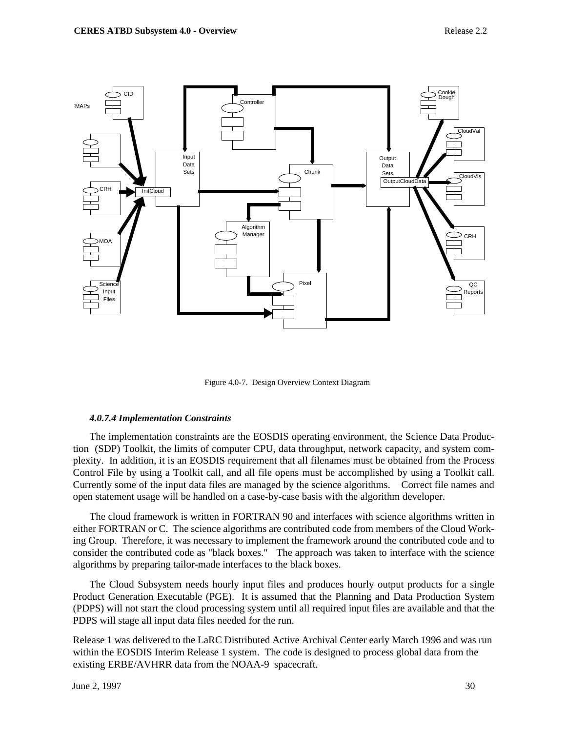

Figure 4.0-7. Design Overview Context Diagram

#### *4.0.7.4 Implementation Constraints*

The implementation constraints are the EOSDIS operating environment, the Science Data Production (SDP) Toolkit, the limits of computer CPU, data throughput, network capacity, and system complexity. In addition, it is an EOSDIS requirement that all filenames must be obtained from the Process Control File by using a Toolkit call, and all file opens must be accomplished by using a Toolkit call. Currently some of the input data files are managed by the science algorithms. Correct file names and open statement usage will be handled on a case-by-case basis with the algorithm developer.

The cloud framework is written in FORTRAN 90 and interfaces with science algorithms written in either FORTRAN or C. The science algorithms are contributed code from members of the Cloud Working Group. Therefore, it was necessary to implement the framework around the contributed code and to consider the contributed code as "black boxes." The approach was taken to interface with the science algorithms by preparing tailor-made interfaces to the black boxes.

The Cloud Subsystem needs hourly input files and produces hourly output products for a single Product Generation Executable (PGE). It is assumed that the Planning and Data Production System (PDPS) will not start the cloud processing system until all required input files are available and that the PDPS will stage all input data files needed for the run.

Release 1 was delivered to the LaRC Distributed Active Archival Center early March 1996 and was run within the EOSDIS Interim Release 1 system. The code is designed to process global data from the existing ERBE/AVHRR data from the NOAA-9 spacecraft.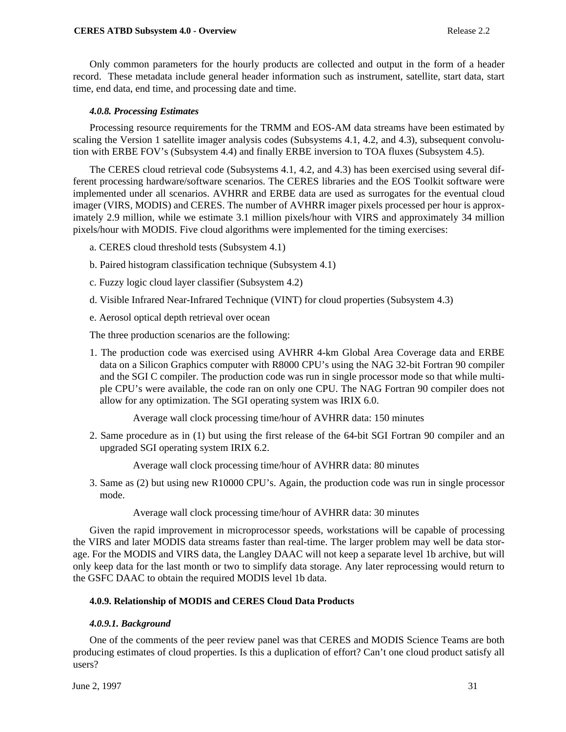#### **CERES ATBD Subsystem 4.0 - Overview Release 2.2**

Only common parameters for the hourly products are collected and output in the form of a header record. These metadata include general header information such as instrument, satellite, start data, start time, end data, end time, and processing date and time.

#### *4.0.8. Processing Estimates*

Processing resource requirements for the TRMM and EOS-AM data streams have been estimated by scaling the Version 1 satellite imager analysis codes (Subsystems 4.1, 4.2, and 4.3), subsequent convolution with ERBE FOV's (Subsystem 4.4) and finally ERBE inversion to TOA fluxes (Subsystem 4.5).

The CERES cloud retrieval code (Subsystems 4.1, 4.2, and 4.3) has been exercised using several different processing hardware/software scenarios. The CERES libraries and the EOS Toolkit software were implemented under all scenarios. AVHRR and ERBE data are used as surrogates for the eventual cloud imager (VIRS, MODIS) and CERES. The number of AVHRR imager pixels processed per hour is approximately 2.9 million, while we estimate 3.1 million pixels/hour with VIRS and approximately 34 million pixels/hour with MODIS. Five cloud algorithms were implemented for the timing exercises:

- a. CERES cloud threshold tests (Subsystem 4.1)
- b. Paired histogram classification technique (Subsystem 4.1)
- c. Fuzzy logic cloud layer classifier (Subsystem 4.2)
- d. Visible Infrared Near-Infrared Technique (VINT) for cloud properties (Subsystem 4.3)
- e. Aerosol optical depth retrieval over ocean

The three production scenarios are the following:

1. The production code was exercised using AVHRR 4-km Global Area Coverage data and ERBE data on a Silicon Graphics computer with R8000 CPU's using the NAG 32-bit Fortran 90 compiler and the SGI C compiler. The production code was run in single processor mode so that while multiple CPU's were available, the code ran on only one CPU. The NAG Fortran 90 compiler does not allow for any optimization. The SGI operating system was IRIX 6.0.

Average wall clock processing time/hour of AVHRR data: 150 minutes

2. Same procedure as in (1) but using the first release of the 64-bit SGI Fortran 90 compiler and an upgraded SGI operating system IRIX 6.2.

Average wall clock processing time/hour of AVHRR data: 80 minutes

3. Same as (2) but using new R10000 CPU's. Again, the production code was run in single processor mode.

Average wall clock processing time/hour of AVHRR data: 30 minutes

Given the rapid improvement in microprocessor speeds, workstations will be capable of processing the VIRS and later MODIS data streams faster than real-time. The larger problem may well be data storage. For the MODIS and VIRS data, the Langley DAAC will not keep a separate level 1b archive, but will only keep data for the last month or two to simplify data storage. Any later reprocessing would return to the GSFC DAAC to obtain the required MODIS level 1b data.

#### **4.0.9. Relationship of MODIS and CERES Cloud Data Products**

#### *4.0.9.1. Background*

One of the comments of the peer review panel was that CERES and MODIS Science Teams are both producing estimates of cloud properties. Is this a duplication of effort? Can't one cloud product satisfy all users?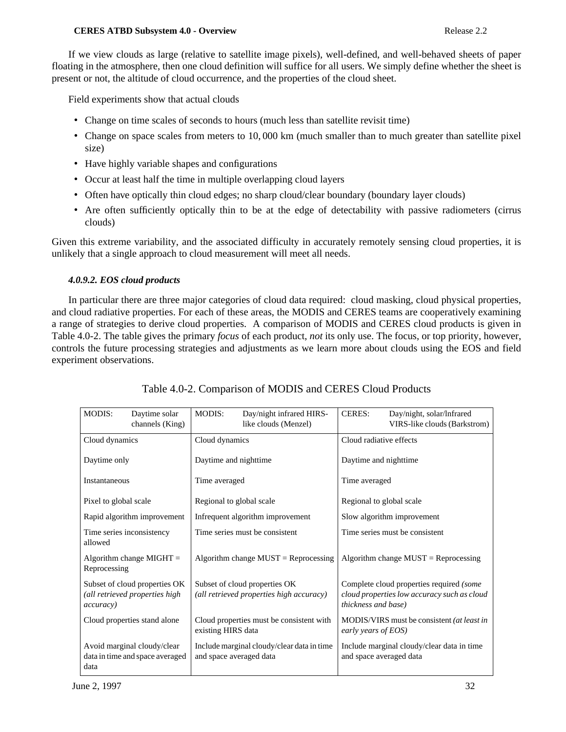#### **CERES ATBD Subsystem 4.0 - Overview Release 2.2**

If we view clouds as large (relative to satellite image pixels), well-defined, and well-behaved sheets of paper floating in the atmosphere, then one cloud definition will suffice for all users. We simply define whether the sheet is present or not, the altitude of cloud occurrence, and the properties of the cloud sheet.

Field experiments show that actual clouds

- Change on time scales of seconds to hours (much less than satellite revisit time)
- Change on space scales from meters to 10, 000 km (much smaller than to much greater than satellite pixel size)
- Have highly variable shapes and configurations
- Occur at least half the time in multiple overlapping cloud layers
- Often have optically thin cloud edges; no sharp cloud/clear boundary (boundary layer clouds)
- Are often sufficiently optically thin to be at the edge of detectability with passive radiometers (cirrus clouds)

Given this extreme variability, and the associated difficulty in accurately remotely sensing cloud properties, it is unlikely that a single approach to cloud measurement will meet all needs.

## *4.0.9.2. EOS cloud products*

In particular there are three major categories of cloud data required: cloud masking, cloud physical properties, and cloud radiative properties. For each of these areas, the MODIS and CERES teams are cooperatively examining a range of strategies to derive cloud properties. A comparison of MODIS and CERES cloud products is given in Table 4.0-2. The table gives the primary *focus* of each product, *not* its only use. The focus, or top priority, however, controls the future processing strategies and adjustments as we learn more about clouds using the EOS and field experiment observations.

| MODIS:                      | Daytime solar<br>channels (King)                                | MODIS:                           | Day/night infrared HIRS-<br>like clouds (Menzel)                          | <b>CERES:</b>                  | Day/night, solar/Infrared<br>VIRS-like clouds (Barkstrom)                               |  |
|-----------------------------|-----------------------------------------------------------------|----------------------------------|---------------------------------------------------------------------------|--------------------------------|-----------------------------------------------------------------------------------------|--|
| Cloud dynamics              |                                                                 | Cloud dynamics                   |                                                                           | Cloud radiative effects        |                                                                                         |  |
| Daytime only                |                                                                 | Daytime and nighttime            |                                                                           | Daytime and nighttime          |                                                                                         |  |
| Instantaneous               |                                                                 | Time averaged                    |                                                                           | Time averaged                  |                                                                                         |  |
| Pixel to global scale       |                                                                 | Regional to global scale         |                                                                           | Regional to global scale       |                                                                                         |  |
| Rapid algorithm improvement |                                                                 | Infrequent algorithm improvement |                                                                           | Slow algorithm improvement     |                                                                                         |  |
| allowed                     | Time series inconsistency                                       | Time series must be consistent   |                                                                           | Time series must be consistent |                                                                                         |  |
| Reprocessing                | Algorithm change MIGHT $=$                                      |                                  | Algorithm change $MUST =$ Reprocessing                                    |                                | Algorithm change $MUST = Reprocessing$                                                  |  |
| <i>accuracy</i> )           | Subset of cloud properties OK<br>(all retrieved properties high |                                  | Subset of cloud properties OK<br>(all retrieved properties high accuracy) | <i>thickness and base</i> )    | Complete cloud properties required (some<br>cloud properties low accuracy such as cloud |  |
|                             | Cloud properties stand alone                                    | existing HIRS data               | Cloud properties must be consistent with                                  | early years of EOS)            | MODIS/VIRS must be consistent (at least in                                              |  |
| data                        | Avoid marginal cloudy/clear<br>data in time and space averaged  | and space averaged data          | Include marginal cloudy/clear data in time                                |                                | Include marginal cloudy/clear data in time<br>and space averaged data                   |  |

## Table 4.0-2. Comparison of MODIS and CERES Cloud Products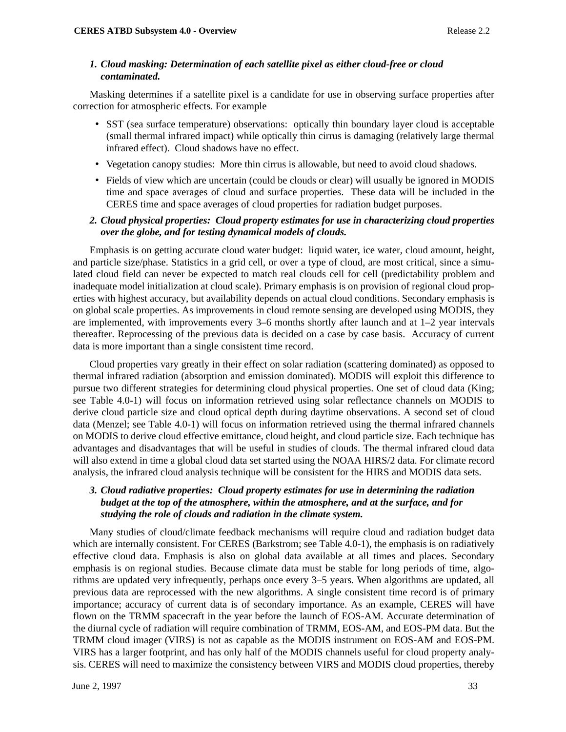## *1. Cloud masking: Determination of each satellite pixel as either cloud-free or cloud contaminated.*

Masking determines if a satellite pixel is a candidate for use in observing surface properties after correction for atmospheric effects. For example

- SST (sea surface temperature) observations: optically thin boundary layer cloud is acceptable (small thermal infrared impact) while optically thin cirrus is damaging (relatively large thermal infrared effect). Cloud shadows have no effect.
- Vegetation canopy studies: More thin cirrus is allowable, but need to avoid cloud shadows.
- Fields of view which are uncertain (could be clouds or clear) will usually be ignored in MODIS time and space averages of cloud and surface properties. These data will be included in the CERES time and space averages of cloud properties for radiation budget purposes.

## *2. Cloud physical properties: Cloud property estimates for use in characterizing cloud properties over the globe, and for testing dynamical models of clouds.*

Emphasis is on getting accurate cloud water budget: liquid water, ice water, cloud amount, height, and particle size/phase. Statistics in a grid cell, or over a type of cloud, are most critical, since a simulated cloud field can never be expected to match real clouds cell for cell (predictability problem and inadequate model initialization at cloud scale). Primary emphasis is on provision of regional cloud properties with highest accuracy, but availability depends on actual cloud conditions. Secondary emphasis is on global scale properties. As improvements in cloud remote sensing are developed using MODIS, they are implemented, with improvements every 3–6 months shortly after launch and at 1–2 year intervals thereafter. Reprocessing of the previous data is decided on a case by case basis. Accuracy of current data is more important than a single consistent time record.

Cloud properties vary greatly in their effect on solar radiation (scattering dominated) as opposed to thermal infrared radiation (absorption and emission dominated). MODIS will exploit this difference to pursue two different strategies for determining cloud physical properties. One set of cloud data (King; see Table 4.0-1) will focus on information retrieved using solar reflectance channels on MODIS to derive cloud particle size and cloud optical depth during daytime observations. A second set of cloud data (Menzel; see Table 4.0-1) will focus on information retrieved using the thermal infrared channels on MODIS to derive cloud effective emittance, cloud height, and cloud particle size. Each technique has advantages and disadvantages that will be useful in studies of clouds. The thermal infrared cloud data will also extend in time a global cloud data set started using the NOAA HIRS/2 data. For climate record analysis, the infrared cloud analysis technique will be consistent for the HIRS and MODIS data sets.

## *3. Cloud radiative properties: Cloud property estimates for use in determining the radiation budget at the top of the atmosphere, within the atmosphere, and at the surface, and for studying the role of clouds and radiation in the climate system.*

Many studies of cloud/climate feedback mechanisms will require cloud and radiation budget data which are internally consistent. For CERES (Barkstrom; see Table 4.0-1), the emphasis is on radiatively effective cloud data. Emphasis is also on global data available at all times and places. Secondary emphasis is on regional studies. Because climate data must be stable for long periods of time, algorithms are updated very infrequently, perhaps once every 3–5 years. When algorithms are updated, all previous data are reprocessed with the new algorithms. A single consistent time record is of primary importance; accuracy of current data is of secondary importance. As an example, CERES will have flown on the TRMM spacecraft in the year before the launch of EOS-AM. Accurate determination of the diurnal cycle of radiation will require combination of TRMM, EOS-AM, and EOS-PM data. But the TRMM cloud imager (VIRS) is not as capable as the MODIS instrument on EOS-AM and EOS-PM. VIRS has a larger footprint, and has only half of the MODIS channels useful for cloud property analysis. CERES will need to maximize the consistency between VIRS and MODIS cloud properties, thereby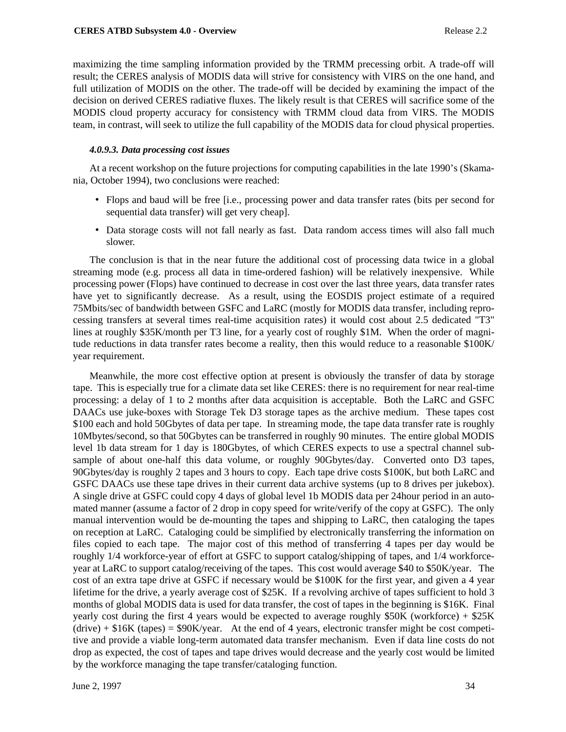maximizing the time sampling information provided by the TRMM precessing orbit. A trade-off will result; the CERES analysis of MODIS data will strive for consistency with VIRS on the one hand, and full utilization of MODIS on the other. The trade-off will be decided by examining the impact of the decision on derived CERES radiative fluxes. The likely result is that CERES will sacrifice some of the MODIS cloud property accuracy for consistency with TRMM cloud data from VIRS. The MODIS team, in contrast, will seek to utilize the full capability of the MODIS data for cloud physical properties.

#### *4.0.9.3. Data processing cost issues*

At a recent workshop on the future projections for computing capabilities in the late 1990's (Skamania, October 1994), two conclusions were reached:

- Flops and baud will be free [i.e., processing power and data transfer rates (bits per second for sequential data transfer) will get very cheap].
- Data storage costs will not fall nearly as fast. Data random access times will also fall much slower.

The conclusion is that in the near future the additional cost of processing data twice in a global streaming mode (e.g. process all data in time-ordered fashion) will be relatively inexpensive. While processing power (Flops) have continued to decrease in cost over the last three years, data transfer rates have yet to significantly decrease. As a result, using the EOSDIS project estimate of a required 75Mbits/sec of bandwidth between GSFC and LaRC (mostly for MODIS data transfer, including reprocessing transfers at several times real-time acquisition rates) it would cost about 2.5 dedicated "T3" lines at roughly \$35K/month per T3 line, for a yearly cost of roughly \$1M. When the order of magnitude reductions in data transfer rates become a reality, then this would reduce to a reasonable \$100K/ year requirement.

Meanwhile, the more cost effective option at present is obviously the transfer of data by storage tape. This is especially true for a climate data set like CERES: there is no requirement for near real-time processing: a delay of 1 to 2 months after data acquisition is acceptable. Both the LaRC and GSFC DAACs use juke-boxes with Storage Tek D3 storage tapes as the archive medium. These tapes cost \$100 each and hold 50Gbytes of data per tape. In streaming mode, the tape data transfer rate is roughly 10Mbytes/second, so that 50Gbytes can be transferred in roughly 90 minutes. The entire global MODIS level 1b data stream for 1 day is 180Gbytes, of which CERES expects to use a spectral channel subsample of about one-half this data volume, or roughly 90Gbytes/day. Converted onto D3 tapes, 90Gbytes/day is roughly 2 tapes and 3 hours to copy. Each tape drive costs \$100K, but both LaRC and GSFC DAACs use these tape drives in their current data archive systems (up to 8 drives per jukebox). A single drive at GSFC could copy 4 days of global level 1b MODIS data per 24hour period in an automated manner (assume a factor of 2 drop in copy speed for write/verify of the copy at GSFC). The only manual intervention would be de-mounting the tapes and shipping to LaRC, then cataloging the tapes on reception at LaRC. Cataloging could be simplified by electronically transferring the information on files copied to each tape. The major cost of this method of transferring 4 tapes per day would be roughly 1/4 workforce-year of effort at GSFC to support catalog/shipping of tapes, and 1/4 workforceyear at LaRC to support catalog/receiving of the tapes. This cost would average \$40 to \$50K/year. The cost of an extra tape drive at GSFC if necessary would be \$100K for the first year, and given a 4 year lifetime for the drive, a yearly average cost of \$25K. If a revolving archive of tapes sufficient to hold 3 months of global MODIS data is used for data transfer, the cost of tapes in the beginning is \$16K. Final yearly cost during the first 4 years would be expected to average roughly  $$50K$  (workforce) +  $$25K$  $(drive) + $16K$  (tapes) = \$90K/year. At the end of 4 years, electronic transfer might be cost competitive and provide a viable long-term automated data transfer mechanism. Even if data line costs do not drop as expected, the cost of tapes and tape drives would decrease and the yearly cost would be limited by the workforce managing the tape transfer/cataloging function.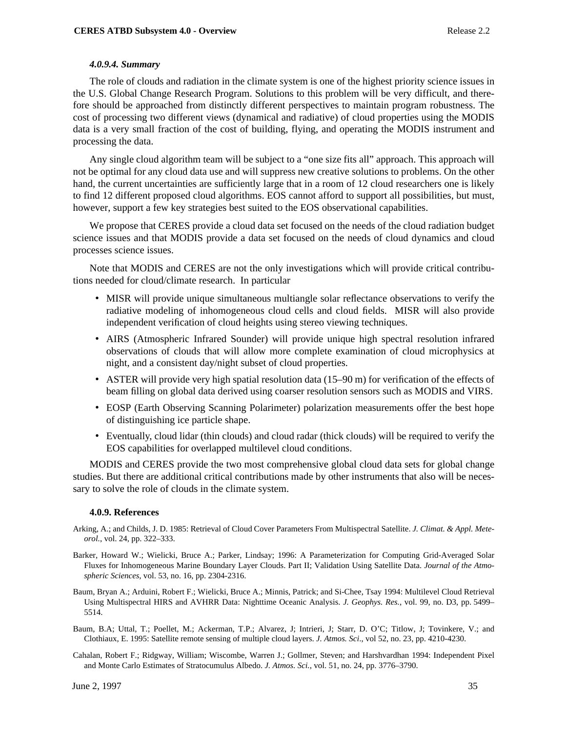#### *4.0.9.4. Summary*

The role of clouds and radiation in the climate system is one of the highest priority science issues in the U.S. Global Change Research Program. Solutions to this problem will be very difficult, and therefore should be approached from distinctly different perspectives to maintain program robustness. The cost of processing two different views (dynamical and radiative) of cloud properties using the MODIS data is a very small fraction of the cost of building, flying, and operating the MODIS instrument and processing the data.

Any single cloud algorithm team will be subject to a "one size fits all" approach. This approach will not be optimal for any cloud data use and will suppress new creative solutions to problems. On the other hand, the current uncertainties are sufficiently large that in a room of 12 cloud researchers one is likely to find 12 different proposed cloud algorithms. EOS cannot afford to support all possibilities, but must, however, support a few key strategies best suited to the EOS observational capabilities.

We propose that CERES provide a cloud data set focused on the needs of the cloud radiation budget science issues and that MODIS provide a data set focused on the needs of cloud dynamics and cloud processes science issues.

Note that MODIS and CERES are not the only investigations which will provide critical contributions needed for cloud/climate research. In particular

- MISR will provide unique simultaneous multiangle solar reflectance observations to verify the radiative modeling of inhomogeneous cloud cells and cloud fields. MISR will also provide independent verification of cloud heights using stereo viewing techniques.
- AIRS (Atmospheric Infrared Sounder) will provide unique high spectral resolution infrared observations of clouds that will allow more complete examination of cloud microphysics at night, and a consistent day/night subset of cloud properties.
- ASTER will provide very high spatial resolution data (15–90 m) for verification of the effects of beam filling on global data derived using coarser resolution sensors such as MODIS and VIRS.
- EOSP (Earth Observing Scanning Polarimeter) polarization measurements offer the best hope of distinguishing ice particle shape.
- Eventually, cloud lidar (thin clouds) and cloud radar (thick clouds) will be required to verify the EOS capabilities for overlapped multilevel cloud conditions.

MODIS and CERES provide the two most comprehensive global cloud data sets for global change studies. But there are additional critical contributions made by other instruments that also will be necessary to solve the role of clouds in the climate system.

#### **4.0.9. References**

- Arking, A.; and Childs, J. D. 1985: Retrieval of Cloud Cover Parameters From Multispectral Satellite. *J. Climat. & Appl. Meteorol.*, vol. 24, pp. 322–333.
- Barker, Howard W.; Wielicki, Bruce A.; Parker, Lindsay; 1996: A Parameterization for Computing Grid-Averaged Solar Fluxes for Inhomogeneous Marine Boundary Layer Clouds. Part II; Validation Using Satellite Data. *Journal of the Atmospheric Sciences,* vol. 53, no. 16, pp. 2304-2316.
- Baum, Bryan A.; Arduini, Robert F.; Wielicki, Bruce A.; Minnis, Patrick; and Si-Chee, Tsay 1994: Multilevel Cloud Retrieval Using Multispectral HIRS and AVHRR Data: Nighttime Oceanic Analysis. *J. Geophys. Res.*, vol. 99, no. D3, pp. 5499– 5514.
- Baum, B.A; Uttal, T.; Poellet, M.; Ackerman, T.P.; Alvarez, J; Intrieri, J; Starr, D. O'C; Titlow, J; Tovinkere, V.; and Clothiaux, E. 1995: Satellite remote sensing of multiple cloud layers. *J. Atmos. Sci*., vol 52, no. 23, pp. 4210-4230.
- Cahalan, Robert F.; Ridgway, William; Wiscombe, Warren J.; Gollmer, Steven; and Harshvardhan 1994: Independent Pixel and Monte Carlo Estimates of Stratocumulus Albedo. *J. Atmos. Sci.*, vol. 51, no. 24, pp. 3776–3790.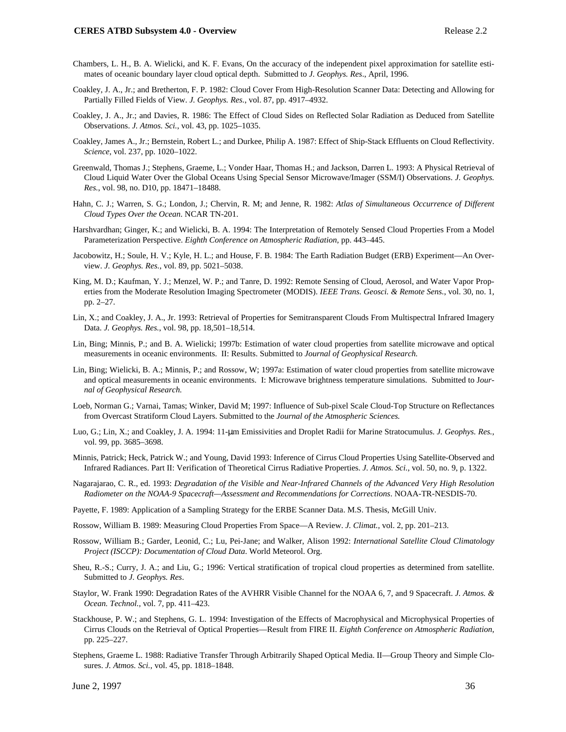- Chambers, L. H., B. A. Wielicki, and K. F. Evans, On the accuracy of the independent pixel approximation for satellite estimates of oceanic boundary layer cloud optical depth. Submitted to *J. Geophys. Res*., April, 1996.
- Coakley, J. A., Jr.; and Bretherton, F. P. 1982: Cloud Cover From High-Resolution Scanner Data: Detecting and Allowing for Partially Filled Fields of View. *J. Geophys. Res.*, vol. 87, pp. 4917–4932.
- Coakley, J. A., Jr.; and Davies, R. 1986: The Effect of Cloud Sides on Reflected Solar Radiation as Deduced from Satellite Observations. *J. Atmos. Sci.*, vol. 43, pp. 1025–1035.
- Coakley, James A., Jr.; Bernstein, Robert L.; and Durkee, Philip A. 1987: Effect of Ship-Stack Effluents on Cloud Reflectivity. *Science*, vol. 237, pp. 1020–1022.
- Greenwald, Thomas J.; Stephens, Graeme, L.; Vonder Haar, Thomas H.; and Jackson, Darren L. 1993: A Physical Retrieval of Cloud Liquid Water Over the Global Oceans Using Special Sensor Microwave/Imager (SSM/I) Observations. *J. Geophys. Res.*, vol. 98, no. D10, pp. 18471–18488.
- Hahn, C. J.; Warren, S. G.; London, J.; Chervin, R. M; and Jenne, R. 1982: *Atlas of Simultaneous Occurrence of Different Cloud Types Over the Ocean*. NCAR TN-201.
- Harshvardhan; Ginger, K.; and Wielicki, B. A. 1994: The Interpretation of Remotely Sensed Cloud Properties From a Model Parameterization Perspective. *Eighth Conference on Atmospheric Radiation*, pp. 443–445.
- Jacobowitz, H.; Soule, H. V.; Kyle, H. L.; and House, F. B. 1984: The Earth Radiation Budget (ERB) Experiment—An Overview. *J. Geophys. Res.*, vol. 89, pp. 5021–5038.
- King, M. D.; Kaufman, Y. J.; Menzel, W. P.; and Tanre, D. 1992: Remote Sensing of Cloud, Aerosol, and Water Vapor Properties from the Moderate Resolution Imaging Spectrometer (MODIS). *IEEE Trans. Geosci. & Remote Sens.*, vol. 30, no. 1, pp. 2–27.
- Lin, X.; and Coakley, J. A., Jr. 1993: Retrieval of Properties for Semitransparent Clouds From Multispectral Infrared Imagery Data. *J. Geophys. Res.*, vol. 98, pp. 18,501–18,514.
- Lin, Bing; Minnis, P.; and B. A. Wielicki; 1997b: Estimation of water cloud properties from satellite microwave and optical measurements in oceanic environments. II: Results. Submitted to *Journal of Geophysical Research.*
- Lin, Bing; Wielicki, B. A.; Minnis, P.; and Rossow, W; 1997a: Estimation of water cloud properties from satellite microwave and optical measurements in oceanic environments. I: Microwave brightness temperature simulations. Submitted to J*ournal of Geophysical Research.*
- Loeb, Norman G.; Varnai, Tamas; Winker, David M; 1997: Influence of Sub-pixel Scale Cloud-Top Structure on Reflectances from Overcast Stratiform Cloud Layers. Submitted to the *Journal of the Atmospheric Sciences.*
- Luo, G.; Lin, X.; and Coakley, J. A. 1994: 11-µm Emissivities and Droplet Radii for Marine Stratocumulus. *J. Geophys. Res.*, vol. 99, pp. 3685–3698.
- Minnis, Patrick; Heck, Patrick W.; and Young, David 1993: Inference of Cirrus Cloud Properties Using Satellite-Observed and Infrared Radiances. Part II: Verification of Theoretical Cirrus Radiative Properties. *J. Atmos. Sci.*, vol. 50, no. 9, p. 1322.
- Nagarajarao, C. R., ed. 1993: *Degradation of the Visible and Near-Infrared Channels of the Advanced Very High Resolution Radiometer on the NOAA-9 Spacecraft—Assessment and Recommendations for Corrections*. NOAA-TR-NESDIS-70.
- Payette, F. 1989: Application of a Sampling Strategy for the ERBE Scanner Data. M.S. Thesis, McGill Univ.
- Rossow, William B. 1989: Measuring Cloud Properties From Space—A Review. *J. Climat.*, vol. 2, pp. 201–213.
- Rossow, William B.; Garder, Leonid, C.; Lu, Pei-Jane; and Walker, Alison 1992: *International Satellite Cloud Climatology Project (ISCCP): Documentation of Cloud Data*. World Meteorol. Org.
- Sheu, R.-S.; Curry, J. A.; and Liu, G.; 1996: Vertical stratification of tropical cloud properties as determined from satellite. Submitted to *J. Geophys. Res*.
- Staylor, W. Frank 1990: Degradation Rates of the AVHRR Visible Channel for the NOAA 6, 7, and 9 Spacecraft. *J. Atmos. & Ocean. Technol.*, vol. 7, pp. 411–423.
- Stackhouse, P. W.; and Stephens, G. L. 1994: Investigation of the Effects of Macrophysical and Microphysical Properties of Cirrus Clouds on the Retrieval of Optical Properties—Result from FIRE II. *Eighth Conference on Atmospheric Radiation*, pp. 225–227.
- Stephens, Graeme L. 1988: Radiative Transfer Through Arbitrarily Shaped Optical Media. II—Group Theory and Simple Closures. *J. Atmos. Sci.*, vol. 45, pp. 1818–1848.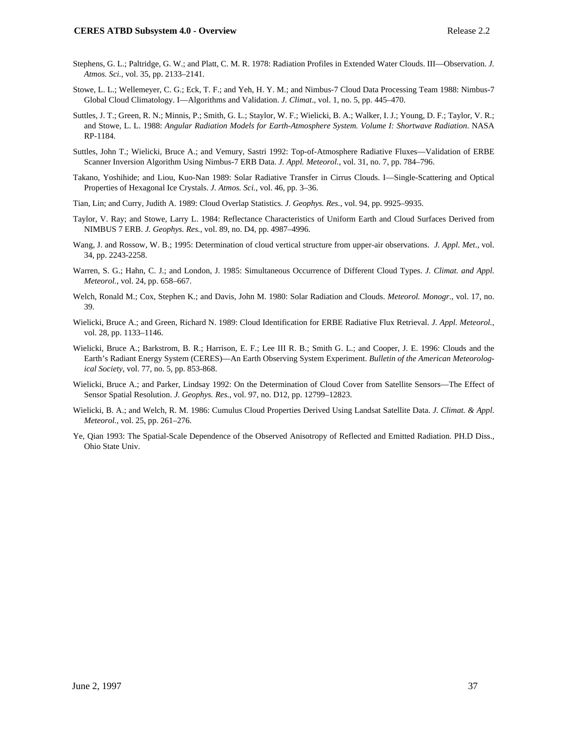- Stephens, G. L.; Paltridge, G. W.; and Platt, C. M. R. 1978: Radiation Profiles in Extended Water Clouds. III—Observation. *J. Atmos. Sci.*, vol. 35, pp. 2133–2141.
- Stowe, L. L.; Wellemeyer, C. G.; Eck, T. F.; and Yeh, H. Y. M.; and Nimbus-7 Cloud Data Processing Team 1988: Nimbus-7 Global Cloud Climatology. I—Algorithms and Validation. *J. Climat*., vol. 1, no. 5, pp. 445–470.
- Suttles, J. T.; Green, R. N.; Minnis, P.; Smith, G. L.; Staylor, W. F.; Wielicki, B. A.; Walker, I. J.; Young, D. F.; Taylor, V. R.; and Stowe, L. L. 1988: *Angular Radiation Models for Earth-Atmosphere System. Volume I: Shortwave Radiation*. NASA RP-1184.
- Suttles, John T.; Wielicki, Bruce A.; and Vemury, Sastri 1992: Top-of-Atmosphere Radiative Fluxes—Validation of ERBE Scanner Inversion Algorithm Using Nimbus-7 ERB Data. *J. Appl. Meteorol.*, vol. 31, no. 7, pp. 784–796.
- Takano, Yoshihide; and Liou, Kuo-Nan 1989: Solar Radiative Transfer in Cirrus Clouds. I—Single-Scattering and Optical Properties of Hexagonal Ice Crystals. *J. Atmos. Sci.*, vol. 46, pp. 3–36.
- Tian, Lin; and Curry, Judith A. 1989: Cloud Overlap Statistics. *J. Geophys. Res.*, vol. 94, pp. 9925–9935.
- Taylor, V. Ray; and Stowe, Larry L. 1984: Reflectance Characteristics of Uniform Earth and Cloud Surfaces Derived from NIMBUS 7 ERB. *J. Geophys. Res.*, vol. 89, no. D4, pp. 4987–4996.
- Wang, J. and Rossow, W. B.; 1995: Determination of cloud vertical structure from upper-air observations. *J. Appl. Met*., vol. 34, pp. 2243-2258.
- Warren, S. G.; Hahn, C. J.; and London, J. 1985: Simultaneous Occurrence of Different Cloud Types. *J. Climat. and Appl. Meteorol.*, vol. 24, pp. 658–667.
- Welch, Ronald M.; Cox, Stephen K.; and Davis, John M. 1980: Solar Radiation and Clouds. *Meteorol. Monogr*., vol. 17, no. 39.
- Wielicki, Bruce A.; and Green, Richard N. 1989: Cloud Identification for ERBE Radiative Flux Retrieval. *J. Appl. Meteorol.*, vol. 28, pp. 1133–1146.
- Wielicki, Bruce A.; Barkstrom, B. R.; Harrison, E. F.; Lee III R. B.; Smith G. L.; and Cooper, J. E. 1996: Clouds and the Earth's Radiant Energy System (CERES)—An Earth Observing System Experiment. *Bulletin of the American Meteorological Society*, vol. 77, no. 5, pp. 853-868.
- Wielicki, Bruce A.; and Parker, Lindsay 1992: On the Determination of Cloud Cover from Satellite Sensors—The Effect of Sensor Spatial Resolution. *J. Geophys. Res.*, vol. 97, no. D12, pp. 12799–12823.
- Wielicki, B. A.; and Welch, R. M. 1986: Cumulus Cloud Properties Derived Using Landsat Satellite Data. *J. Climat. & Appl. Meteorol.*, vol. 25, pp. 261–276.
- Ye, Qian 1993: The Spatial-Scale Dependence of the Observed Anisotropy of Reflected and Emitted Radiation. PH.D Diss., Ohio State Univ.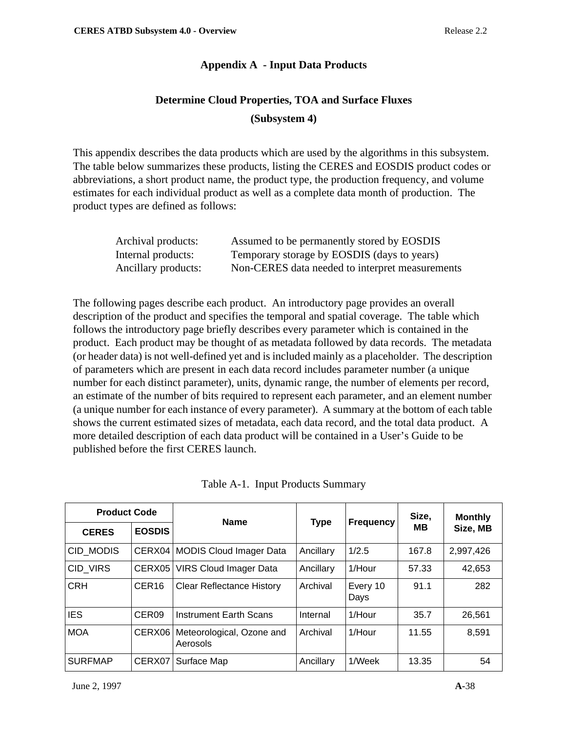## **Appendix A - Input Data Products**

# **Determine Cloud Properties, TOA and Surface Fluxes (Subsystem 4)**

This appendix describes the data products which are used by the algorithms in this subsystem. The table below summarizes these products, listing the CERES and EOSDIS product codes or abbreviations, a short product name, the product type, the production frequency, and volume estimates for each individual product as well as a complete data month of production. The product types are defined as follows:

| Archival products:  | Assumed to be permanently stored by EOSDIS      |
|---------------------|-------------------------------------------------|
| Internal products:  | Temporary storage by EOSDIS (days to years)     |
| Ancillary products: | Non-CERES data needed to interpret measurements |

The following pages describe each product. An introductory page provides an overall description of the product and specifies the temporal and spatial coverage. The table which follows the introductory page briefly describes every parameter which is contained in the product. Each product may be thought of as metadata followed by data records. The metadata (or header data) is not well-defined yet and is included mainly as a placeholder. The description of parameters which are present in each data record includes parameter number (a unique number for each distinct parameter), units, dynamic range, the number of elements per record, an estimate of the number of bits required to represent each parameter, and an element number (a unique number for each instance of every parameter). A summary at the bottom of each table shows the current estimated sizes of metadata, each data record, and the total data product. A more detailed description of each data product will be contained in a User's Guide to be published before the first CERES launch.

| <b>Product Code</b> |                   | <b>Name</b>                           |             |                  | Size, | <b>Monthly</b> |
|---------------------|-------------------|---------------------------------------|-------------|------------------|-------|----------------|
| <b>CERES</b>        | <b>EOSDIS</b>     |                                       | <b>Type</b> | <b>Frequency</b> | MВ    | Size, MB       |
| CID MODIS           | CERX04            | <b>MODIS Cloud Imager Data</b>        | Ancillary   | 1/2.5            | 167.8 | 2,997,426      |
| CID VIRS            | CERX05            | <b>VIRS Cloud Imager Data</b>         | Ancillary   | 1/Hour           | 57.33 | 42,653         |
| <b>CRH</b>          | CER <sub>16</sub> | <b>Clear Reflectance History</b>      | Archival    | Every 10<br>Days | 91.1  | 282            |
| <b>IES</b>          | CER <sub>09</sub> | <b>Instrument Earth Scans</b>         | Internal    | 1/Hour           | 35.7  | 26,561         |
| <b>MOA</b>          | CERX06            | Meteorological, Ozone and<br>Aerosols | Archival    | 1/Hour           | 11.55 | 8,591          |
| <b>SURFMAP</b>      | CERX07            | Surface Map                           | Ancillary   | 1/Week           | 13.35 | 54             |

Table A-1. Input Products Summary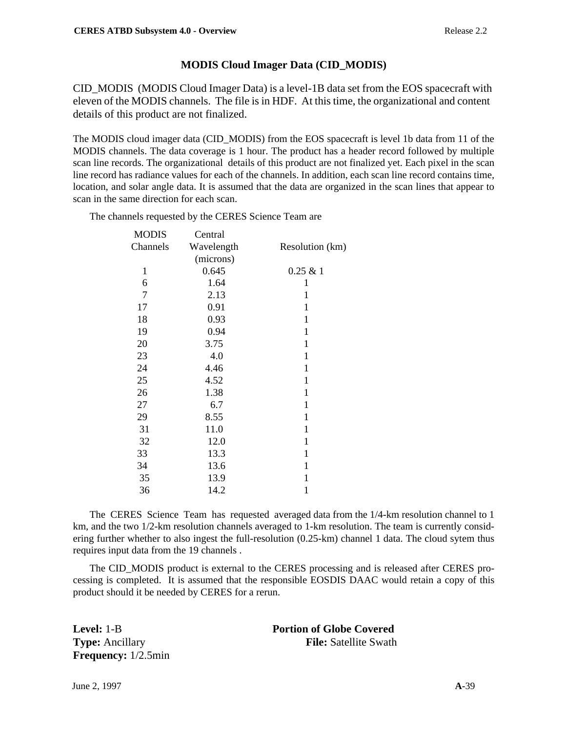## **MODIS Cloud Imager Data (CID\_MODIS)**

CID\_MODIS (MODIS Cloud Imager Data) is a level-1B data set from the EOS spacecraft with eleven of the MODIS channels. The file is in HDF. At this time, the organizational and content details of this product are not finalized.

The MODIS cloud imager data (CID\_MODIS) from the EOS spacecraft is level 1b data from 11 of the MODIS channels. The data coverage is 1 hour. The product has a header record followed by multiple scan line records. The organizational details of this product are not finalized yet. Each pixel in the scan line record has radiance values for each of the channels. In addition, each scan line record contains time, location, and solar angle data. It is assumed that the data are organized in the scan lines that appear to scan in the same direction for each scan.

The channels requested by the CERES Science Team are

| <b>MODIS</b> | Central    |                 |
|--------------|------------|-----------------|
| Channels     | Wavelength | Resolution (km) |
|              | (microns)  |                 |
| $\mathbf{1}$ | 0.645      | 0.25 & 1        |
| 6            | 1.64       | 1               |
| 7            | 2.13       | $\mathbf 1$     |
| 17           | 0.91       | 1               |
| 18           | 0.93       | 1               |
| 19           | 0.94       | $\mathbf{1}$    |
| 20           | 3.75       | 1               |
| 23           | 4.0        | $\mathbf{1}$    |
| 24           | 4.46       | 1               |
| 25           | 4.52       | $\mathbf 1$     |
| 26           | 1.38       | 1               |
| 27           | 6.7        | 1               |
| 29           | 8.55       | 1               |
| 31           | 11.0       | 1               |
| 32           | 12.0       | $\mathbf{1}$    |
| 33           | 13.3       | 1               |
| 34           | 13.6       | $\mathbf 1$     |
| 35           | 13.9       | 1               |
| 36           | 14.2       | $\mathbf{1}$    |

The CERES Science Team has requested averaged data from the 1/4-km resolution channel to 1 km, and the two 1/2-km resolution channels averaged to 1-km resolution. The team is currently considering further whether to also ingest the full-resolution (0.25-km) channel 1 data. The cloud sytem thus requires input data from the 19 channels .

The CID\_MODIS product is external to the CERES processing and is released after CERES processing is completed. It is assumed that the responsible EOSDIS DAAC would retain a copy of this product should it be needed by CERES for a rerun.

**Frequency:** 1/2.5min

**Level:** 1-B **Portion of Globe Covered Type:** Ancillary **File:** Satellite Swath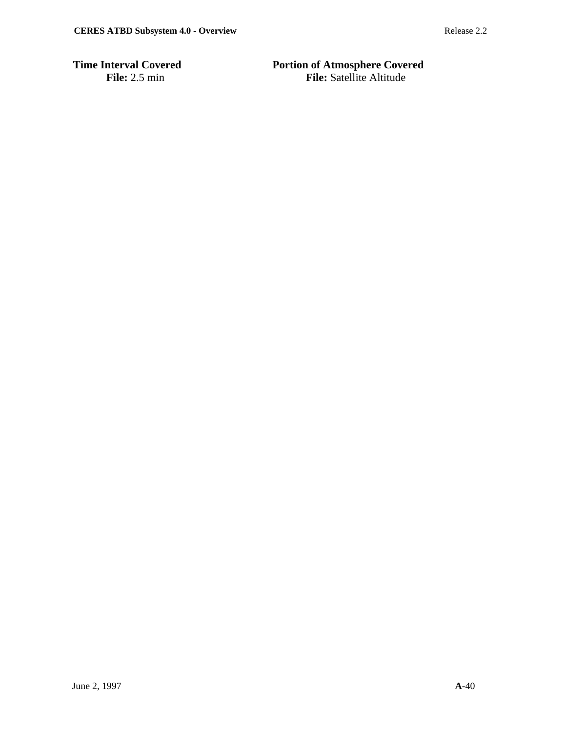**Time Interval Covered Portion of Atmosphere Covered**<br>File: 2.5 min File: Portion of Atmosphere Covered **File:** Satellite Altitude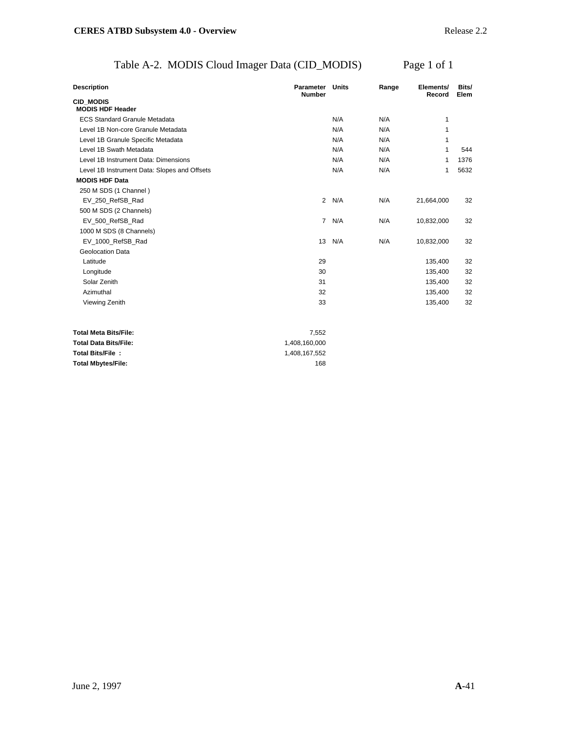# Table A-2. MODIS Cloud Imager Data (CID\_MODIS) Page 1 of 1

| <b>Description</b>                           | Parameter<br><b>Number</b> | Units | Range | Elements/<br>Record | Bits/<br>Elem |
|----------------------------------------------|----------------------------|-------|-------|---------------------|---------------|
| CID MODIS<br><b>MODIS HDF Header</b>         |                            |       |       |                     |               |
| <b>ECS Standard Granule Metadata</b>         |                            | N/A   | N/A   | 1                   |               |
| Level 1B Non-core Granule Metadata           |                            | N/A   | N/A   | 1                   |               |
| Level 1B Granule Specific Metadata           |                            | N/A   | N/A   | 1                   |               |
| Level 1B Swath Metadata                      |                            | N/A   | N/A   | 1                   | 544           |
| Level 1B Instrument Data: Dimensions         |                            | N/A   | N/A   | 1                   | 1376          |
| Level 1B Instrument Data: Slopes and Offsets |                            | N/A   | N/A   | 1                   | 5632          |
| <b>MODIS HDF Data</b>                        |                            |       |       |                     |               |
| 250 M SDS (1 Channel)                        |                            |       |       |                     |               |
| EV_250_RefSB_Rad                             | $\overline{2}$             | N/A   | N/A   | 21,664,000          | 32            |
| 500 M SDS (2 Channels)                       |                            |       |       |                     |               |
| EV_500_RefSB_Rad                             | $\overline{7}$             | N/A   | N/A   | 10,832,000          | 32            |
| 1000 M SDS (8 Channels)                      |                            |       |       |                     |               |
| EV 1000 RefSB Rad                            | 13                         | N/A   | N/A   | 10,832,000          | 32            |
| Geolocation Data                             |                            |       |       |                     |               |
| Latitude                                     | 29                         |       |       | 135,400             | 32            |
| Longitude                                    | 30                         |       |       | 135,400             | 32            |
| Solar Zenith                                 | 31                         |       |       | 135,400             | 32            |
| Azimuthal                                    | 32                         |       |       | 135,400             | 32            |
| Viewing Zenith                               | 33                         |       |       | 135,400             | 32            |
| <b>Total Meta Bits/File:</b>                 | 7,552                      |       |       |                     |               |
| <b>Total Data Bits/File:</b>                 | 1,408,160,000              |       |       |                     |               |
| Total Bits/File:                             | 1,408,167,552              |       |       |                     |               |
| Total Mbytes/File:                           | 168                        |       |       |                     |               |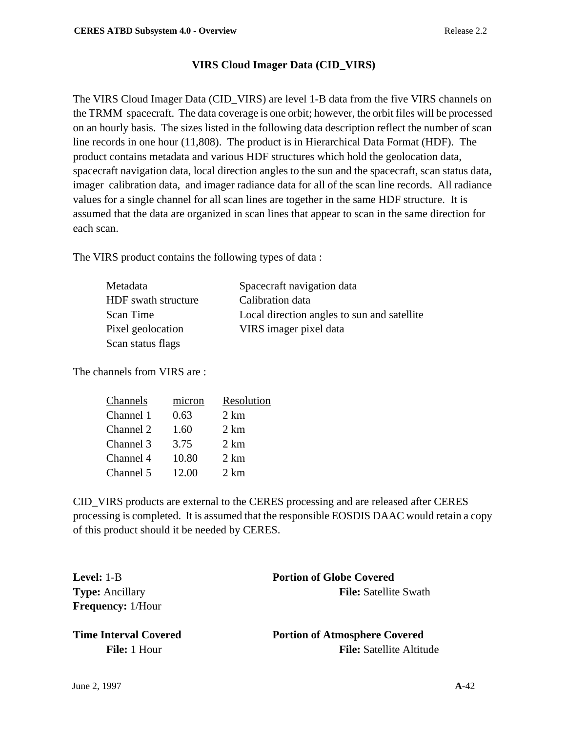# **VIRS Cloud Imager Data (CID\_VIRS)**

The VIRS Cloud Imager Data (CID\_VIRS) are level 1-B data from the five VIRS channels on the TRMM spacecraft. The data coverage is one orbit; however, the orbit files will be processed on an hourly basis. The sizes listed in the following data description reflect the number of scan line records in one hour (11,808). The product is in Hierarchical Data Format (HDF). The product contains metadata and various HDF structures which hold the geolocation data, spacecraft navigation data, local direction angles to the sun and the spacecraft, scan status data, imager calibration data, and imager radiance data for all of the scan line records. All radiance values for a single channel for all scan lines are together in the same HDF structure. It is assumed that the data are organized in scan lines that appear to scan in the same direction for each scan.

The VIRS product contains the following types of data :

| Metadata            | Spacecraft navigation data                  |
|---------------------|---------------------------------------------|
| HDF swath structure | Calibration data                            |
| Scan Time           | Local direction angles to sun and satellite |
| Pixel geolocation   | VIRS imager pixel data                      |
| Scan status flags   |                                             |

The channels from VIRS are :

| Channels  | micron | Resolution     |
|-----------|--------|----------------|
| Channel 1 | 0.63   | $2 \text{ km}$ |
| Channel 2 | 1.60   | 2 km           |
| Channel 3 | 3.75   | $2 \text{ km}$ |
| Channel 4 | 10.80  | 2 km           |
| Channel 5 | 12.00  | $2 \text{ km}$ |
|           |        |                |

CID\_VIRS products are external to the CERES processing and are released after CERES processing is completed. It is assumed that the responsible EOSDIS DAAC would retain a copy of this product should it be needed by CERES.

**Frequency:** 1/Hour

**Level:** 1-B **Portion of Globe Covered Type:** Ancillary **File:** Satellite Swath

**Time Interval Covered 2008 Portion of Atmosphere Covered File:** 1 Hour **File:** Satellite Altitude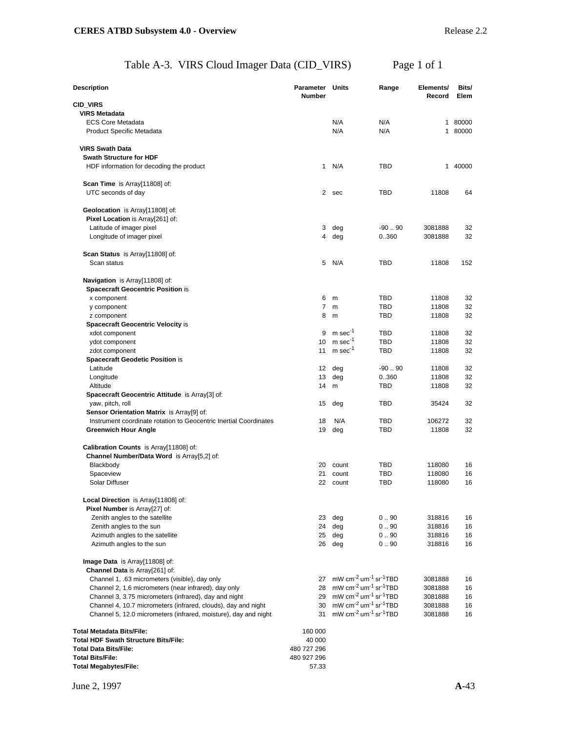# Table A-3. VIRS Cloud Imager Data (CID\_VIRS) Page 1 of 1

| <b>Description</b>                                                                                             | Parameter Units<br><b>Number</b> |                                                                                                          | Range      | Elements/<br>Record | Bits/<br>Elem |
|----------------------------------------------------------------------------------------------------------------|----------------------------------|----------------------------------------------------------------------------------------------------------|------------|---------------------|---------------|
| <b>CID_VIRS</b>                                                                                                |                                  |                                                                                                          |            |                     |               |
| <b>VIRS Metadata</b>                                                                                           |                                  |                                                                                                          |            |                     |               |
| <b>ECS Core Metadata</b>                                                                                       |                                  | N/A                                                                                                      | N/A        |                     | 1 80000       |
| <b>Product Specific Metadata</b>                                                                               |                                  | N/A                                                                                                      | N/A        |                     | 1 80000       |
| <b>VIRS Swath Data</b>                                                                                         |                                  |                                                                                                          |            |                     |               |
| <b>Swath Structure for HDF</b>                                                                                 |                                  |                                                                                                          |            |                     |               |
| HDF information for decoding the product                                                                       | $\mathbf{1}$                     | N/A                                                                                                      | TBD        |                     | 1 40000       |
|                                                                                                                |                                  |                                                                                                          |            |                     |               |
| Scan Time is Array[11808] of:                                                                                  |                                  |                                                                                                          |            |                     |               |
| UTC seconds of day                                                                                             | $\mathbf{2}^{\circ}$             | sec                                                                                                      | TBD        | 11808               | 64            |
|                                                                                                                |                                  |                                                                                                          |            |                     |               |
| Geolocation is Array[11808] of:<br>Pixel Location is Array[261] of:                                            |                                  |                                                                                                          |            |                     |               |
| Latitude of imager pixel                                                                                       | 3                                | deg                                                                                                      | $-90.90$   | 3081888             | 32            |
| Longitude of imager pixel                                                                                      | 4                                | deg                                                                                                      | 0360       | 3081888             | 32            |
|                                                                                                                |                                  |                                                                                                          |            |                     |               |
| Scan Status is Array[11808] of:                                                                                |                                  |                                                                                                          |            |                     |               |
| Scan status                                                                                                    | 5                                | N/A                                                                                                      | TBD        | 11808               | 152           |
|                                                                                                                |                                  |                                                                                                          |            |                     |               |
| Navigation is Array[11808] of:                                                                                 |                                  |                                                                                                          |            |                     |               |
| <b>Spacecraft Geocentric Position is</b><br>x component                                                        | 6                                | m                                                                                                        | TBD        | 11808               | 32            |
| y component                                                                                                    | 7                                | m                                                                                                        | <b>TBD</b> | 11808               | 32            |
| z component                                                                                                    | 8                                | m                                                                                                        | TBD        | 11808               | 32            |
| <b>Spacecraft Geocentric Velocity is</b>                                                                       |                                  |                                                                                                          |            |                     |               |
| xdot component                                                                                                 | 9                                | $m$ sec <sup>-1</sup>                                                                                    | <b>TBD</b> | 11808               | 32            |
| ydot component                                                                                                 | 10                               | $m$ sec <sup>-1</sup>                                                                                    | <b>TBD</b> | 11808               | 32            |
| zdot component                                                                                                 | 11                               | $m$ sec <sup>-1</sup>                                                                                    | TBD        | 11808               | 32            |
| <b>Spacecraft Geodetic Position is</b>                                                                         |                                  |                                                                                                          |            |                     |               |
| Latitude                                                                                                       | 12                               | deg                                                                                                      | $-90.90$   | 11808               | 32            |
| Longitude                                                                                                      | 13                               | deg                                                                                                      | 0360       | 11808               | 32            |
| Altitude                                                                                                       | 14                               | m                                                                                                        | TBD        | 11808               | 32            |
| Spacecraft Geocentric Attitude is Array[3] of:                                                                 |                                  |                                                                                                          |            |                     |               |
| yaw, pitch, roll                                                                                               | 15                               | deg                                                                                                      | TBD        | 35424               | 32            |
| Sensor Orientation Matrix is Array[9] of:<br>Instrument coordinate rotation to Geocentric Inertial Coordinates | 18                               | N/A                                                                                                      | <b>TBD</b> | 106272              | 32            |
| <b>Greenwich Hour Angle</b>                                                                                    | 19                               | deg                                                                                                      | TBD        | 11808               | 32            |
|                                                                                                                |                                  |                                                                                                          |            |                     |               |
| Calibration Counts is Array[11808] of:                                                                         |                                  |                                                                                                          |            |                     |               |
| Channel Number/Data Word is Array[5,2] of:                                                                     |                                  |                                                                                                          |            |                     |               |
| Blackbody                                                                                                      | 20                               | count                                                                                                    | TBD        | 118080              | 16            |
| Spaceview                                                                                                      | 21                               | count                                                                                                    | TBD        | 118080              | 16            |
| Solar Diffuser                                                                                                 |                                  | 22 count                                                                                                 | TBD        | 118080              | 16            |
|                                                                                                                |                                  |                                                                                                          |            |                     |               |
| Local Direction is Array[11808] of:<br>Pixel Number is Array[27] of:                                           |                                  |                                                                                                          |            |                     |               |
| Zenith angles to the satellite                                                                                 | 23                               | deg                                                                                                      | 0.90       | 318816              | 16            |
| Zenith angles to the sun                                                                                       | 24                               | deg                                                                                                      | 0.90       | 318816              | 16            |
| Azimuth angles to the satellite                                                                                | 25                               | deg                                                                                                      | 0.90       | 318816              | 16            |
| Azimuth angles to the sun                                                                                      |                                  | 26 deg                                                                                                   | 0.90       | 318816              | 16            |
|                                                                                                                |                                  |                                                                                                          |            |                     |               |
| Image Data is Array[11808] of:                                                                                 |                                  |                                                                                                          |            |                     |               |
| Channel Data is Array[261] of:                                                                                 |                                  |                                                                                                          |            |                     |               |
| Channel 1, .63 micrometers (visible), day only                                                                 | 27                               | mW $cm^{-2}$ um <sup>-1</sup> sr <sup>-1</sup> TBD<br>mW $cm^{-2}$ um <sup>-1</sup> sr <sup>-1</sup> TBD |            | 3081888             | 16            |
| Channel 2, 1.6 micrometers (near infrared), day only<br>Channel 3, 3.75 micrometers (infrared), day and night  | 28<br>29                         | mW cm <sup>-2</sup> um <sup>-1</sup> sr <sup>-1</sup> TBD                                                |            | 3081888<br>3081888  | 16<br>16      |
| Channel 4, 10.7 micrometers (infrared, clouds), day and night                                                  |                                  | 30 mW cm <sup>-2</sup> um <sup>-1</sup> sr <sup>-1</sup> TBD                                             |            | 3081888             | 16            |
| Channel 5, 12.0 micrometers (infrared, moisture), day and night                                                | 31                               | $mW$ cm <sup>-2</sup> um <sup>-1</sup> sr <sup>-1</sup> TBD                                              |            | 3081888             | 16            |
|                                                                                                                |                                  |                                                                                                          |            |                     |               |
| <b>Total Metadata Bits/File:</b>                                                                               | 160 000                          |                                                                                                          |            |                     |               |
| <b>Total HDF Swath Structure Bits/File:</b>                                                                    | 40 000                           |                                                                                                          |            |                     |               |
| <b>Total Data Bits/File:</b>                                                                                   | 480 727 296                      |                                                                                                          |            |                     |               |
| <b>Total Bits/File:</b>                                                                                        | 480 927 296                      |                                                                                                          |            |                     |               |
| <b>Total Megabytes/File:</b>                                                                                   | 57.33                            |                                                                                                          |            |                     |               |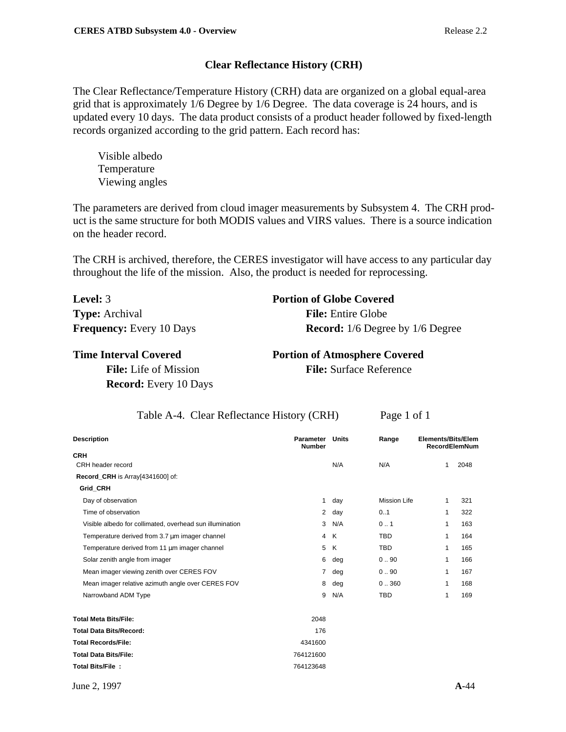## **Clear Reflectance History (CRH)**

The Clear Reflectance/Temperature History (CRH) data are organized on a global equal-area grid that is approximately 1/6 Degree by 1/6 Degree. The data coverage is 24 hours, and is updated every 10 days. The data product consists of a product header followed by fixed-length records organized according to the grid pattern. Each record has:

Visible albedo Temperature Viewing angles

The parameters are derived from cloud imager measurements by Subsystem 4. The CRH product is the same structure for both MODIS values and VIRS values. There is a source indication on the header record.

The CRH is archived, therefore, the CERES investigator will have access to any particular day throughout the life of the mission. Also, the product is needed for reprocessing.

| <b>Level:</b> 3                 | <b>Portion of Globe Covered</b>         |
|---------------------------------|-----------------------------------------|
| <b>Type:</b> Archival           | <b>File:</b> Entire Globe               |
| <b>Frequency:</b> Every 10 Days | <b>Record:</b> 1/6 Degree by 1/6 Degree |

**Record:** Every 10 Days

**Time Interval Covered Portion of Atmosphere Covered File:** Life of Mission **File:** Surface Reference

|  |  | Table A-4. Clear Reflectance History (CRH) | Page 1 of 1 |
|--|--|--------------------------------------------|-------------|
|--|--|--------------------------------------------|-------------|

| <b>Description</b>                                       | Parameter<br><b>Number</b> | <b>Units</b> | Range               | Elements/Bits/Elem |              | <b>RecordElemNum</b> |
|----------------------------------------------------------|----------------------------|--------------|---------------------|--------------------|--------------|----------------------|
| <b>CRH</b>                                               |                            |              |                     |                    |              |                      |
| CRH header record                                        |                            | N/A          | N/A                 |                    | $\mathbf{1}$ | 2048                 |
| Record_CRH is Array[4341600] of:                         |                            |              |                     |                    |              |                      |
| <b>Grid CRH</b>                                          |                            |              |                     |                    |              |                      |
| Day of observation                                       | 1                          | day          | <b>Mission Life</b> |                    | $\mathbf{1}$ | 321                  |
| Time of observation                                      | $\overline{2}$             | day          | 0.1                 |                    | 1            | 322                  |
| Visible albedo for collimated, overhead sun illumination | 3                          | N/A          | 0.1                 |                    | $\mathbf{1}$ | 163                  |
| Temperature derived from 3.7 um imager channel           |                            | 4 K          | <b>TBD</b>          |                    | 1            | 164                  |
| Temperature derived from 11 um imager channel            | 5                          | K            | <b>TBD</b>          |                    | 1            | 165                  |
| Solar zenith angle from imager                           | 6                          | deg          | 0.90                |                    | 1            | 166                  |
| Mean imager viewing zenith over CERES FOV                | $\overline{7}$             | deg          | 0.90                |                    | 1            | 167                  |
| Mean imager relative azimuth angle over CERES FOV        | 8                          | deg          | 0.360               |                    | 1            | 168                  |
| Narrowband ADM Type                                      | 9                          | N/A          | <b>TBD</b>          |                    | 1            | 169                  |
| <b>Total Meta Bits/File:</b>                             | 2048                       |              |                     |                    |              |                      |
| <b>Total Data Bits/Record:</b>                           | 176                        |              |                     |                    |              |                      |
| <b>Total Records/File:</b>                               | 4341600                    |              |                     |                    |              |                      |
| <b>Total Data Bits/File:</b>                             | 764121600                  |              |                     |                    |              |                      |
| Total Bits/File:                                         | 764123648                  |              |                     |                    |              |                      |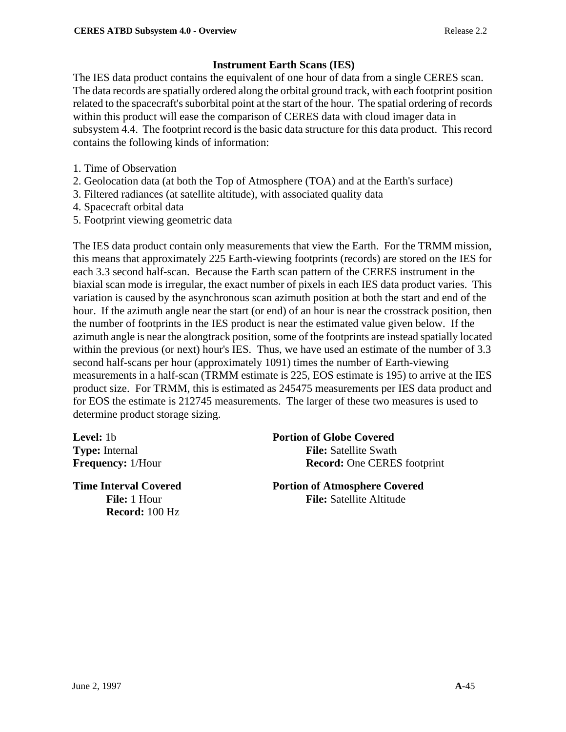# **Instrument Earth Scans (IES)**

The IES data product contains the equivalent of one hour of data from a single CERES scan. The data records are spatially ordered along the orbital ground track, with each footprint position related to the spacecraft's suborbital point at the start of the hour. The spatial ordering of records within this product will ease the comparison of CERES data with cloud imager data in subsystem 4.4. The footprint record is the basic data structure for this data product. This record contains the following kinds of information:

- 1. Time of Observation
- 2. Geolocation data (at both the Top of Atmosphere (TOA) and at the Earth's surface)
- 3. Filtered radiances (at satellite altitude), with associated quality data
- 4. Spacecraft orbital data
- 5. Footprint viewing geometric data

The IES data product contain only measurements that view the Earth. For the TRMM mission, this means that approximately 225 Earth-viewing footprints (records) are stored on the IES for each 3.3 second half-scan. Because the Earth scan pattern of the CERES instrument in the biaxial scan mode is irregular, the exact number of pixels in each IES data product varies. This variation is caused by the asynchronous scan azimuth position at both the start and end of the hour. If the azimuth angle near the start (or end) of an hour is near the crosstrack position, then the number of footprints in the IES product is near the estimated value given below. If the azimuth angle is near the alongtrack position, some of the footprints are instead spatially located within the previous (or next) hour's IES. Thus, we have used an estimate of the number of 3.3 second half-scans per hour (approximately 1091) times the number of Earth-viewing measurements in a half-scan (TRMM estimate is 225, EOS estimate is 195) to arrive at the IES product size. For TRMM, this is estimated as 245475 measurements per IES data product and for EOS the estimate is 212745 measurements. The larger of these two measures is used to determine product storage sizing.

**Record:** 100 Hz

## **Level:** 1b **Portion of Globe Covered**

**Type:** Internal **File:** Satellite Swath **Frequency:** 1/Hour **Record:** One CERES footprint

**Time Interval Covered Portion of Atmosphere Covered File:** 1 Hour **File:** Satellite Altitude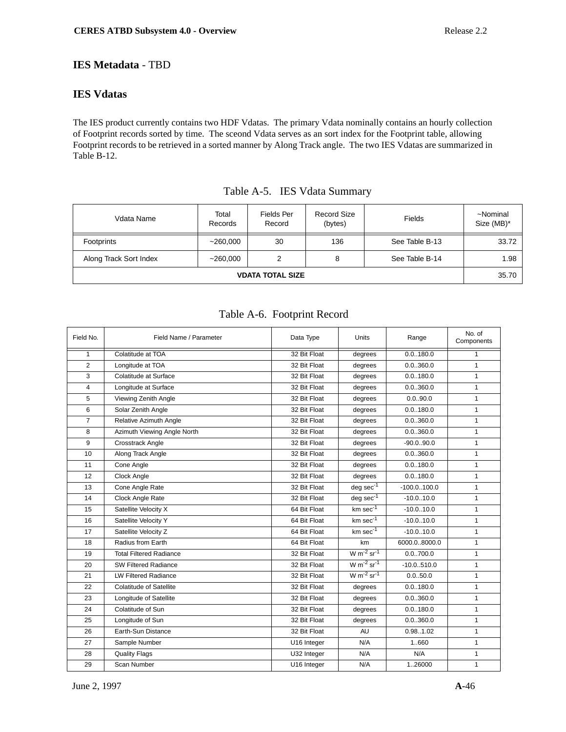## **IES Metadata** - TBD

## **IES Vdatas**

The IES product currently contains two HDF Vdatas. The primary Vdata nominally contains an hourly collection of Footprint records sorted by time. The sceond Vdata serves as an sort index for the Footprint table, allowing Footprint records to be retrieved in a sorted manner by Along Track angle. The two IES Vdatas are summarized in Table B-12.

| Vdata Name              | Total<br>Records | Fields Per<br>Record | Record Size<br>(bytes) | Fields         | ~Nominal<br>Size (MB)* |
|-------------------------|------------------|----------------------|------------------------|----------------|------------------------|
| Footprints              | ~260,000         | 30                   | 136                    | See Table B-13 | 33.72                  |
| Along Track Sort Index  | ~260,000         | 2                    | 8                      | See Table B-14 | 1.98                   |
| <b>VDATA TOTAL SIZE</b> |                  |                      |                        |                |                        |

| Table A-5. IES Vdata Summary |  |  |  |
|------------------------------|--|--|--|
|------------------------------|--|--|--|

## Table A-6. Footprint Record

| Field No.      | Field Name / Parameter         | Data Type    | Units              | Range         | No. of<br>Components |
|----------------|--------------------------------|--------------|--------------------|---------------|----------------------|
| $\mathbf{1}$   | Colatitude at TOA              | 32 Bit Float | degrees            | 0.0.180.0     | 1                    |
| $\overline{2}$ | Longitude at TOA               | 32 Bit Float | degrees            | 0.0.360.0     | $\mathbf{1}$         |
| 3              | Colatitude at Surface          | 32 Bit Float | degrees            | 0.0.180.0     | $\mathbf{1}$         |
| $\overline{4}$ | Longitude at Surface           | 32 Bit Float | degrees            | 0.0360.0      | $\mathbf{1}$         |
| 5              | Viewing Zenith Angle           | 32 Bit Float | degrees            | 0.0.90.0      | $\mathbf{1}$         |
| 6              | Solar Zenith Angle             | 32 Bit Float | degrees            | 0.0.180.0     | $\mathbf{1}$         |
| $\overline{7}$ | Relative Azimuth Angle         | 32 Bit Float | degrees            | 0.0.360.0     | $\mathbf{1}$         |
| 8              | Azimuth Viewing Angle North    | 32 Bit Float | degrees            | 0.0360.0      | $\mathbf{1}$         |
| 9              | Crosstrack Angle               | 32 Bit Float | degrees            | $-90.0.90.0$  | $\mathbf{1}$         |
| 10             | Along Track Angle              | 32 Bit Float | degrees            | 0.0360.0      | $\mathbf{1}$         |
| 11             | Cone Angle                     | 32 Bit Float | degrees            | 0.0.180.0     | $\mathbf{1}$         |
| 12             | Clock Angle                    | 32 Bit Float | degrees            | 0.0.180.0     | $\mathbf{1}$         |
| 13             | Cone Angle Rate                | 32 Bit Float | $deg sec-1$        | $-100.0000.0$ | $\mathbf{1}$         |
| 14             | Clock Angle Rate               | 32 Bit Float | deg se $c^{-1}$    | $-10.010.0$   | $\mathbf{1}$         |
| 15             | Satellite Velocity X           | 64 Bit Float | $km \sec^{-1}$     | $-10.010.0$   | $\mathbf{1}$         |
| 16             | Satellite Velocity Y           | 64 Bit Float | $km \sec^{-1}$     | $-10.0.10.0$  | $\mathbf{1}$         |
| 17             | Satellite Velocity Z           | 64 Bit Float | $km \sec^{-1}$     | $-10.010.0$   | $\mathbf{1}$         |
| 18             | Radius from Earth              | 64 Bit Float | km                 | 6000.08000.0  | $\mathbf{1}$         |
| 19             | <b>Total Filtered Radiance</b> | 32 Bit Float | $W m-2 sr-1$       | 0.0700.0      | $\mathbf{1}$         |
| 20             | <b>SW Filtered Radiance</b>    | 32 Bit Float | $W m-2 sr-1$       | $-10.0.510.0$ | $\mathbf{1}$         |
| 21             | LW Filtered Radiance           | 32 Bit Float | $W m^{-2} sr^{-1}$ | 0.0.50.0      | $\mathbf{1}$         |
| 22             | <b>Colatitude of Satellite</b> | 32 Bit Float | degrees            | 0.0.180.0     | $\mathbf{1}$         |
| 23             | Longitude of Satellite         | 32 Bit Float | degrees            | 0.0360.0      | $\mathbf{1}$         |
| 24             | Colatitude of Sun              | 32 Bit Float | degrees            | 0.0.180.0     | $\mathbf{1}$         |
| 25             | Longitude of Sun               | 32 Bit Float | degrees            | 0.0360.0      | $\mathbf{1}$         |
| 26             | Earth-Sun Distance             | 32 Bit Float | <b>AU</b>          | 0.98.1.02     | $\mathbf{1}$         |
| 27             | Sample Number                  | U16 Integer  | N/A                | 1.660         | $\mathbf{1}$         |
| 28             | <b>Quality Flags</b>           | U32 Integer  | N/A                | N/A           | $\mathbf{1}$         |
| 29             | Scan Number                    | U16 Integer  | N/A                | 126000        | $\mathbf{1}$         |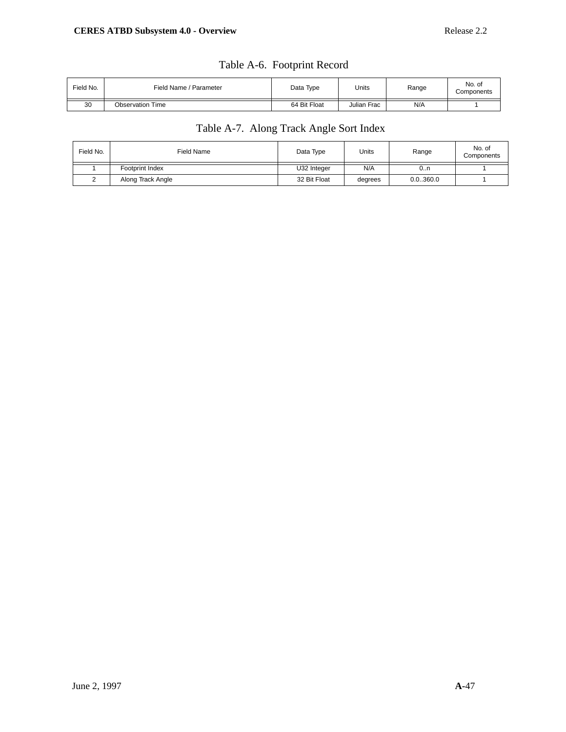| Field Name / Parameter  | Data Type    | Units       | Range | No. of<br>Components |
|-------------------------|--------------|-------------|-------|----------------------|
| <b>Observation Time</b> | 64 Bit Float | Julian Frac | N/A   |                      |
|                         |              |             |       |                      |

# Table A-6. Footprint Record

# Table A-7. Along Track Angle Sort Index

| Field No. | Field Name        | Data Type    | Units   | Range    | No. of<br>Components |
|-----------|-------------------|--------------|---------|----------|----------------------|
|           | Footprint Index   | U32 Integer  | N/A     | 0n       |                      |
|           | Along Track Angle | 32 Bit Float | degrees | 0.0360.0 |                      |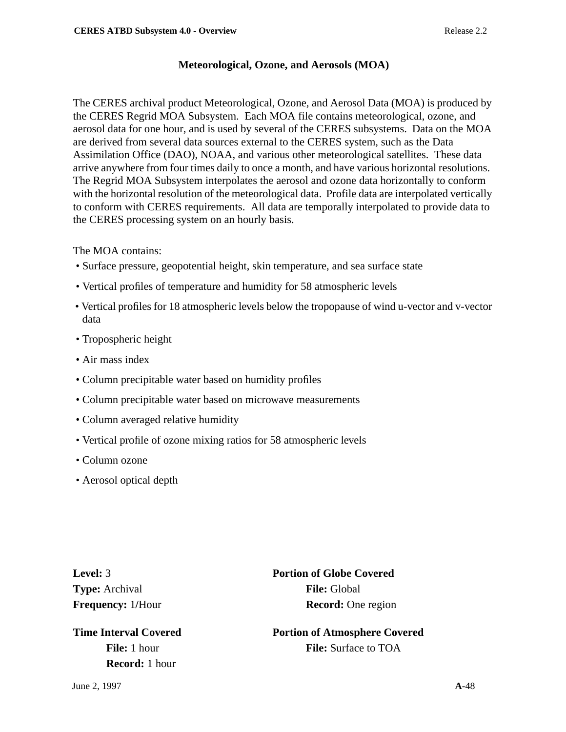## **Meteorological, Ozone, and Aerosols (MOA)**

The CERES archival product Meteorological, Ozone, and Aerosol Data (MOA) is produced by the CERES Regrid MOA Subsystem. Each MOA file contains meteorological, ozone, and aerosol data for one hour, and is used by several of the CERES subsystems. Data on the MOA are derived from several data sources external to the CERES system, such as the Data Assimilation Office (DAO), NOAA, and various other meteorological satellites. These data arrive anywhere from four times daily to once a month, and have various horizontal resolutions. The Regrid MOA Subsystem interpolates the aerosol and ozone data horizontally to conform with the horizontal resolution of the meteorological data. Profile data are interpolated vertically to conform with CERES requirements. All data are temporally interpolated to provide data to the CERES processing system on an hourly basis.

The MOA contains:

- Surface pressure, geopotential height, skin temperature, and sea surface state
- Vertical profiles of temperature and humidity for 58 atmospheric levels
- Vertical profiles for 18 atmospheric levels below the tropopause of wind u-vector and v-vector data
- Tropospheric height
- Air mass index
- Column precipitable water based on humidity profiles
- Column precipitable water based on microwave measurements
- Column averaged relative humidity
- Vertical profile of ozone mixing ratios for 58 atmospheric levels
- Column ozone
- Aerosol optical depth

**Type:** Archival **File:** Global

**Record:** 1 hour

**Level:** 3 **Portion of Globe Covered Frequency:** 1/Hour **Record:** One region

**Time Interval Covered Portion of Atmosphere Covered File:** 1 hour **File:** Surface to TOA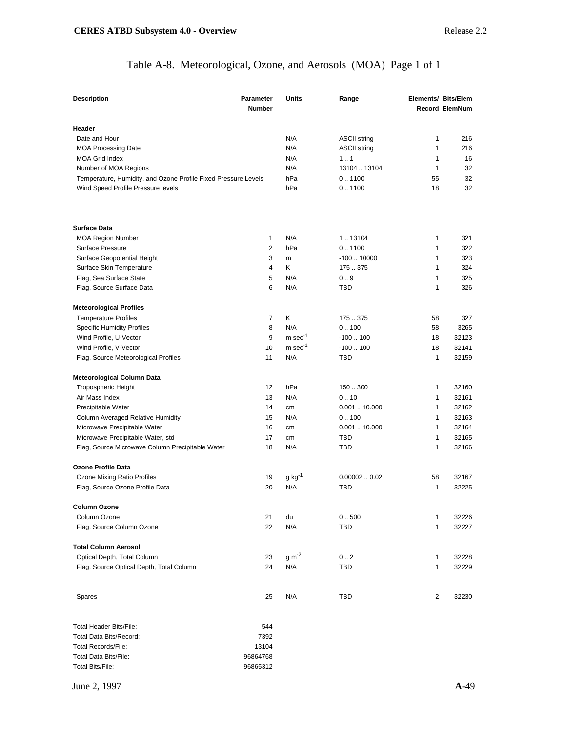# Table A-8. Meteorological, Ozone, and Aerosols (MOA) Page 1 of 1

| <b>Description</b>                                             | <b>Parameter</b><br><b>Number</b> | Units                 | Range               | <b>Elements/ Bits/Elem</b> | <b>Record ElemNum</b> |
|----------------------------------------------------------------|-----------------------------------|-----------------------|---------------------|----------------------------|-----------------------|
| Header                                                         |                                   |                       |                     |                            |                       |
| Date and Hour                                                  |                                   | N/A                   | <b>ASCII string</b> | 1                          | 216                   |
| <b>MOA Processing Date</b>                                     |                                   | N/A                   | <b>ASCII string</b> | 1                          | 216                   |
| <b>MOA Grid Index</b>                                          |                                   | N/A                   | 11                  | $\mathbf{1}$               | 16                    |
| Number of MOA Regions                                          |                                   | N/A                   | 13104  13104        | $\mathbf{1}$               | 32                    |
| Temperature, Humidity, and Ozone Profile Fixed Pressure Levels |                                   | hPa                   | 0.1100              | 55                         | 32                    |
| Wind Speed Profile Pressure levels                             |                                   | hPa                   | 0.1100              | 18                         | 32                    |
| <b>Surface Data</b>                                            |                                   |                       |                     |                            |                       |
| <b>MOA Region Number</b>                                       | 1                                 | N/A                   | 1.13104             | 1                          | 321                   |
| <b>Surface Pressure</b>                                        | 2                                 | hPa                   | 0.1100              | $\mathbf{1}$               | 322                   |
|                                                                |                                   |                       |                     |                            |                       |
| Surface Geopotential Height                                    | 3                                 | m                     | $-10010000$         | 1                          | 323                   |
| Surface Skin Temperature                                       | $\overline{4}$                    | Κ                     | 175.375             | 1                          | 324                   |
| Flag, Sea Surface State                                        | 5                                 | N/A                   | 0.9                 | $\mathbf{1}$               | 325                   |
| Flag, Source Surface Data                                      | 6                                 | N/A                   | <b>TBD</b>          | $\mathbf{1}$               | 326                   |
| <b>Meteorological Profiles</b>                                 |                                   |                       |                     |                            |                       |
| <b>Temperature Profiles</b>                                    | 7                                 | Κ                     | 175.375             | 58                         | 327                   |
| <b>Specific Humidity Profiles</b>                              | 8                                 | N/A                   | 0.100               | 58                         | 3265                  |
| Wind Profile, U-Vector                                         | 9                                 | $m$ sec <sup>-1</sup> | $-100100$           | 18                         | 32123                 |
| Wind Profile, V-Vector                                         | 10                                | $m$ sec $^{-1}$       | $-100100$           | 18                         | 32141                 |
| Flag, Source Meteorological Profiles                           | 11                                | N/A                   | TBD                 | $\mathbf{1}$               | 32159                 |
| Meteorological Column Data                                     |                                   |                       |                     |                            |                       |
| <b>Tropospheric Height</b>                                     | 12                                | hPa                   | 150.300             | 1                          | 32160                 |
| Air Mass Index                                                 | 13                                | N/A                   | 0.10                | $\mathbf{1}$               | 32161                 |
| Precipitable Water                                             | 14                                | cm                    | 0.00110.000         | 1                          | 32162                 |
| Column Averaged Relative Humidity                              | 15                                | N/A                   | 0.100               | $\mathbf{1}$               | 32163                 |
| Microwave Precipitable Water                                   | 16                                | cm                    | 0.00110.000         | $\mathbf{1}$               | 32164                 |
| Microwave Precipitable Water, std                              | 17                                | cm                    | <b>TBD</b>          | $\mathbf{1}$               | 32165                 |
| Flag, Source Microwave Column Precipitable Water               | 18                                | N/A                   | <b>TBD</b>          | $\mathbf{1}$               | 32166                 |
| <b>Ozone Profile Data</b>                                      |                                   |                       |                     |                            |                       |
| Ozone Mixing Ratio Profiles                                    | 19                                | $g kg^{-1}$           | 0.000020.02         | 58                         | 32167                 |
| Flag, Source Ozone Profile Data                                | 20                                | N/A                   | TBD                 | $\mathbf{1}$               | 32225                 |
| Column Ozone                                                   |                                   |                       |                     |                            |                       |
| Column Ozone                                                   | 21                                | du                    | 0.500               | 1                          | 32226                 |
| Flag, Source Column Ozone                                      | 22                                | N/A                   | TBD                 | 1                          | 32227                 |
| <b>Total Column Aerosol</b>                                    |                                   |                       |                     |                            |                       |
| Optical Depth, Total Column                                    | 23                                | $g m^{-2}$            | 0.2                 | 1                          | 32228                 |
| Flag, Source Optical Depth, Total Column                       | 24                                | N/A                   | TBD                 | 1                          | 32229                 |
| Spares                                                         | 25                                | N/A                   | TBD                 | 2                          | 32230                 |
| <b>Total Header Bits/File:</b>                                 | 544                               |                       |                     |                            |                       |
| Total Data Bits/Record:                                        |                                   |                       |                     |                            |                       |
| <b>Total Records/File:</b>                                     | 7392                              |                       |                     |                            |                       |
| Total Data Bits/File:                                          | 13104                             |                       |                     |                            |                       |
| <b>Total Bits/File:</b>                                        | 96864768<br>96865312              |                       |                     |                            |                       |
|                                                                |                                   |                       |                     |                            |                       |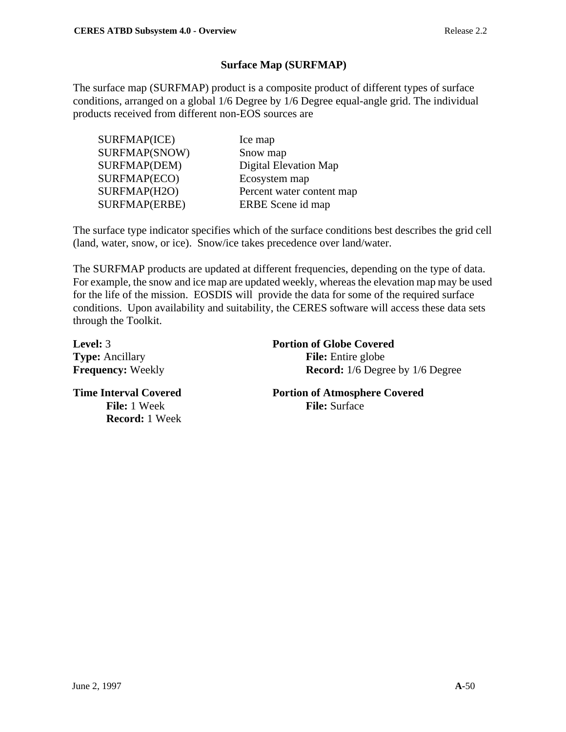# **Surface Map (SURFMAP)**

The surface map (SURFMAP) product is a composite product of different types of surface conditions, arranged on a global 1/6 Degree by 1/6 Degree equal-angle grid. The individual products received from different non-EOS sources are

| SURFMAP(ICE)  | Ice map                   |
|---------------|---------------------------|
| SURFMAP(SNOW) | Snow map                  |
| SURFMAP(DEM)  | Digital Elevation Map     |
| SURFMAP(ECO)  | Ecosystem map             |
| SURFMAP(H2O)  | Percent water content map |
| SURFMAP(ERBE) | ERBE Scene id map         |

The surface type indicator specifies which of the surface conditions best describes the grid cell (land, water, snow, or ice). Snow/ice takes precedence over land/water.

The SURFMAP products are updated at different frequencies, depending on the type of data. For example, the snow and ice map are updated weekly, whereas the elevation map may be used for the life of the mission. EOSDIS will provide the data for some of the required surface conditions. Upon availability and suitability, the CERES software will access these data sets through the Toolkit.

| Level: 3                     | <b>Portion of Globe Covered</b>         |
|------------------------------|-----------------------------------------|
| <b>Type:</b> Ancillary       | <b>File:</b> Entire globe               |
| <b>Frequency: Weekly</b>     | <b>Record:</b> 1/6 Degree by 1/6 Degree |
| <b>Time Interval Covered</b> | <b>Portion of Atmosphere Covered</b>    |
| <b>File:</b> 1 Week          | <b>File:</b> Surface                    |
| <b>Record:</b> 1 Week        |                                         |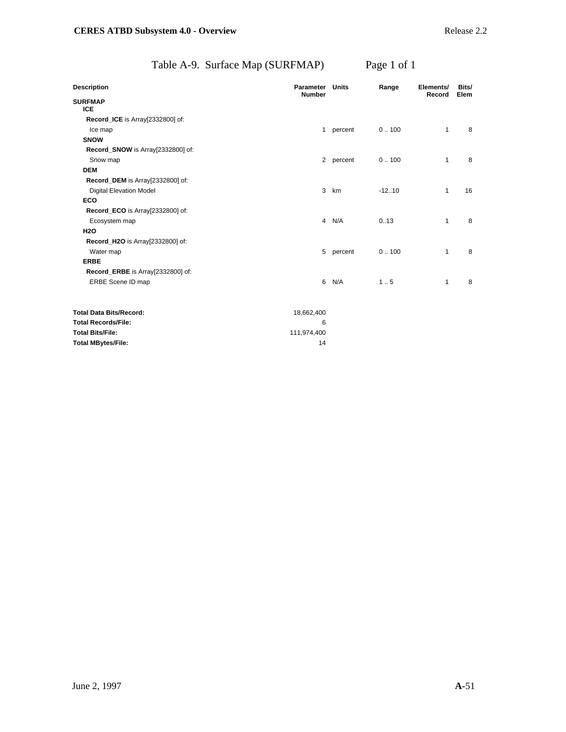# Table A-9. Surface Map (SURFMAP) Page 1 of 1

| <b>Description</b>                | <b>Parameter</b><br><b>Number</b> | Units     | Range    | Elements/<br>Record | Bits/<br>Elem |
|-----------------------------------|-----------------------------------|-----------|----------|---------------------|---------------|
| <b>SURFMAP</b>                    |                                   |           |          |                     |               |
| <b>ICE</b>                        |                                   |           |          |                     |               |
| Record_ICE is Array[2332800] of:  |                                   |           |          |                     |               |
| Ice map                           | $\mathbf{1}$                      | percent   | 0.100    | $\mathbf{1}$        | 8             |
| <b>SNOW</b>                       |                                   |           |          |                     |               |
| Record_SNOW is Array[2332800] of: |                                   |           |          |                     |               |
| Snow map                          |                                   | 2 percent | 0.100    | $\mathbf{1}$        | 8             |
| <b>DEM</b>                        |                                   |           |          |                     |               |
| Record_DEM is Array[2332800] of:  |                                   |           |          |                     |               |
| <b>Digital Elevation Model</b>    | 3                                 | km        | $-12.10$ | $\mathbf{1}$        | 16            |
| <b>ECO</b>                        |                                   |           |          |                     |               |
| Record_ECO is Array[2332800] of:  |                                   |           |          |                     |               |
| Ecosystem map                     | $\overline{4}$                    | N/A       | 0.13     | $\mathbf{1}$        | 8             |
| <b>H2O</b>                        |                                   |           |          |                     |               |
| Record_H2O is Array[2332800] of:  |                                   |           |          |                     |               |
| Water map                         | 5                                 | percent   | 0.100    | 1                   | 8             |
| <b>ERBE</b>                       |                                   |           |          |                     |               |
| Record_ERBE is Array[2332800] of: |                                   |           |          |                     |               |
| ERBE Scene ID map                 | 6                                 | N/A       | 1.5      | $\mathbf{1}$        | 8             |
| <b>Total Data Bits/Record:</b>    | 18,662,400                        |           |          |                     |               |
| <b>Total Records/File:</b>        | 6                                 |           |          |                     |               |
| <b>Total Bits/File:</b>           | 111,974,400                       |           |          |                     |               |
| <b>Total MBytes/File:</b>         | 14                                |           |          |                     |               |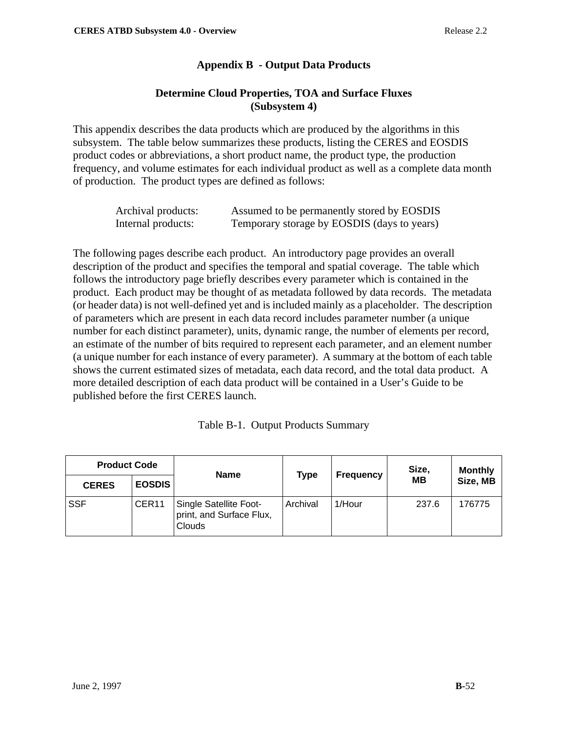# **Appendix B - Output Data Products**

## **Determine Cloud Properties, TOA and Surface Fluxes (Subsystem 4)**

This appendix describes the data products which are produced by the algorithms in this subsystem. The table below summarizes these products, listing the CERES and EOSDIS product codes or abbreviations, a short product name, the product type, the production frequency, and volume estimates for each individual product as well as a complete data month of production. The product types are defined as follows:

| Archival products: | Assumed to be permanently stored by EOSDIS  |
|--------------------|---------------------------------------------|
| Internal products: | Temporary storage by EOSDIS (days to years) |

The following pages describe each product. An introductory page provides an overall description of the product and specifies the temporal and spatial coverage. The table which follows the introductory page briefly describes every parameter which is contained in the product. Each product may be thought of as metadata followed by data records. The metadata (or header data) is not well-defined yet and is included mainly as a placeholder. The description of parameters which are present in each data record includes parameter number (a unique number for each distinct parameter), units, dynamic range, the number of elements per record, an estimate of the number of bits required to represent each parameter, and an element number (a unique number for each instance of every parameter). A summary at the bottom of each table shows the current estimated sizes of metadata, each data record, and the total data product. A more detailed description of each data product will be contained in a User's Guide to be published before the first CERES launch.

|  | Table B-1. Output Products Summary |  |
|--|------------------------------------|--|
|--|------------------------------------|--|

| <b>Product Code</b> |                   | <b>Name</b>                                                  | <b>Type</b><br><b>Frequency</b> |        | Size,     | <b>Monthly</b> |
|---------------------|-------------------|--------------------------------------------------------------|---------------------------------|--------|-----------|----------------|
| <b>CERES</b>        | <b>EOSDIS</b>     |                                                              |                                 |        | <b>MB</b> | Size, MB       |
| <b>SSF</b>          | CER <sub>11</sub> | Single Satellite Foot-<br>print, and Surface Flux,<br>Clouds | Archival                        | 1/Hour | 237.6     | 176775         |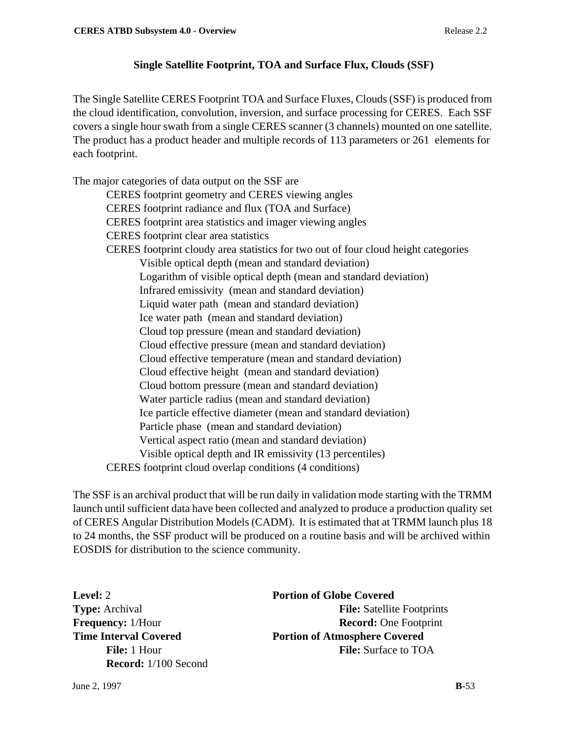# **Single Satellite Footprint, TOA and Surface Flux, Clouds (SSF)**

The Single Satellite CERES Footprint TOA and Surface Fluxes, Clouds (SSF) is produced from the cloud identification, convolution, inversion, and surface processing for CERES. Each SSF covers a single hour swath from a single CERES scanner (3 channels) mounted on one satellite. The product has a product header and multiple records of 113 parameters or 261 elements for each footprint.

The major categories of data output on the SSF are CERES footprint geometry and CERES viewing angles CERES footprint radiance and flux (TOA and Surface) CERES footprint area statistics and imager viewing angles CERES footprint clear area statistics CERES footprint cloudy area statistics for two out of four cloud height categories Visible optical depth (mean and standard deviation) Logarithm of visible optical depth (mean and standard deviation) Infrared emissivity (mean and standard deviation) Liquid water path (mean and standard deviation) Ice water path (mean and standard deviation) Cloud top pressure (mean and standard deviation) Cloud effective pressure (mean and standard deviation) Cloud effective temperature (mean and standard deviation) Cloud effective height (mean and standard deviation) Cloud bottom pressure (mean and standard deviation) Water particle radius (mean and standard deviation) Ice particle effective diameter (mean and standard deviation) Particle phase (mean and standard deviation) Vertical aspect ratio (mean and standard deviation) Visible optical depth and IR emissivity (13 percentiles) CERES footprint cloud overlap conditions (4 conditions)

The SSF is an archival product that will be run daily in validation mode starting with the TRMM launch until sufficient data have been collected and analyzed to produce a production quality set of CERES Angular Distribution Models (CADM). It is estimated that at TRMM launch plus 18 to 24 months, the SSF product will be produced on a routine basis and will be archived within EOSDIS for distribution to the science community.

**Record:** 1/100 Second

**Level:** 2 **Portion of Globe Covered Type:** Archival **File:** Satellite Footprints **Frequency:** 1/Hour **Record:** One Footprint **Time Interval Covered Portion of Atmosphere Covered File:** 1 Hour **File:** Surface to TOA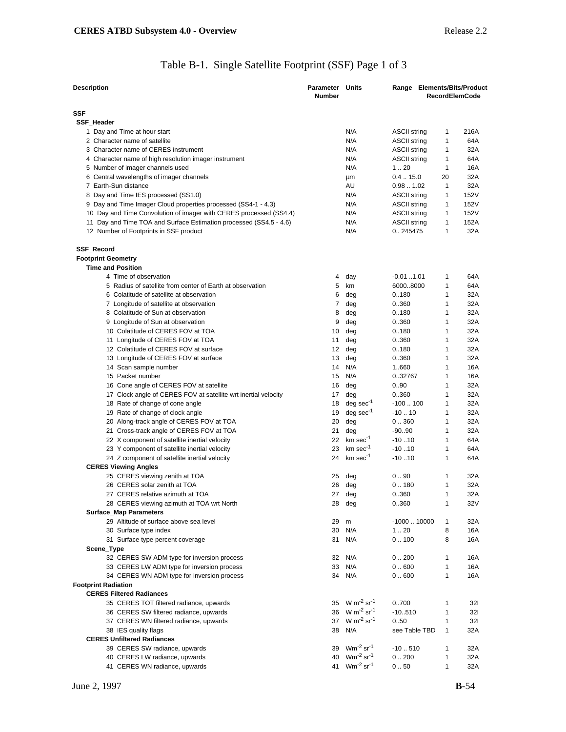# Table B-1. Single Satellite Footprint (SSF) Page 1 of 3

| <b>Description</b>                                                                                           | <b>Parameter Units</b><br><b>Number</b> |                                       | Range Elements/Bits/Product    |              | <b>RecordElemCode</b> |
|--------------------------------------------------------------------------------------------------------------|-----------------------------------------|---------------------------------------|--------------------------------|--------------|-----------------------|
| SSF                                                                                                          |                                         |                                       |                                |              |                       |
| SSF_Header                                                                                                   |                                         |                                       |                                |              |                       |
| 1 Day and Time at hour start                                                                                 |                                         | N/A                                   | <b>ASCII string</b>            | 1            | 216A                  |
| 2 Character name of satellite                                                                                |                                         | N/A                                   | <b>ASCII string</b>            | 1            | 64A                   |
| 3 Character name of CERES instrument                                                                         |                                         | N/A                                   | <b>ASCII string</b>            | 1            | 32A                   |
| 4 Character name of high resolution imager instrument                                                        |                                         | N/A                                   | <b>ASCII string</b>            | 1            | 64A                   |
| 5 Number of imager channels used                                                                             |                                         | N/A                                   | 1.20                           | 1            | 16A                   |
| 6 Central wavelengths of imager channels                                                                     |                                         | μm                                    | $0.4-.15.0$                    | 20           | 32A                   |
| 7 Earth-Sun distance                                                                                         |                                         | AU                                    | 0.981.02                       | $\mathbf{1}$ | 32A                   |
| 8 Day and Time IES processed (SS1.0)                                                                         |                                         | N/A                                   | <b>ASCII string</b>            | 1            | 152V                  |
| 9 Day and Time Imager Cloud properties processed (SS4-1 - 4.3)                                               |                                         | N/A                                   | <b>ASCII string</b>            | 1            | 152V                  |
|                                                                                                              |                                         | N/A                                   | <b>ASCII string</b>            | 1            | 152V                  |
| 10 Day and Time Convolution of imager with CERES processed (SS4.4)                                           |                                         |                                       |                                | 1            | 152A                  |
| 11 Day and Time TOA and Surface Estimation processed (SS4.5 - 4.6)<br>12 Number of Footprints in SSF product |                                         | N/A<br>N/A                            | <b>ASCII string</b><br>0245475 | 1            | 32A                   |
| SSF_Record                                                                                                   |                                         |                                       |                                |              |                       |
| <b>Footprint Geometry</b>                                                                                    |                                         |                                       |                                |              |                       |
| <b>Time and Position</b>                                                                                     |                                         |                                       |                                |              |                       |
| 4 Time of observation                                                                                        | 4                                       | day                                   | $-0.011.01$                    | 1            | 64A                   |
| 5 Radius of satellite from center of Earth at observation                                                    | 5                                       | km                                    | 60008000                       | 1            | 64A                   |
| 6 Colatitude of satellite at observation                                                                     | 6                                       | deg                                   | 0.180                          | 1            | 32A                   |
| 7 Longitude of satellite at observation                                                                      | 7                                       | deg                                   | 0.360                          | 1            | 32A                   |
| 8 Colatitude of Sun at observation                                                                           | 8                                       | deg                                   | 0.180                          | 1            | 32A                   |
| 9 Longitude of Sun at observation                                                                            | 9                                       | deg                                   | 0.360                          | 1            | 32A                   |
| 10 Colatitude of CERES FOV at TOA                                                                            | 10                                      | deg                                   | 0.180                          | 1            | 32A                   |
|                                                                                                              |                                         |                                       |                                | 1            | 32A                   |
| 11 Longitude of CERES FOV at TOA<br>12 Colatitude of CERES FOV at surface                                    | 11                                      | deg                                   | 0.360<br>0.180                 | 1            | 32A                   |
|                                                                                                              | 12                                      | deg                                   |                                | 1            |                       |
| 13 Longitude of CERES FOV at surface                                                                         | 13                                      | deg                                   | 0.360                          |              | 32A                   |
| 14 Scan sample number                                                                                        | 14                                      | N/A                                   | 1.660                          | 1            | 16A                   |
| 15 Packet number                                                                                             | 15                                      | N/A                                   | 0.32767                        | 1            | 16A                   |
| 16 Cone angle of CERES FOV at satellite                                                                      | 16                                      | deg                                   | 0.90                           | 1            | 32A                   |
| 17 Clock angle of CERES FOV at satellite wrt inertial velocity                                               | 17                                      | deg                                   | 0.360                          | 1            | 32A                   |
| 18 Rate of change of cone angle                                                                              | 18                                      | $deg sec-1$                           | $-100100$                      | 1            | 32A                   |
| 19 Rate of change of clock angle                                                                             | 19                                      | $deg sec-1$                           | $-10.10$                       | 1            | 32A                   |
| 20 Along-track angle of CERES FOV at TOA                                                                     | 20                                      | deg                                   | 0.360                          | 1            | 32A                   |
| 21 Cross-track angle of CERES FOV at TOA                                                                     | 21                                      | deg                                   | $-90.90$                       | $\mathbf{1}$ | 32A                   |
| 22 X component of satellite inertial velocity                                                                |                                         | 22 km sec <sup>-1</sup>               | $-10.10$                       | 1            | 64A                   |
| 23 Y component of satellite inertial velocity                                                                | 23                                      | km sec-1                              | $-10.10$                       | 1            | 64A                   |
| 24 Z component of satellite inertial velocity                                                                | 24                                      | $km \sec^{-1}$                        | $-10.10$                       | 1            | 64A                   |
| <b>CERES Viewing Angles</b>                                                                                  |                                         |                                       |                                |              |                       |
| 25 CERES viewing zenith at TOA                                                                               | 25                                      | deg                                   | 0.90                           | 1            | 32A                   |
| 26 CERES solar zenith at TOA                                                                                 | 26                                      | deg                                   | 0.180                          | 1            | 32A                   |
| 27 CERES relative azimuth at TOA                                                                             | 27                                      | deg                                   | 0.360                          | 1            | 32A                   |
| 28 CERES viewing azimuth at TOA wrt North                                                                    |                                         | 28 deg                                | 0.360                          | $\mathbf{1}$ | 32V                   |
| <b>Surface_Map Parameters</b>                                                                                |                                         |                                       |                                |              |                       |
| 29 Altitude of surface above sea level                                                                       | 29                                      | m                                     | $-100010000$                   | 1            | 32A                   |
| 30 Surface type index                                                                                        |                                         | 30 N/A                                | 1.20                           | 8            | 16A                   |
| 31 Surface type percent coverage                                                                             |                                         | 31 N/A                                | 0.100                          | 8            | 16A                   |
| Scene_Type                                                                                                   |                                         |                                       |                                |              |                       |
| 32 CERES SW ADM type for inversion process                                                                   |                                         | 32 N/A                                | 0.200                          | 1            | 16A                   |
| 33 CERES LW ADM type for inversion process                                                                   |                                         | 33 N/A                                | 0.600                          | 1            | 16A                   |
| 34 CERES WN ADM type for inversion process                                                                   |                                         | 34 N/A                                | 0.600                          | $\mathbf{1}$ | 16A                   |
| <b>Footprint Radiation</b>                                                                                   |                                         |                                       |                                |              |                       |
| <b>CERES Filtered Radiances</b>                                                                              |                                         |                                       |                                |              |                       |
|                                                                                                              |                                         | 35 W m <sup>-2</sup> sr <sup>-1</sup> |                                |              |                       |
| 35 CERES TOT filtered radiance, upwards                                                                      |                                         | 36 W m <sup>-2</sup> sr <sup>-1</sup> | 0700                           | $\mathbf{1}$ | 321                   |
| 36 CERES SW filtered radiance, upwards                                                                       |                                         |                                       | $-10.510$                      | 1            | 321                   |
| 37 CERES WN filtered radiance, upwards                                                                       |                                         | 37 W m <sup>-2</sup> sr <sup>-1</sup> | 0.50                           | $\mathbf{1}$ | 321                   |
| 38 IES quality flags                                                                                         |                                         | 38 N/A                                | see Table TBD                  | $\mathbf{1}$ | 32A                   |
| <b>CERES Unfiltered Radiances</b>                                                                            |                                         |                                       |                                |              |                       |
| 39 CERES SW radiance, upwards                                                                                |                                         | 39 Wm <sup>-2</sup> sr <sup>-1</sup>  | $-10.510$                      | 1            | 32A                   |
| 40 CERES LW radiance, upwards                                                                                |                                         | 40 Wm <sup>-2</sup> sr <sup>-1</sup>  | 0.200                          | $\mathbf{1}$ | 32A                   |
| 41 CERES WN radiance, upwards                                                                                |                                         | 41 Wm <sup>-2</sup> sr <sup>-1</sup>  | 0.50                           | 1            | 32A                   |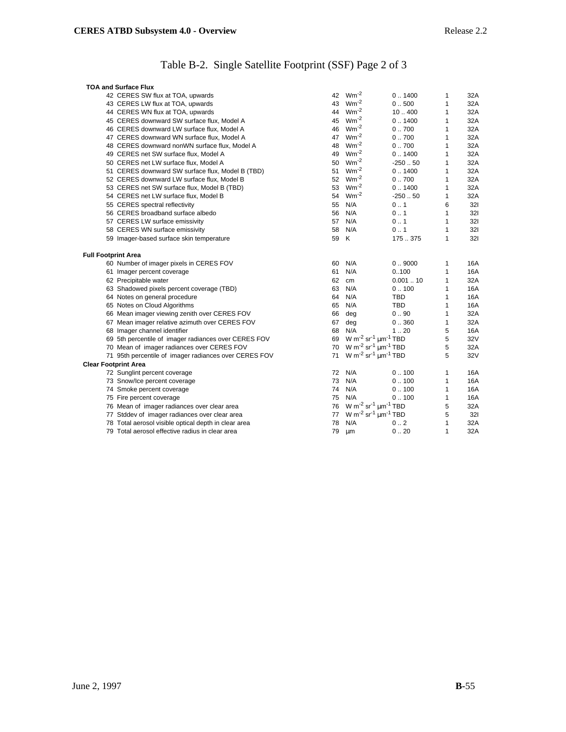# Table B-2. Single Satellite Footprint (SSF) Page 2 of 3

|                             | <b>TOA and Surface Flux</b>                           |    |                                                                 |            |              |            |
|-----------------------------|-------------------------------------------------------|----|-----------------------------------------------------------------|------------|--------------|------------|
|                             | 42 CERES SW flux at TOA, upwards                      |    | 42 Wm <sup>-2</sup>                                             | 0.1400     | 1            | 32A        |
|                             | 43 CERES LW flux at TOA, upwards                      | 43 | $Wm^{-2}$                                                       | 0.500      | 1            | 32A        |
|                             | 44 CERES WN flux at TOA, upwards                      |    | 44 Wm <sup>-2</sup>                                             | 10400      | $\mathbf{1}$ | 32A        |
|                             | 45 CERES downward SW surface flux, Model A            | 45 | $Wm^{-2}$                                                       | 0.1400     | 1            | 32A        |
|                             | 46 CERES downward LW surface flux, Model A            | 46 | $Wm^{-2}$                                                       | 0.700      | 1            | 32A        |
|                             | 47 CERES downward WN surface flux, Model A            | 47 | $Wm^{-2}$                                                       | 0.700      | 1            | 32A        |
|                             | 48 CERES downward nonWN surface flux, Model A         | 48 | $Wm^{-2}$                                                       | 0.700      | 1            | 32A        |
|                             | 49 CERES net SW surface flux, Model A                 | 49 | $Wm^{-2}$                                                       | 0.1400     | 1            | 32A        |
|                             | 50 CERES net LW surface flux, Model A                 | 50 | $Wm^{-2}$                                                       | $-250.50$  | 1            | 32A        |
|                             | 51 CERES downward SW surface flux, Model B (TBD)      | 51 | $Wm^{-2}$                                                       | 0.1400     | 1            | 32A        |
|                             | 52 CERES downward LW surface flux, Model B            | 52 | $Wm^{-2}$                                                       | 0.700      | 1            | 32A        |
|                             | 53 CERES net SW surface flux, Model B (TBD)           | 53 | $Wm^{-2}$                                                       | 0.1400     | 1            | 32A        |
|                             | 54 CERES net LW surface flux, Model B                 | 54 | $Wm^{-2}$                                                       | $-250.50$  | $\mathbf{1}$ | 32A        |
|                             | 55 CERES spectral reflectivity                        | 55 | N/A                                                             | 0.1        | 6            | 321        |
|                             | 56 CERES broadband surface albedo                     | 56 | N/A                                                             | 0.1        | $\mathbf{1}$ | 321        |
|                             | 57 CERES LW surface emissivity                        | 57 | N/A                                                             | 0.1        | 1            | 321        |
|                             | 58 CERES WN surface emissivity                        | 58 | N/A                                                             | 0.1        | $\mathbf{1}$ | 321        |
|                             | 59 Imager-based surface skin temperature              | 59 | K                                                               | 175375     | $\mathbf{1}$ | 321        |
| <b>Full Footprint Area</b>  |                                                       |    |                                                                 |            |              |            |
|                             | 60 Number of imager pixels in CERES FOV               | 60 | N/A                                                             | 0.9000     | 1            | 16A        |
|                             | 61 Imager percent coverage                            | 61 | N/A                                                             | 0.100      | $\mathbf{1}$ | <b>16A</b> |
|                             | 62 Precipitable water                                 | 62 | cm                                                              | 0.00110    | $\mathbf{1}$ | 32A        |
|                             | 63 Shadowed pixels percent coverage (TBD)             | 63 | N/A                                                             | 0.100      | 1            | 16A        |
|                             | 64 Notes on general procedure                         | 64 | N/A                                                             | <b>TBD</b> | 1            | 16A        |
|                             | 65 Notes on Cloud Algorithms                          | 65 | N/A                                                             | <b>TBD</b> | 1            | 16A        |
|                             | 66 Mean imager viewing zenith over CERES FOV          |    | 66 deg                                                          | 0.90       | $\mathbf{1}$ | 32A        |
|                             | 67 Mean imager relative azimuth over CERES FOV        | 67 | deg                                                             | 0.360      | 1            | 32A        |
|                             | 68 Imager channel identifier                          | 68 | N/A                                                             | 120        | 5            | 16A        |
|                             | 69 5th percentile of imager radiances over CERES FOV  |    | 69 W m <sup>-2</sup> sr <sup>-1</sup> $\mu$ m <sup>-1</sup> TBD |            | 5            | 32V        |
|                             | 70 Mean of imager radiances over CERES FOV            |    | 70 W m <sup>-2</sup> sr <sup>-1</sup> $\mu$ m <sup>-1</sup> TBD |            | 5            | 32A        |
|                             | 71 95th percentile of imager radiances over CERES FOV |    | 71 W m <sup>-2</sup> sr <sup>-1</sup> $\mu$ m <sup>-1</sup> TBD |            | 5            | 32V        |
| <b>Clear Footprint Area</b> |                                                       |    |                                                                 |            |              |            |
|                             | 72 Sunglint percent coverage                          |    | 72 N/A                                                          | 0.100      | 1            | 16A        |
|                             | 73 Snow/Ice percent coverage                          | 73 | N/A                                                             | 0.100      | 1            | 16A        |
|                             | 74 Smoke percent coverage                             |    | 74 N/A                                                          | 0.100      | 1            | 16A        |
|                             | 75 Fire percent coverage                              |    | 75 N/A                                                          | 0.100      | 1            | 16A        |
|                             | 76 Mean of imager radiances over clear area           | 76 | W m <sup>-2</sup> sr <sup>-1</sup> $\mu$ m <sup>-1</sup> TBD    |            | 5            | 32A        |
|                             | 77 Stddev of imager radiances over clear area         | 77 | W m <sup>-2</sup> sr <sup>-1</sup> $\mu$ m <sup>-1</sup> TBD    |            | 5            | 321        |
|                             | 78 Total aerosol visible optical depth in clear area  | 78 | N/A                                                             | 0.2        | 1            | 32A        |
|                             | 79 Total aerosol effective radius in clear area       | 79 | μm                                                              | 0.20       | $\mathbf{1}$ | 32A        |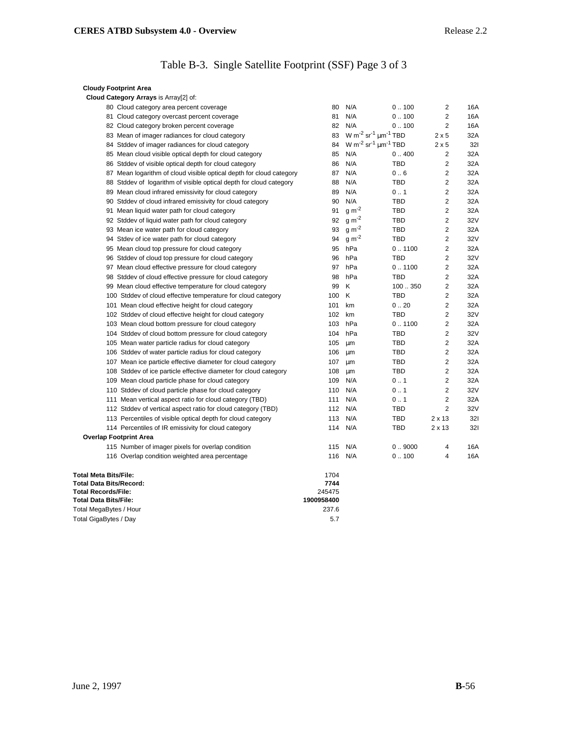# Table B-3. Single Satellite Footprint (SSF) Page 3 of 3

| <b>Cloudy Footprint Area</b>                                        |            |                                                              |            |                |     |
|---------------------------------------------------------------------|------------|--------------------------------------------------------------|------------|----------------|-----|
| Cloud Category Arrays is Array[2] of:                               |            |                                                              |            |                |     |
| 80 Cloud category area percent coverage                             | 80         | N/A                                                          | 0.100      | 2              | 16A |
| 81 Cloud category overcast percent coverage                         | 81         | N/A                                                          | 0.100      | $\overline{2}$ | 16A |
| 82 Cloud category broken percent coverage                           | 82         | N/A                                                          | 0.100      | 2              | 16A |
| 83 Mean of imager radiances for cloud category                      | 83         | W m <sup>-2</sup> sr <sup>-1</sup> $\mu$ m <sup>-1</sup> TBD |            | $2 \times 5$   | 32A |
| 84 Stddev of imager radiances for cloud category                    | 84         | W m <sup>-2</sup> sr <sup>-1</sup> $\mu$ m <sup>-1</sup> TBD |            | $2 \times 5$   | 321 |
| 85 Mean cloud visible optical depth for cloud category              | 85         | N/A                                                          | 0.400      | 2              | 32A |
| 86 Stddev of visible optical depth for cloud category               | 86         | N/A                                                          | <b>TBD</b> | $\overline{2}$ | 32A |
| 87 Mean logarithm of cloud visible optical depth for cloud category | 87         | N/A                                                          | 0.6        | 2              | 32A |
| 88 Stddev of logarithm of visible optical depth for cloud category  | 88         | N/A                                                          | <b>TBD</b> | 2              | 32A |
| 89 Mean cloud infrared emissivity for cloud category                | 89         | N/A                                                          | 0.1        | 2              | 32A |
| 90 Stddev of cloud infrared emissivity for cloud category           | 90         | N/A                                                          | <b>TBD</b> | 2              | 32A |
| 91 Mean liquid water path for cloud category                        | 91         | $g m-2$                                                      | <b>TBD</b> | $\overline{2}$ | 32A |
| 92 Stddev of liquid water path for cloud category                   | 92         | $g m-2$                                                      | <b>TBD</b> | 2              | 32V |
| 93 Mean ice water path for cloud category                           | 93         | $g m-2$                                                      | <b>TBD</b> | $\overline{2}$ | 32A |
| 94 Stdev of ice water path for cloud category                       | 94         | $g m-2$                                                      | <b>TBD</b> | 2              | 32V |
| 95 Mean cloud top pressure for cloud category                       | 95         | hPa                                                          | 0.1100     | 2              | 32A |
| 96 Stddev of cloud top pressure for cloud category                  | 96         | hPa                                                          | <b>TBD</b> | 2              | 32V |
| 97 Mean cloud effective pressure for cloud category                 | 97         | hPa                                                          | 0.1100     | 2              | 32A |
| 98 Stddev of cloud effective pressure for cloud category            | 98         | hPa                                                          | <b>TBD</b> | $\overline{c}$ | 32A |
| 99 Mean cloud effective temperature for cloud category              | 99         | K                                                            | 100350     | 2              | 32A |
| 100 Stddev of cloud effective temperature for cloud category        | 100        | Κ                                                            | <b>TBD</b> | 2              | 32A |
| 101 Mean cloud effective height for cloud category                  | 101        | km                                                           | 0.20       | 2              | 32A |
| 102 Stddev of cloud effective height for cloud category             | 102        | km                                                           | <b>TBD</b> | 2              | 32V |
| 103 Mean cloud bottom pressure for cloud category                   | 103        | hPa                                                          | 0.1100     | 2              | 32A |
| 104 Stddev of cloud bottom pressure for cloud category              | 104        | hPa                                                          | <b>TBD</b> | 2              | 32V |
| 105 Mean water particle radius for cloud category                   | 105        | μm                                                           | <b>TBD</b> | 2              | 32A |
| 106 Stddev of water particle radius for cloud category              | 106        | μm                                                           | TBD        | 2              | 32A |
| 107 Mean ice particle effective diameter for cloud category         | 107        | μm                                                           | <b>TBD</b> | $\overline{c}$ | 32A |
| 108 Stddev of ice particle effective diameter for cloud category    | 108        | μm                                                           | <b>TBD</b> | 2              | 32A |
| 109 Mean cloud particle phase for cloud category                    | 109        | N/A                                                          | 0.1        | $\overline{2}$ | 32A |
| 110 Stddev of cloud particle phase for cloud category               | 110        | N/A                                                          | 0.1        | 2              | 32V |
| 111 Mean vertical aspect ratio for cloud category (TBD)             | 111        | N/A                                                          | 0.1        | $\overline{2}$ | 32A |
| 112 Stddev of vertical aspect ratio for cloud category (TBD)        | 112        | N/A                                                          | <b>TBD</b> | $\overline{2}$ | 32V |
| 113 Percentiles of visible optical depth for cloud category         | 113        | N/A                                                          | <b>TBD</b> | $2 \times 13$  | 321 |
| 114 Percentiles of IR emissivity for cloud category                 | 114        | N/A                                                          | TBD        | $2 \times 13$  | 321 |
| <b>Overlap Footprint Area</b>                                       |            |                                                              |            |                |     |
| 115 Number of imager pixels for overlap condition                   | 115        | N/A                                                          | 0.9000     | 4              | 16A |
| 116 Overlap condition weighted area percentage                      |            | 116 N/A                                                      | 0.100      | 4              | 16A |
| <b>Total Meta Bits/File:</b>                                        | 1704       |                                                              |            |                |     |
| <b>Total Data Bits/Record:</b>                                      | 7744       |                                                              |            |                |     |
| <b>Total Records/File:</b>                                          | 245475     |                                                              |            |                |     |
| <b>Total Data Bits/File:</b>                                        | 1900958400 |                                                              |            |                |     |
| Total MegaBytes / Hour                                              | 237.6      |                                                              |            |                |     |
| Total GigaBytes / Day                                               | 5.7        |                                                              |            |                |     |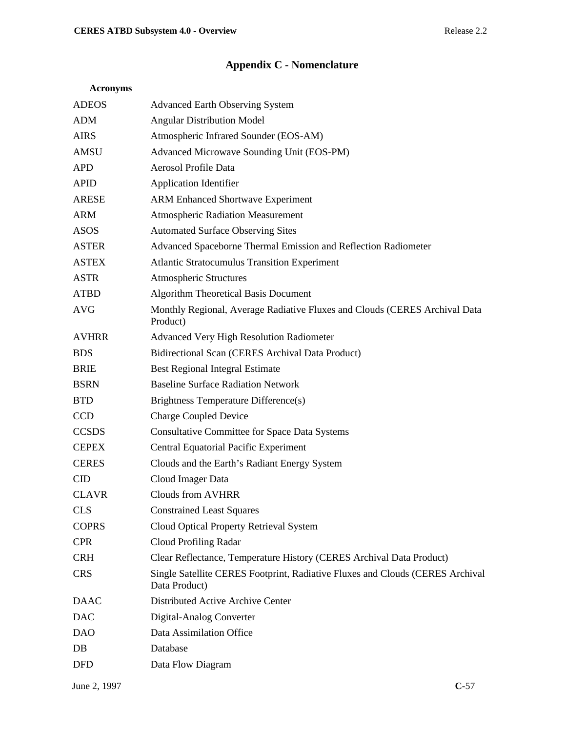# **Appendix C - Nomenclature**

| <b>ADEOS</b> | <b>Advanced Earth Observing System</b>                                                         |
|--------------|------------------------------------------------------------------------------------------------|
| <b>ADM</b>   | <b>Angular Distribution Model</b>                                                              |
| <b>AIRS</b>  | Atmospheric Infrared Sounder (EOS-AM)                                                          |
| <b>AMSU</b>  | Advanced Microwave Sounding Unit (EOS-PM)                                                      |
| <b>APD</b>   | Aerosol Profile Data                                                                           |
| <b>APID</b>  | <b>Application Identifier</b>                                                                  |
| <b>ARESE</b> | <b>ARM Enhanced Shortwave Experiment</b>                                                       |
| <b>ARM</b>   | <b>Atmospheric Radiation Measurement</b>                                                       |
| <b>ASOS</b>  | <b>Automated Surface Observing Sites</b>                                                       |
| <b>ASTER</b> | Advanced Spaceborne Thermal Emission and Reflection Radiometer                                 |
| <b>ASTEX</b> | <b>Atlantic Stratocumulus Transition Experiment</b>                                            |
| <b>ASTR</b>  | <b>Atmospheric Structures</b>                                                                  |
| <b>ATBD</b>  | Algorithm Theoretical Basis Document                                                           |
| <b>AVG</b>   | Monthly Regional, Average Radiative Fluxes and Clouds (CERES Archival Data<br>Product)         |
| <b>AVHRR</b> | Advanced Very High Resolution Radiometer                                                       |
| <b>BDS</b>   | Bidirectional Scan (CERES Archival Data Product)                                               |
| <b>BRIE</b>  | <b>Best Regional Integral Estimate</b>                                                         |
| <b>BSRN</b>  | <b>Baseline Surface Radiation Network</b>                                                      |
| <b>BTD</b>   | Brightness Temperature Difference(s)                                                           |
| <b>CCD</b>   | <b>Charge Coupled Device</b>                                                                   |
| <b>CCSDS</b> | <b>Consultative Committee for Space Data Systems</b>                                           |
| <b>CEPEX</b> | Central Equatorial Pacific Experiment                                                          |
| <b>CERES</b> | Clouds and the Earth's Radiant Energy System                                                   |
| <b>CID</b>   | Cloud Imager Data                                                                              |
| <b>CLAVR</b> | <b>Clouds from AVHRR</b>                                                                       |
| <b>CLS</b>   | <b>Constrained Least Squares</b>                                                               |
| <b>COPRS</b> | Cloud Optical Property Retrieval System                                                        |
| <b>CPR</b>   | Cloud Profiling Radar                                                                          |
| <b>CRH</b>   | Clear Reflectance, Temperature History (CERES Archival Data Product)                           |
| <b>CRS</b>   | Single Satellite CERES Footprint, Radiative Fluxes and Clouds (CERES Archival<br>Data Product) |
| <b>DAAC</b>  | Distributed Active Archive Center                                                              |
| <b>DAC</b>   | Digital-Analog Converter                                                                       |
| <b>DAO</b>   | Data Assimilation Office                                                                       |
| DB           | Database                                                                                       |
| <b>DFD</b>   | Data Flow Diagram                                                                              |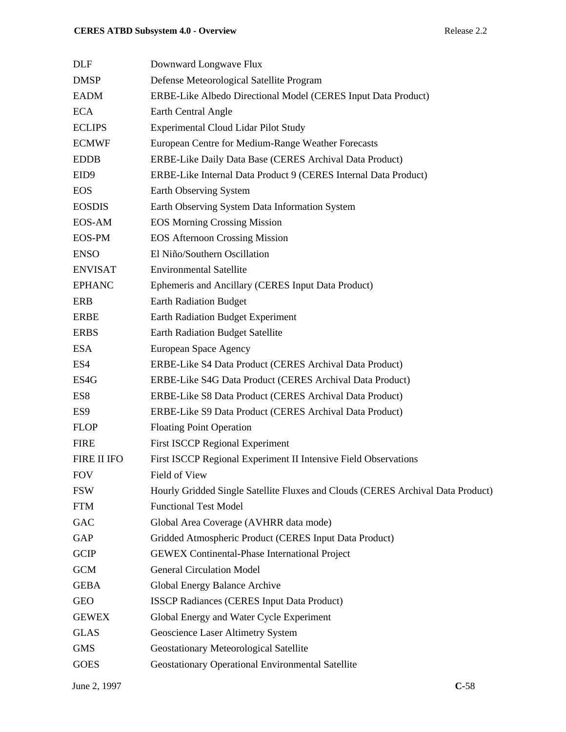| <b>DLF</b>       | Downward Longwave Flux                                                          |
|------------------|---------------------------------------------------------------------------------|
| <b>DMSP</b>      | Defense Meteorological Satellite Program                                        |
| <b>EADM</b>      | ERBE-Like Albedo Directional Model (CERES Input Data Product)                   |
| <b>ECA</b>       | Earth Central Angle                                                             |
| <b>ECLIPS</b>    | <b>Experimental Cloud Lidar Pilot Study</b>                                     |
| <b>ECMWF</b>     | European Centre for Medium-Range Weather Forecasts                              |
| <b>EDDB</b>      | ERBE-Like Daily Data Base (CERES Archival Data Product)                         |
| EID <sub>9</sub> | ERBE-Like Internal Data Product 9 (CERES Internal Data Product)                 |
| <b>EOS</b>       | Earth Observing System                                                          |
| <b>EOSDIS</b>    | Earth Observing System Data Information System                                  |
| EOS-AM           | <b>EOS Morning Crossing Mission</b>                                             |
| <b>EOS-PM</b>    | <b>EOS Afternoon Crossing Mission</b>                                           |
| <b>ENSO</b>      | El Niño/Southern Oscillation                                                    |
| <b>ENVISAT</b>   | <b>Environmental Satellite</b>                                                  |
| <b>EPHANC</b>    | Ephemeris and Ancillary (CERES Input Data Product)                              |
| <b>ERB</b>       | <b>Earth Radiation Budget</b>                                                   |
| <b>ERBE</b>      | <b>Earth Radiation Budget Experiment</b>                                        |
| <b>ERBS</b>      | <b>Earth Radiation Budget Satellite</b>                                         |
| <b>ESA</b>       | European Space Agency                                                           |
| ES4              | ERBE-Like S4 Data Product (CERES Archival Data Product)                         |
| ES4G             | ERBE-Like S4G Data Product (CERES Archival Data Product)                        |
| ES8              | ERBE-Like S8 Data Product (CERES Archival Data Product)                         |
| ES <sub>9</sub>  | ERBE-Like S9 Data Product (CERES Archival Data Product)                         |
| <b>FLOP</b>      | <b>Floating Point Operation</b>                                                 |
| <b>FIRE</b>      | <b>First ISCCP Regional Experiment</b>                                          |
| FIRE II IFO      | First ISCCP Regional Experiment II Intensive Field Observations                 |
| <b>FOV</b>       | Field of View                                                                   |
| <b>FSW</b>       | Hourly Gridded Single Satellite Fluxes and Clouds (CERES Archival Data Product) |
| <b>FTM</b>       | <b>Functional Test Model</b>                                                    |
| GAC              | Global Area Coverage (AVHRR data mode)                                          |
| GAP              | Gridded Atmospheric Product (CERES Input Data Product)                          |
| <b>GCIP</b>      | <b>GEWEX Continental-Phase International Project</b>                            |
| <b>GCM</b>       | <b>General Circulation Model</b>                                                |
| <b>GEBA</b>      | Global Energy Balance Archive                                                   |
| <b>GEO</b>       | <b>ISSCP Radiances (CERES Input Data Product)</b>                               |
| <b>GEWEX</b>     | Global Energy and Water Cycle Experiment                                        |
| <b>GLAS</b>      | Geoscience Laser Altimetry System                                               |
| <b>GMS</b>       | Geostationary Meteorological Satellite                                          |
| <b>GOES</b>      | Geostationary Operational Environmental Satellite                               |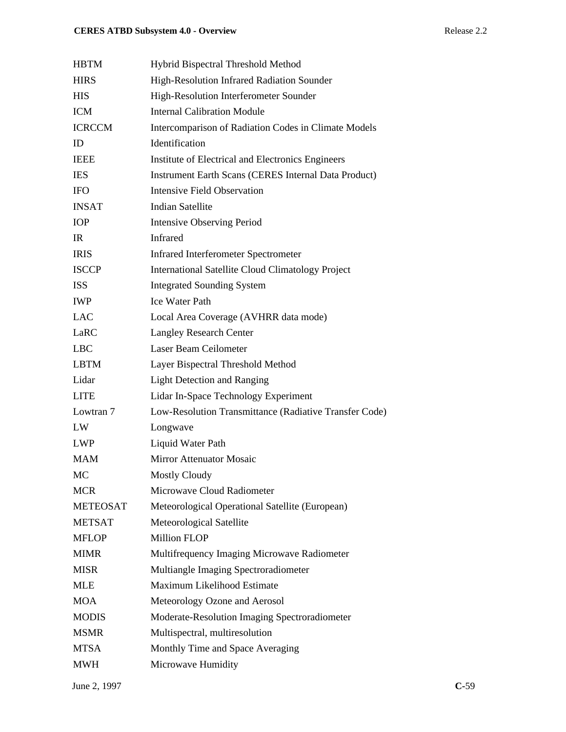| <b>HBTM</b>     | Hybrid Bispectral Threshold Method                          |
|-----------------|-------------------------------------------------------------|
| <b>HIRS</b>     | High-Resolution Infrared Radiation Sounder                  |
| <b>HIS</b>      | High-Resolution Interferometer Sounder                      |
| <b>ICM</b>      | <b>Internal Calibration Module</b>                          |
| <b>ICRCCM</b>   | Intercomparison of Radiation Codes in Climate Models        |
| ID              | Identification                                              |
| <b>IEEE</b>     | Institute of Electrical and Electronics Engineers           |
| <b>IES</b>      | <b>Instrument Earth Scans (CERES Internal Data Product)</b> |
| <b>IFO</b>      | <b>Intensive Field Observation</b>                          |
| <b>INSAT</b>    | <b>Indian Satellite</b>                                     |
| <b>IOP</b>      | <b>Intensive Observing Period</b>                           |
| IR              | <b>Infrared</b>                                             |
| <b>IRIS</b>     | <b>Infrared Interferometer Spectrometer</b>                 |
| <b>ISCCP</b>    | <b>International Satellite Cloud Climatology Project</b>    |
| <b>ISS</b>      | <b>Integrated Sounding System</b>                           |
| <b>IWP</b>      | <b>Ice Water Path</b>                                       |
| <b>LAC</b>      | Local Area Coverage (AVHRR data mode)                       |
| LaRC            | <b>Langley Research Center</b>                              |
| <b>LBC</b>      | Laser Beam Ceilometer                                       |
| <b>LBTM</b>     | Layer Bispectral Threshold Method                           |
| Lidar           | <b>Light Detection and Ranging</b>                          |
| <b>LITE</b>     | Lidar In-Space Technology Experiment                        |
| Lowtran 7       | Low-Resolution Transmittance (Radiative Transfer Code)      |
| LW              | Longwave                                                    |
| <b>LWP</b>      | Liquid Water Path                                           |
| <b>MAM</b>      | <b>Mirror Attenuator Mosaic</b>                             |
| MC              | <b>Mostly Cloudy</b>                                        |
| <b>MCR</b>      | Microwave Cloud Radiometer                                  |
| <b>METEOSAT</b> | Meteorological Operational Satellite (European)             |
| <b>METSAT</b>   | Meteorological Satellite                                    |
| <b>MFLOP</b>    | <b>Million FLOP</b>                                         |
| <b>MIMR</b>     | Multifrequency Imaging Microwave Radiometer                 |
| <b>MISR</b>     | Multiangle Imaging Spectroradiometer                        |
| <b>MLE</b>      | Maximum Likelihood Estimate                                 |
| <b>MOA</b>      | Meteorology Ozone and Aerosol                               |
| <b>MODIS</b>    | Moderate-Resolution Imaging Spectroradiometer               |
| <b>MSMR</b>     | Multispectral, multiresolution                              |
| <b>MTSA</b>     | Monthly Time and Space Averaging                            |
| <b>MWH</b>      | Microwave Humidity                                          |
|                 |                                                             |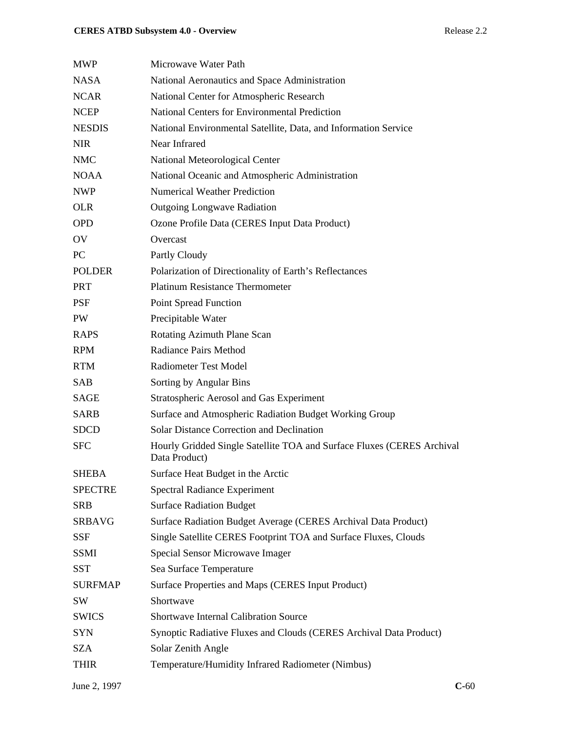## **CERES ATBD Subsystem 4.0 - Overview Release 2.2**

| MWP            | Microwave Water Path                                                                    |
|----------------|-----------------------------------------------------------------------------------------|
| NASA           | National Aeronautics and Space Administration                                           |
| NCAR           | National Center for Atmospheric Research                                                |
| NCEP           | <b>National Centers for Environmental Prediction</b>                                    |
| <b>NESDIS</b>  | National Environmental Satellite, Data, and Information Service                         |
| NIR            | Near Infrared                                                                           |
| <b>NMC</b>     | National Meteorological Center                                                          |
| NOAA           | National Oceanic and Atmospheric Administration                                         |
| NWP            | <b>Numerical Weather Prediction</b>                                                     |
| <b>OLR</b>     | <b>Outgoing Longwave Radiation</b>                                                      |
| <b>OPD</b>     | Ozone Profile Data (CERES Input Data Product)                                           |
| OV             | Overcast                                                                                |
| PC             | Partly Cloudy                                                                           |
| <b>POLDER</b>  | Polarization of Directionality of Earth's Reflectances                                  |
| <b>PRT</b>     | <b>Platinum Resistance Thermometer</b>                                                  |
| PSF            | <b>Point Spread Function</b>                                                            |
| PW             | Precipitable Water                                                                      |
| RAPS           | Rotating Azimuth Plane Scan                                                             |
| <b>RPM</b>     | <b>Radiance Pairs Method</b>                                                            |
| <b>RTM</b>     | <b>Radiometer Test Model</b>                                                            |
| SAB            | Sorting by Angular Bins                                                                 |
| SAGE           | <b>Stratospheric Aerosol and Gas Experiment</b>                                         |
| <b>SARB</b>    | Surface and Atmospheric Radiation Budget Working Group                                  |
| SDCD           | <b>Solar Distance Correction and Declination</b>                                        |
| <b>SFC</b>     | Hourly Gridded Single Satellite TOA and Surface Fluxes (CERES Archival<br>Data Product) |
| <b>SHEBA</b>   | Surface Heat Budget in the Arctic                                                       |
| <b>SPECTRE</b> | <b>Spectral Radiance Experiment</b>                                                     |
| SRB            | <b>Surface Radiation Budget</b>                                                         |
| <b>SRBAVG</b>  | Surface Radiation Budget Average (CERES Archival Data Product)                          |
| <b>SSF</b>     | Single Satellite CERES Footprint TOA and Surface Fluxes, Clouds                         |
| SSMI           | Special Sensor Microwave Imager                                                         |
| <b>SST</b>     | Sea Surface Temperature                                                                 |
| <b>SURFMAP</b> | Surface Properties and Maps (CERES Input Product)                                       |
| SW             | Shortwave                                                                               |
| SWICS          | <b>Shortwave Internal Calibration Source</b>                                            |
| SYN            | Synoptic Radiative Fluxes and Clouds (CERES Archival Data Product)                      |
| SZA            | Solar Zenith Angle                                                                      |
| THIR           | Temperature/Humidity Infrared Radiometer (Nimbus)                                       |
|                |                                                                                         |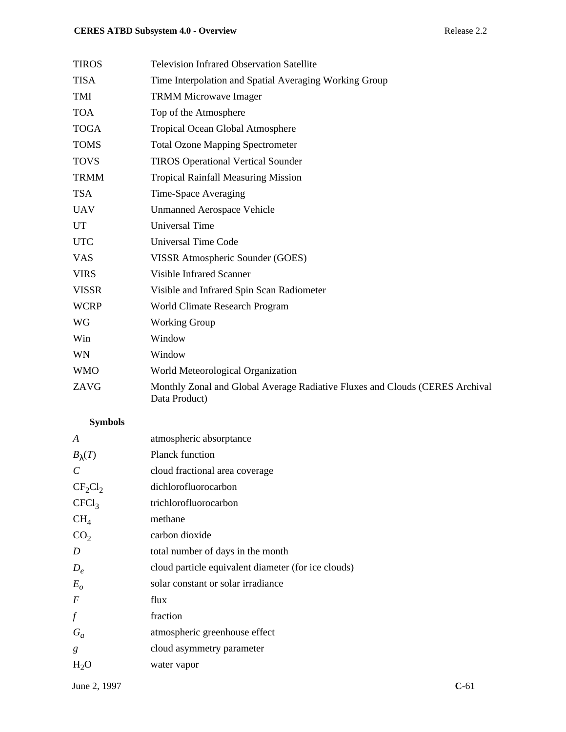## **CERES ATBD Subsystem 4.0 - Overview Release 2.2**

| <b>TIROS</b> | <b>Television Infrared Observation Satellite</b>                                              |
|--------------|-----------------------------------------------------------------------------------------------|
| <b>TISA</b>  | Time Interpolation and Spatial Averaging Working Group                                        |
| TMI          | <b>TRMM Microwave Imager</b>                                                                  |
| <b>TOA</b>   | Top of the Atmosphere                                                                         |
| <b>TOGA</b>  | Tropical Ocean Global Atmosphere                                                              |
| <b>TOMS</b>  | <b>Total Ozone Mapping Spectrometer</b>                                                       |
| <b>TOVS</b>  | <b>TIROS Operational Vertical Sounder</b>                                                     |
| <b>TRMM</b>  | <b>Tropical Rainfall Measuring Mission</b>                                                    |
| <b>TSA</b>   | Time-Space Averaging                                                                          |
| <b>UAV</b>   | <b>Unmanned Aerospace Vehicle</b>                                                             |
| <b>UT</b>    | <b>Universal Time</b>                                                                         |
| <b>UTC</b>   | <b>Universal Time Code</b>                                                                    |
| <b>VAS</b>   | VISSR Atmospheric Sounder (GOES)                                                              |
| <b>VIRS</b>  | <b>Visible Infrared Scanner</b>                                                               |
| <b>VISSR</b> | Visible and Infrared Spin Scan Radiometer                                                     |
| <b>WCRP</b>  | World Climate Research Program                                                                |
| WG           | <b>Working Group</b>                                                                          |
| Win          | Window                                                                                        |
| WN           | Window                                                                                        |
| <b>WMO</b>   | World Meteorological Organization                                                             |
| ZAVG         | Monthly Zonal and Global Average Radiative Fluxes and Clouds (CERES Archival<br>Data Product) |

# **Symbols**

| A                     | atmospheric absorptance                             |
|-----------------------|-----------------------------------------------------|
| $B_{\lambda}(T)$      | <b>Planck function</b>                              |
| $\mathcal{C}_{0}^{0}$ | cloud fractional area coverage                      |
| $CF_2Cl_2$            | dichlorofluorocarbon                                |
| CFCl <sub>3</sub>     | trichlorofluorocarbon                               |
| CH <sub>4</sub>       | methane                                             |
| CO <sub>2</sub>       | carbon dioxide                                      |
| D                     | total number of days in the month                   |
| $D_e$                 | cloud particle equivalent diameter (for ice clouds) |
| $E_{o}$               | solar constant or solar irradiance                  |
| $\cal F$              | flux                                                |
| f                     | fraction                                            |
| $G_a$                 | atmospheric greenhouse effect                       |
| g                     | cloud asymmetry parameter                           |
| $H_2O$                | water vapor                                         |
|                       |                                                     |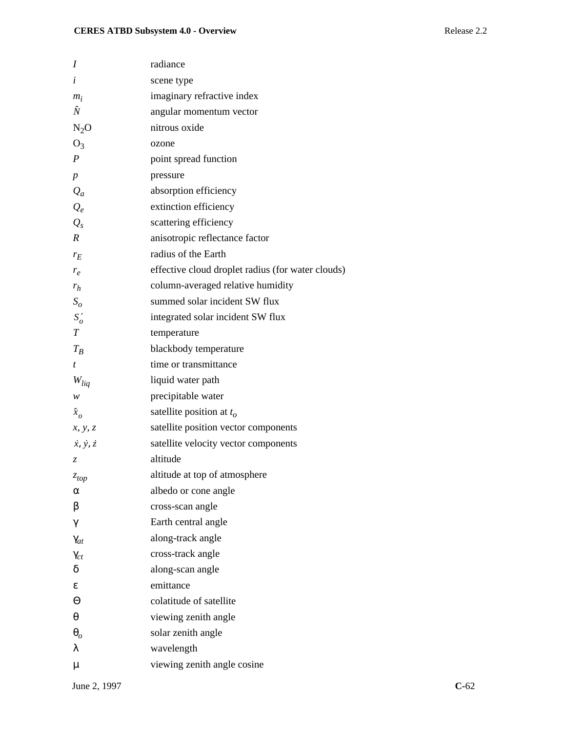| I                           | radiance                                          |
|-----------------------------|---------------------------------------------------|
| $\dot{i}$                   | scene type                                        |
| $m_i$                       | imaginary refractive index                        |
| Ñ                           | angular momentum vector                           |
| $N_2O$                      | nitrous oxide                                     |
| $O_3$                       | ozone                                             |
| $\boldsymbol{P}$            | point spread function                             |
| $\boldsymbol{p}$            | pressure                                          |
| $Q_a$                       | absorption efficiency                             |
| $Q_e$                       | extinction efficiency                             |
| $Q_{s}$                     | scattering efficiency                             |
| $\boldsymbol{R}$            | anisotropic reflectance factor                    |
| $r_E$                       | radius of the Earth                               |
| $r_e$                       | effective cloud droplet radius (for water clouds) |
| $r_h$                       | column-averaged relative humidity                 |
| $S_{\scriptscriptstyle O}$  | summed solar incident SW flux                     |
| $S'_{o}$                    | integrated solar incident SW flux                 |
| T                           | temperature                                       |
| $T_B$                       | blackbody temperature                             |
| t                           | time or transmittance                             |
| $W_{liq}$                   | liquid water path                                 |
| w                           | precipitable water                                |
| $\hat{x}_o$                 | satellite position at $t_o$                       |
| x, y, z                     | satellite position vector components              |
| $\dot{x}, \dot{y}, \dot{z}$ | satellite velocity vector components              |
| Z                           | altitude                                          |
| $\boldsymbol{z_{top}}$      | altitude at top of atmosphere                     |
| α                           | albedo or cone angle                              |
| β                           | cross-scan angle                                  |
| γ                           | Earth central angle                               |
| $\gamma_{at}$               | along-track angle                                 |
| $\gamma_{ct}$               | cross-track angle                                 |
| δ                           | along-scan angle                                  |
| ε                           | emittance                                         |
| Θ                           | colatitude of satellite                           |
| θ                           | viewing zenith angle                              |
| $\boldsymbol{\theta}_{o}$   | solar zenith angle                                |
| λ                           | wavelength                                        |
| μ                           | viewing zenith angle cosine                       |
|                             |                                                   |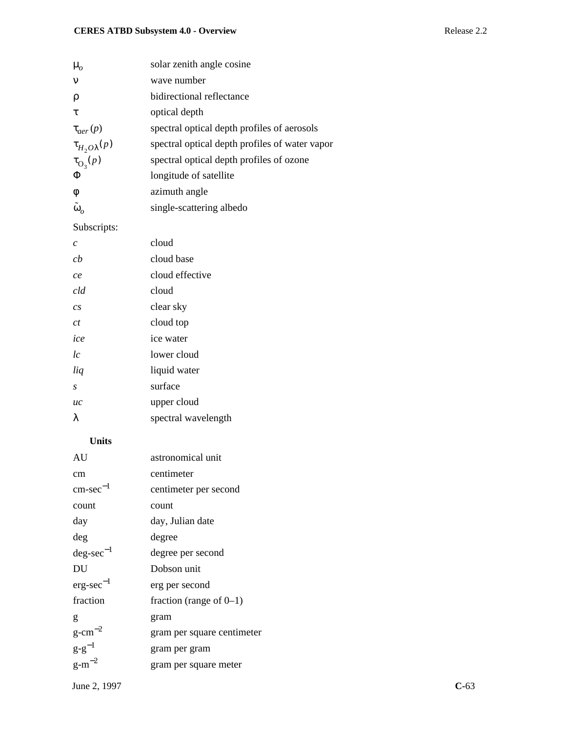| $\mu_{o}$                 | solar zenith angle cosine                      |
|---------------------------|------------------------------------------------|
| $\mathbf{v}$              | wave number                                    |
| ρ                         | bidirectional reflectance                      |
| τ                         | optical depth                                  |
| $\tau_{\text{der}}(p)$    | spectral optical depth profiles of aerosols    |
| $\tau_{H_2O\lambda}(p)$   | spectral optical depth profiles of water vapor |
| $\tau_{\mathcal{O}_3}(p)$ | spectral optical depth profiles of ozone       |
| Φ                         | longitude of satellite                         |
| $\phi$                    | azimuth angle                                  |
| $\tilde{\omega}_o$        | single-scattering albedo                       |
|                           |                                                |

## Subscripts:

| $\mathcal{C}$ | cloud               |
|---------------|---------------------|
| ch            | cloud base          |
| ce            | cloud effective     |
| cld           | cloud               |
| cs            | clear sky           |
| ct            | cloud top           |
| ice           | ice water           |
| lc            | lower cloud         |
| liq           | liquid water        |
| S             | surface             |
| uc            | upper cloud         |
| λ             | spectral wavelength |

#### **Units**

| AU                    | astronomical unit          |
|-----------------------|----------------------------|
| cm                    | centimeter                 |
| $\text{cm-sec}^{-1}$  | centimeter per second      |
| count                 | count                      |
| day                   | day, Julian date           |
| deg                   | degree                     |
| $deg\text{-}sec^{-1}$ | degree per second          |
| DU                    | Dobson unit                |
| $erg\text{-}sec^{-1}$ | erg per second             |
| fraction              | fraction (range of $0-1$ ) |
| g                     | gram                       |
| g-cm $^{-2}$          | gram per square centimeter |
| $g-g^{-1}$            | gram per gram              |
| g-m $^{-2}$           | gram per square meter      |
|                       |                            |